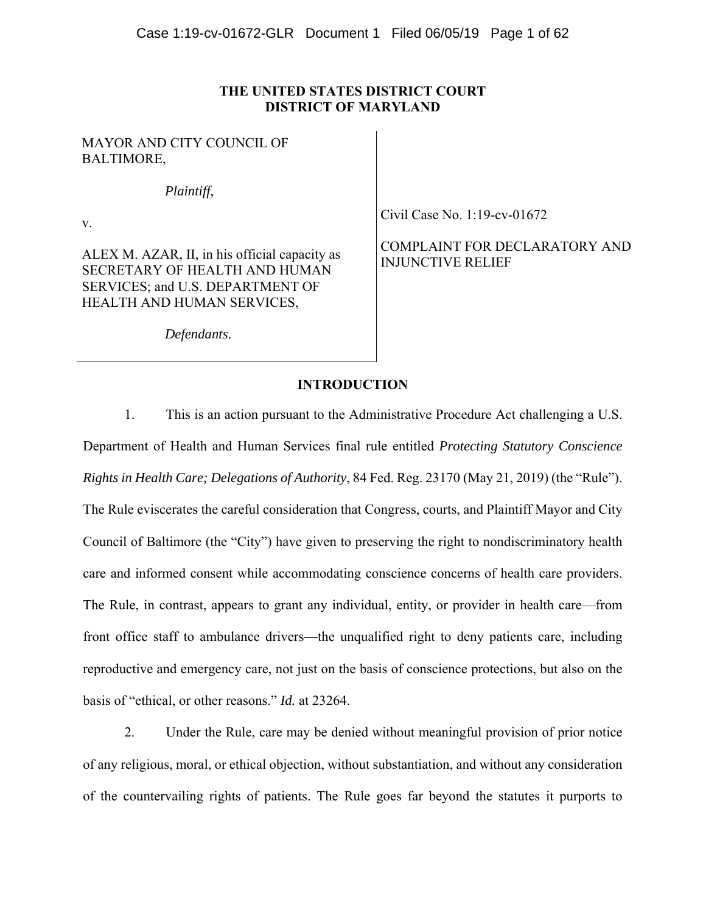## **THE UNITED STATES DISTRICT COURT DISTRICT OF MARYLAND**

## MAYOR AND CITY COUNCIL OF BALTIMORE,

*Plaintiff*,

v.

ALEX M. AZAR, II, in his official capacity as SECRETARY OF HEALTH AND HUMAN SERVICES; and U.S. DEPARTMENT OF HEALTH AND HUMAN SERVICES,

Civil Case No. 1:19-cv-01672

COMPLAINT FOR DECLARATORY AND INJUNCTIVE RELIEF

*Defendants*.

## **INTRODUCTION**

1. This is an action pursuant to the Administrative Procedure Act challenging a U.S. Department of Health and Human Services final rule entitled *Protecting Statutory Conscience Rights in Health Care; Delegations of Authority*, 84 Fed. Reg. 23170 (May 21, 2019) (the "Rule"). The Rule eviscerates the careful consideration that Congress, courts, and Plaintiff Mayor and City Council of Baltimore (the "City") have given to preserving the right to nondiscriminatory health care and informed consent while accommodating conscience concerns of health care providers. The Rule, in contrast, appears to grant any individual, entity, or provider in health care—from front office staff to ambulance drivers—the unqualified right to deny patients care, including reproductive and emergency care, not just on the basis of conscience protections, but also on the basis of "ethical, or other reasons." *Id.* at 23264.

2. Under the Rule, care may be denied without meaningful provision of prior notice of any religious, moral, or ethical objection, without substantiation, and without any consideration of the countervailing rights of patients. The Rule goes far beyond the statutes it purports to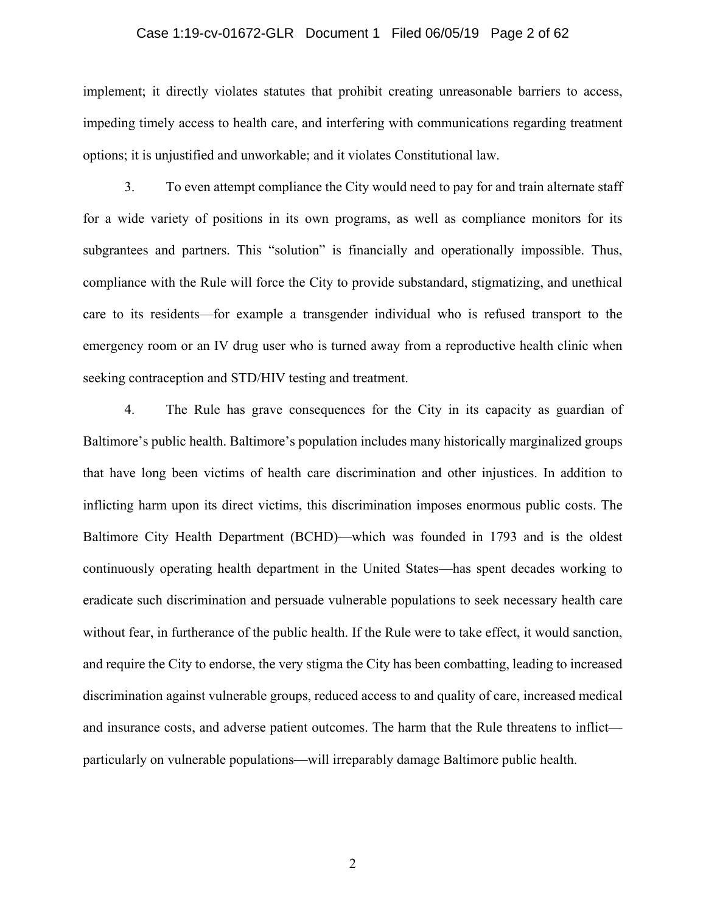#### Case 1:19-cv-01672-GLR Document 1 Filed 06/05/19 Page 2 of 62

implement; it directly violates statutes that prohibit creating unreasonable barriers to access, impeding timely access to health care, and interfering with communications regarding treatment options; it is unjustified and unworkable; and it violates Constitutional law.

3. To even attempt compliance the City would need to pay for and train alternate staff for a wide variety of positions in its own programs, as well as compliance monitors for its subgrantees and partners. This "solution" is financially and operationally impossible. Thus, compliance with the Rule will force the City to provide substandard, stigmatizing, and unethical care to its residents—for example a transgender individual who is refused transport to the emergency room or an IV drug user who is turned away from a reproductive health clinic when seeking contraception and STD/HIV testing and treatment.

4. The Rule has grave consequences for the City in its capacity as guardian of Baltimore's public health. Baltimore's population includes many historically marginalized groups that have long been victims of health care discrimination and other injustices. In addition to inflicting harm upon its direct victims, this discrimination imposes enormous public costs. The Baltimore City Health Department (BCHD)—which was founded in 1793 and is the oldest continuously operating health department in the United States—has spent decades working to eradicate such discrimination and persuade vulnerable populations to seek necessary health care without fear, in furtherance of the public health. If the Rule were to take effect, it would sanction, and require the City to endorse, the very stigma the City has been combatting, leading to increased discrimination against vulnerable groups, reduced access to and quality of care, increased medical and insurance costs, and adverse patient outcomes. The harm that the Rule threatens to inflict particularly on vulnerable populations—will irreparably damage Baltimore public health.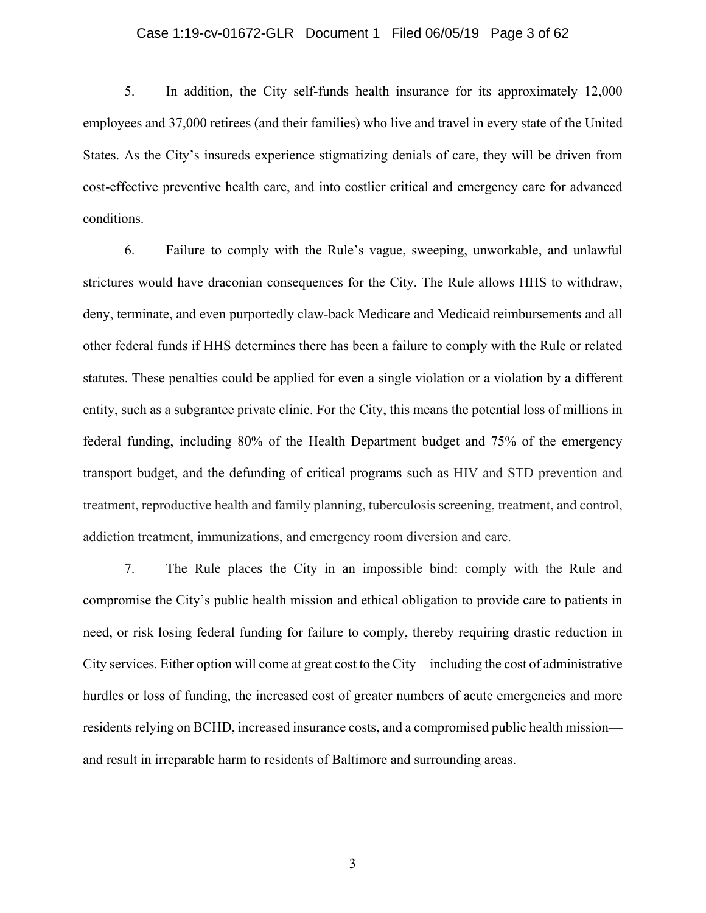### Case 1:19-cv-01672-GLR Document 1 Filed 06/05/19 Page 3 of 62

5. In addition, the City self-funds health insurance for its approximately 12,000 employees and 37,000 retirees (and their families) who live and travel in every state of the United States. As the City's insureds experience stigmatizing denials of care, they will be driven from cost-effective preventive health care, and into costlier critical and emergency care for advanced conditions.

6. Failure to comply with the Rule's vague, sweeping, unworkable, and unlawful strictures would have draconian consequences for the City. The Rule allows HHS to withdraw, deny, terminate, and even purportedly claw-back Medicare and Medicaid reimbursements and all other federal funds if HHS determines there has been a failure to comply with the Rule or related statutes. These penalties could be applied for even a single violation or a violation by a different entity, such as a subgrantee private clinic. For the City, this means the potential loss of millions in federal funding, including 80% of the Health Department budget and 75% of the emergency transport budget, and the defunding of critical programs such as HIV and STD prevention and treatment, reproductive health and family planning, tuberculosis screening, treatment, and control, addiction treatment, immunizations, and emergency room diversion and care.

7. The Rule places the City in an impossible bind: comply with the Rule and compromise the City's public health mission and ethical obligation to provide care to patients in need, or risk losing federal funding for failure to comply, thereby requiring drastic reduction in City services. Either option will come at great cost to the City—including the cost of administrative hurdles or loss of funding, the increased cost of greater numbers of acute emergencies and more residents relying on BCHD, increased insurance costs, and a compromised public health mission and result in irreparable harm to residents of Baltimore and surrounding areas.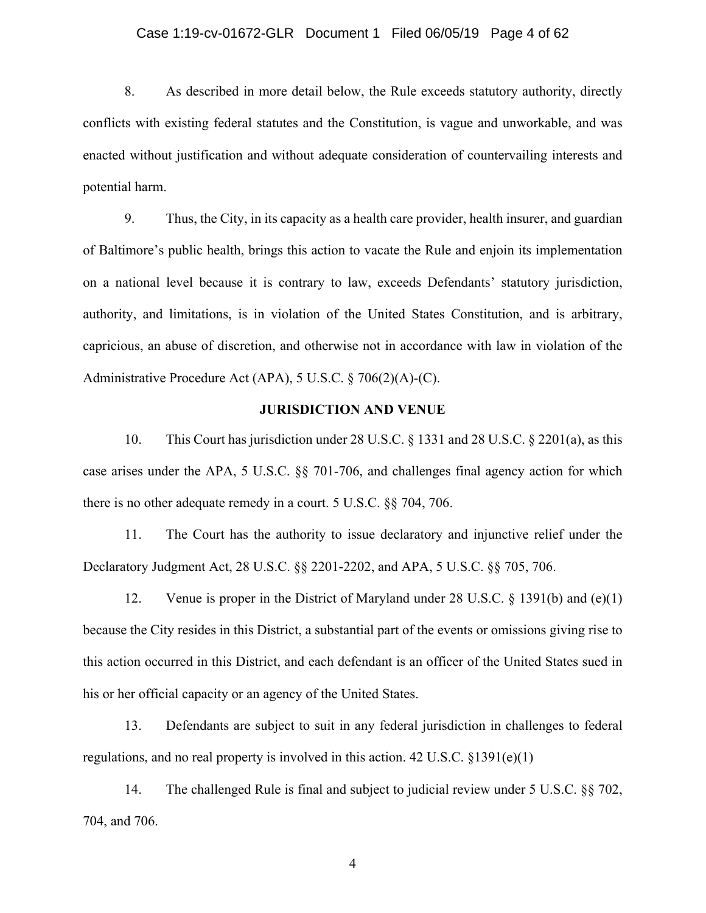#### Case 1:19-cv-01672-GLR Document 1 Filed 06/05/19 Page 4 of 62

8. As described in more detail below, the Rule exceeds statutory authority, directly conflicts with existing federal statutes and the Constitution, is vague and unworkable, and was enacted without justification and without adequate consideration of countervailing interests and potential harm.

9. Thus, the City, in its capacity as a health care provider, health insurer, and guardian of Baltimore's public health, brings this action to vacate the Rule and enjoin its implementation on a national level because it is contrary to law, exceeds Defendants' statutory jurisdiction, authority, and limitations, is in violation of the United States Constitution, and is arbitrary, capricious, an abuse of discretion, and otherwise not in accordance with law in violation of the Administrative Procedure Act (APA), 5 U.S.C. § 706(2)(A)-(C).

## **JURISDICTION AND VENUE**

10. This Court has jurisdiction under 28 U.S.C. § 1331 and 28 U.S.C. § 2201(a), as this case arises under the APA, 5 U.S.C. §§ 701-706, and challenges final agency action for which there is no other adequate remedy in a court. 5 U.S.C. §§ 704, 706.

11. The Court has the authority to issue declaratory and injunctive relief under the Declaratory Judgment Act, 28 U.S.C. §§ 2201*-*2202, and APA, 5 U.S.C. §§ 705, 706.

12. Venue is proper in the District of Maryland under 28 U.S.C. § 1391(b) and (e)(1) because the City resides in this District, a substantial part of the events or omissions giving rise to this action occurred in this District, and each defendant is an officer of the United States sued in his or her official capacity or an agency of the United States.

13. Defendants are subject to suit in any federal jurisdiction in challenges to federal regulations, and no real property is involved in this action. 42 U.S.C. §1391(e)(1)

14. The challenged Rule is final and subject to judicial review under 5 U.S.C. §§ 702, 704, and 706.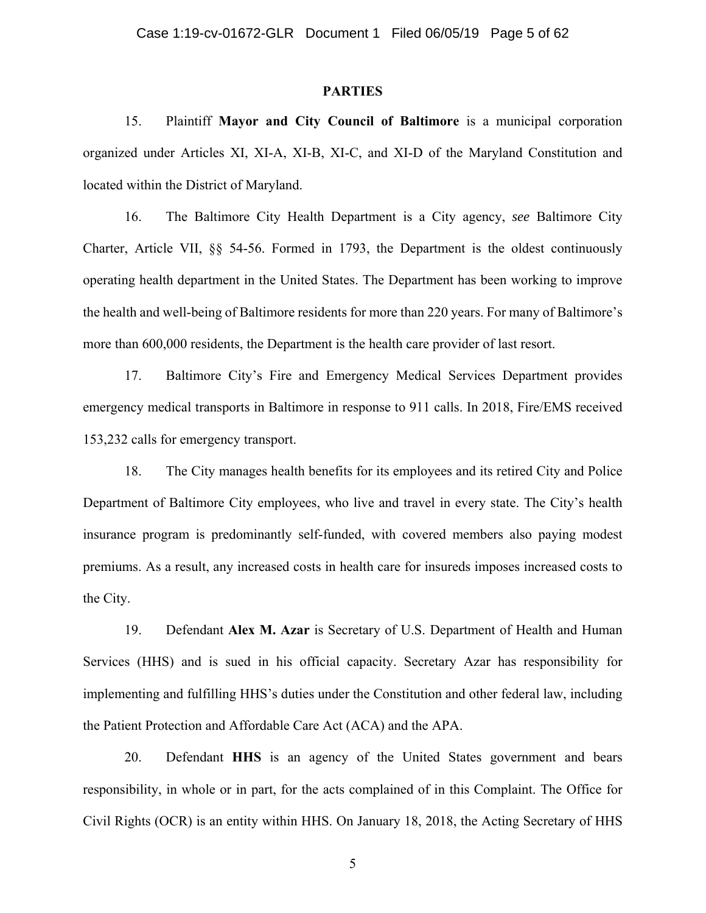### **PARTIES**

15. Plaintiff **Mayor and City Council of Baltimore** is a municipal corporation organized under Articles XI, XI-A, XI-B, XI-C, and XI-D of the Maryland Constitution and located within the District of Maryland.

16. The Baltimore City Health Department is a City agency, *see* Baltimore City Charter, Article VII, §§ 54-56. Formed in 1793, the Department is the oldest continuously operating health department in the United States. The Department has been working to improve the health and well-being of Baltimore residents for more than 220 years. For many of Baltimore's more than 600,000 residents, the Department is the health care provider of last resort.

17. Baltimore City's Fire and Emergency Medical Services Department provides emergency medical transports in Baltimore in response to 911 calls. In 2018, Fire/EMS received 153,232 calls for emergency transport.

18. The City manages health benefits for its employees and its retired City and Police Department of Baltimore City employees, who live and travel in every state. The City's health insurance program is predominantly self-funded, with covered members also paying modest premiums. As a result, any increased costs in health care for insureds imposes increased costs to the City.

19. Defendant **Alex M. Azar** is Secretary of U.S. Department of Health and Human Services (HHS) and is sued in his official capacity. Secretary Azar has responsibility for implementing and fulfilling HHS's duties under the Constitution and other federal law, including the Patient Protection and Affordable Care Act (ACA) and the APA.

20. Defendant **HHS** is an agency of the United States government and bears responsibility, in whole or in part, for the acts complained of in this Complaint. The Office for Civil Rights (OCR) is an entity within HHS. On January 18, 2018, the Acting Secretary of HHS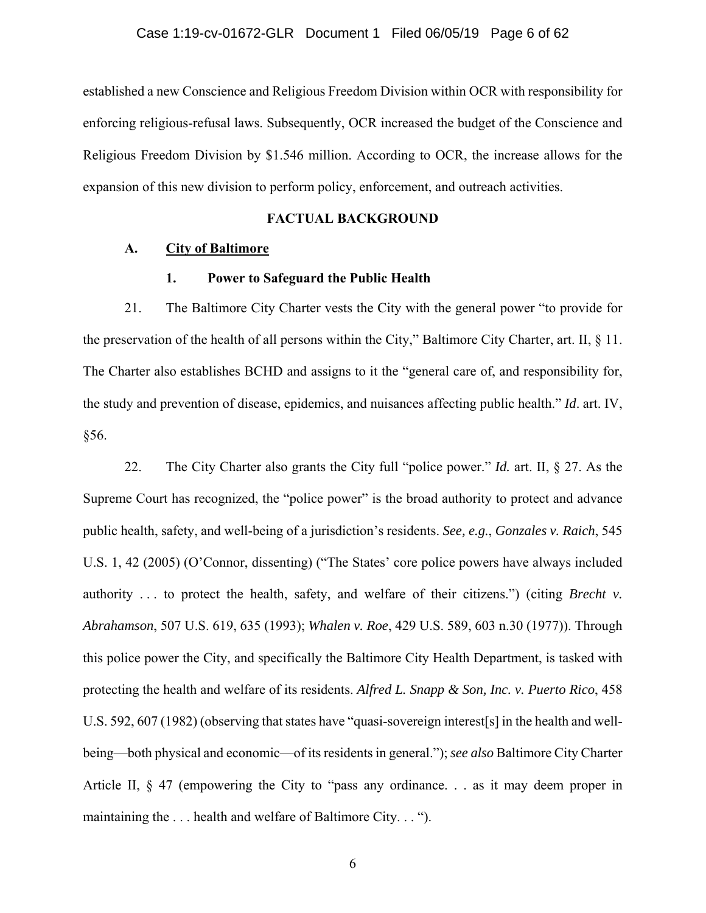established a new Conscience and Religious Freedom Division within OCR with responsibility for enforcing religious-refusal laws. Subsequently, OCR increased the budget of the Conscience and Religious Freedom Division by \$1.546 million. According to OCR, the increase allows for the expansion of this new division to perform policy, enforcement, and outreach activities.

## **FACTUAL BACKGROUND**

## **A. City of Baltimore**

### **1. Power to Safeguard the Public Health**

21. The Baltimore City Charter vests the City with the general power "to provide for the preservation of the health of all persons within the City," Baltimore City Charter, art. II, § 11. The Charter also establishes BCHD and assigns to it the "general care of, and responsibility for, the study and prevention of disease, epidemics, and nuisances affecting public health." *Id*. art. IV, §56.

22. The City Charter also grants the City full "police power." *Id.* art. II, § 27. As the Supreme Court has recognized, the "police power" is the broad authority to protect and advance public health, safety, and well-being of a jurisdiction's residents. *See, e.g.*, *Gonzales v. Raich*, 545 U.S. 1, 42 (2005) (O'Connor, dissenting) ("The States' core police powers have always included authority . . . to protect the health, safety, and welfare of their citizens.") (citing *Brecht v. Abrahamson*, 507 U.S. 619, 635 (1993); *Whalen v. Roe*, 429 U.S. 589, 603 n.30 (1977)). Through this police power the City, and specifically the Baltimore City Health Department, is tasked with protecting the health and welfare of its residents. *Alfred L. Snapp & Son, Inc. v. Puerto Rico*, 458 U.S. 592, 607 (1982) (observing that states have "quasi-sovereign interest[s] in the health and wellbeing—both physical and economic—of its residents in general."); *see also* Baltimore City Charter Article II, § 47 (empowering the City to "pass any ordinance. . . as it may deem proper in maintaining the . . . health and welfare of Baltimore City. . . ").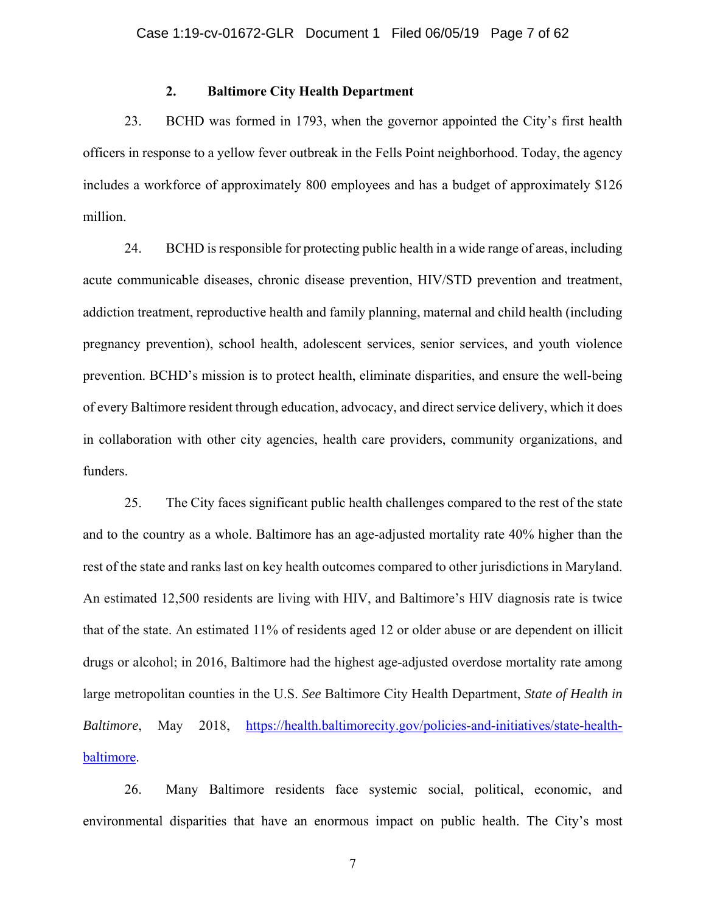## **2. Baltimore City Health Department**

23. BCHD was formed in 1793, when the governor appointed the City's first health officers in response to a yellow fever outbreak in the Fells Point neighborhood. Today, the agency includes a workforce of approximately 800 employees and has a budget of approximately \$126 million.

24. BCHD is responsible for protecting public health in a wide range of areas, including acute communicable diseases, chronic disease prevention, HIV/STD prevention and treatment, addiction treatment, reproductive health and family planning, maternal and child health (including pregnancy prevention), school health, adolescent services, senior services, and youth violence prevention. BCHD's mission is to protect health, eliminate disparities, and ensure the well-being of every Baltimore resident through education, advocacy, and direct service delivery, which it does in collaboration with other city agencies, health care providers, community organizations, and funders.

25. The City faces significant public health challenges compared to the rest of the state and to the country as a whole. Baltimore has an age-adjusted mortality rate 40% higher than the rest of the state and ranks last on key health outcomes compared to other jurisdictions in Maryland. An estimated 12,500 residents are living with HIV, and Baltimore's HIV diagnosis rate is twice that of the state. An estimated 11% of residents aged 12 or older abuse or are dependent on illicit drugs or alcohol; in 2016, Baltimore had the highest age-adjusted overdose mortality rate among large metropolitan counties in the U.S. *See* Baltimore City Health Department, *State of Health in Baltimore*, May 2018, https://health.baltimorecity.gov/policies-and-initiatives/state-healthbaltimore.

26. Many Baltimore residents face systemic social, political, economic, and environmental disparities that have an enormous impact on public health. The City's most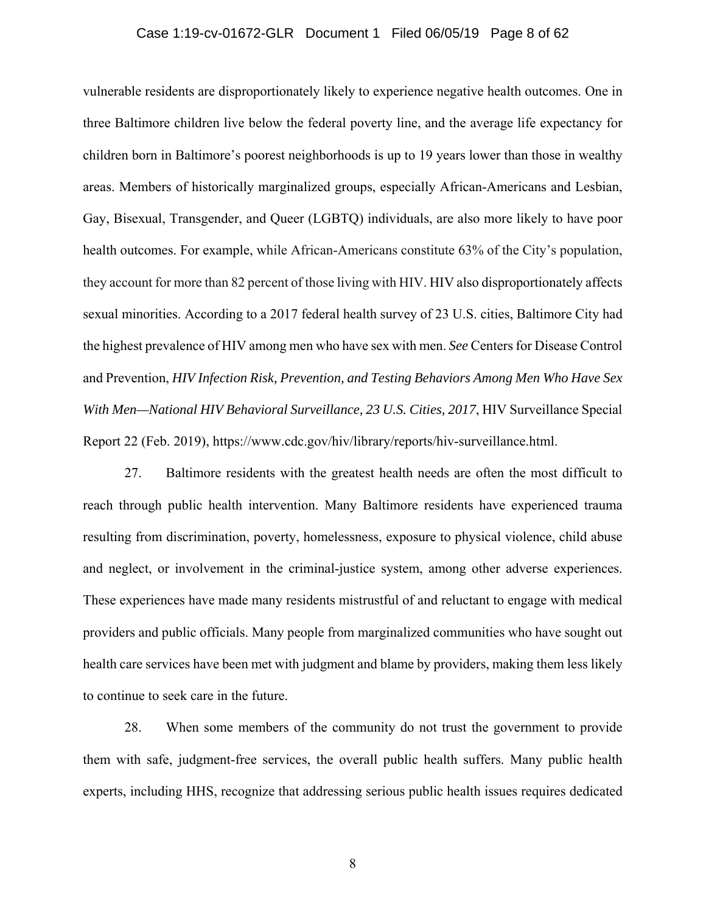#### Case 1:19-cv-01672-GLR Document 1 Filed 06/05/19 Page 8 of 62

vulnerable residents are disproportionately likely to experience negative health outcomes. One in three Baltimore children live below the federal poverty line, and the average life expectancy for children born in Baltimore's poorest neighborhoods is up to 19 years lower than those in wealthy areas. Members of historically marginalized groups, especially African-Americans and Lesbian, Gay, Bisexual, Transgender, and Queer (LGBTQ) individuals, are also more likely to have poor health outcomes. For example, while African-Americans constitute 63% of the City's population, they account for more than 82 percent of those living with HIV. HIV also disproportionately affects sexual minorities. According to a 2017 federal health survey of 23 U.S. cities, Baltimore City had the highest prevalence of HIV among men who have sex with men. *See* Centers for Disease Control and Prevention, *HIV Infection Risk, Prevention, and Testing Behaviors Among Men Who Have Sex With Men—National HIV Behavioral Surveillance, 23 U.S. Cities, 2017*, HIV Surveillance Special Report 22 (Feb. 2019), https://www.cdc.gov/hiv/library/reports/hiv-surveillance.html.

27. Baltimore residents with the greatest health needs are often the most difficult to reach through public health intervention. Many Baltimore residents have experienced trauma resulting from discrimination, poverty, homelessness, exposure to physical violence, child abuse and neglect, or involvement in the criminal-justice system, among other adverse experiences. These experiences have made many residents mistrustful of and reluctant to engage with medical providers and public officials. Many people from marginalized communities who have sought out health care services have been met with judgment and blame by providers, making them less likely to continue to seek care in the future.

28. When some members of the community do not trust the government to provide them with safe, judgment-free services, the overall public health suffers. Many public health experts, including HHS, recognize that addressing serious public health issues requires dedicated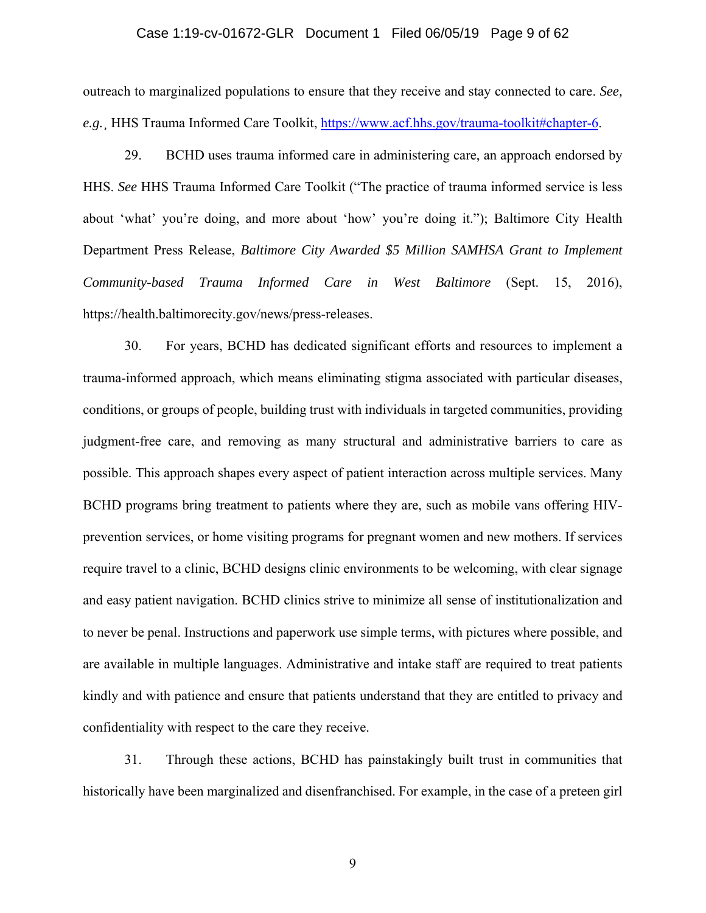### Case 1:19-cv-01672-GLR Document 1 Filed 06/05/19 Page 9 of 62

outreach to marginalized populations to ensure that they receive and stay connected to care. *See, e.g.*¸ HHS Trauma Informed Care Toolkit, https://www.acf.hhs.gov/trauma-toolkit#chapter-6.

29. BCHD uses trauma informed care in administering care, an approach endorsed by HHS. *See* HHS Trauma Informed Care Toolkit ("The practice of trauma informed service is less about 'what' you're doing, and more about 'how' you're doing it."); Baltimore City Health Department Press Release, *Baltimore City Awarded \$5 Million SAMHSA Grant to Implement Community-based Trauma Informed Care in West Baltimore* (Sept. 15, 2016), https://health.baltimorecity.gov/news/press-releases.

30. For years, BCHD has dedicated significant efforts and resources to implement a trauma-informed approach, which means eliminating stigma associated with particular diseases, conditions, or groups of people, building trust with individuals in targeted communities, providing judgment-free care, and removing as many structural and administrative barriers to care as possible. This approach shapes every aspect of patient interaction across multiple services. Many BCHD programs bring treatment to patients where they are, such as mobile vans offering HIVprevention services, or home visiting programs for pregnant women and new mothers. If services require travel to a clinic, BCHD designs clinic environments to be welcoming, with clear signage and easy patient navigation. BCHD clinics strive to minimize all sense of institutionalization and to never be penal. Instructions and paperwork use simple terms, with pictures where possible, and are available in multiple languages. Administrative and intake staff are required to treat patients kindly and with patience and ensure that patients understand that they are entitled to privacy and confidentiality with respect to the care they receive.

31. Through these actions, BCHD has painstakingly built trust in communities that historically have been marginalized and disenfranchised. For example, in the case of a preteen girl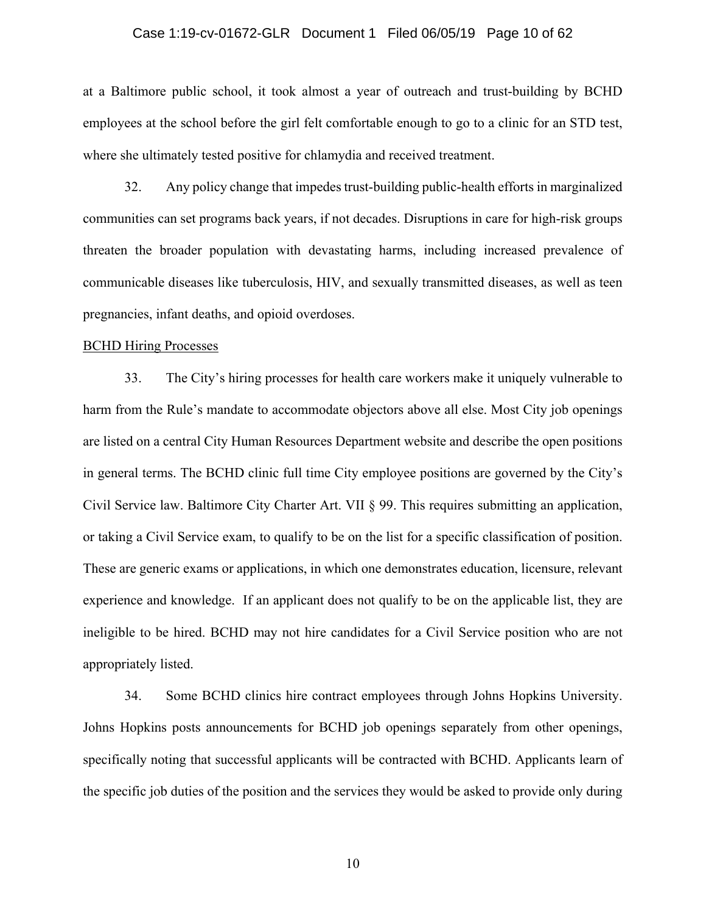### Case 1:19-cv-01672-GLR Document 1 Filed 06/05/19 Page 10 of 62

at a Baltimore public school, it took almost a year of outreach and trust-building by BCHD employees at the school before the girl felt comfortable enough to go to a clinic for an STD test, where she ultimately tested positive for chlamydia and received treatment.

32. Any policy change that impedes trust-building public-health efforts in marginalized communities can set programs back years, if not decades. Disruptions in care for high-risk groups threaten the broader population with devastating harms, including increased prevalence of communicable diseases like tuberculosis, HIV, and sexually transmitted diseases, as well as teen pregnancies, infant deaths, and opioid overdoses.

#### BCHD Hiring Processes

33. The City's hiring processes for health care workers make it uniquely vulnerable to harm from the Rule's mandate to accommodate objectors above all else. Most City job openings are listed on a central City Human Resources Department website and describe the open positions in general terms. The BCHD clinic full time City employee positions are governed by the City's Civil Service law. Baltimore City Charter Art. VII § 99. This requires submitting an application, or taking a Civil Service exam, to qualify to be on the list for a specific classification of position. These are generic exams or applications, in which one demonstrates education, licensure, relevant experience and knowledge. If an applicant does not qualify to be on the applicable list, they are ineligible to be hired. BCHD may not hire candidates for a Civil Service position who are not appropriately listed.

34. Some BCHD clinics hire contract employees through Johns Hopkins University. Johns Hopkins posts announcements for BCHD job openings separately from other openings, specifically noting that successful applicants will be contracted with BCHD. Applicants learn of the specific job duties of the position and the services they would be asked to provide only during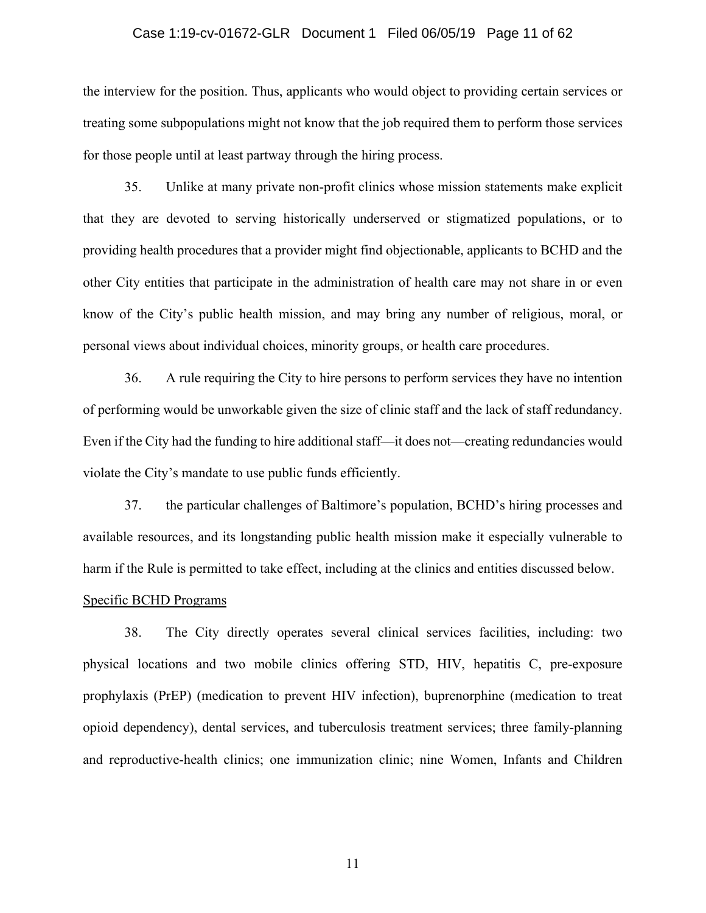#### Case 1:19-cv-01672-GLR Document 1 Filed 06/05/19 Page 11 of 62

the interview for the position. Thus, applicants who would object to providing certain services or treating some subpopulations might not know that the job required them to perform those services for those people until at least partway through the hiring process.

35. Unlike at many private non-profit clinics whose mission statements make explicit that they are devoted to serving historically underserved or stigmatized populations, or to providing health procedures that a provider might find objectionable, applicants to BCHD and the other City entities that participate in the administration of health care may not share in or even know of the City's public health mission, and may bring any number of religious, moral, or personal views about individual choices, minority groups, or health care procedures.

36. A rule requiring the City to hire persons to perform services they have no intention of performing would be unworkable given the size of clinic staff and the lack of staff redundancy. Even if the City had the funding to hire additional staff—it does not—creating redundancies would violate the City's mandate to use public funds efficiently.

37. the particular challenges of Baltimore's population, BCHD's hiring processes and available resources, and its longstanding public health mission make it especially vulnerable to harm if the Rule is permitted to take effect, including at the clinics and entities discussed below.

### Specific BCHD Programs

38. The City directly operates several clinical services facilities, including: two physical locations and two mobile clinics offering STD, HIV, hepatitis C, pre-exposure prophylaxis (PrEP) (medication to prevent HIV infection), buprenorphine (medication to treat opioid dependency), dental services, and tuberculosis treatment services; three family-planning and reproductive-health clinics; one immunization clinic; nine Women, Infants and Children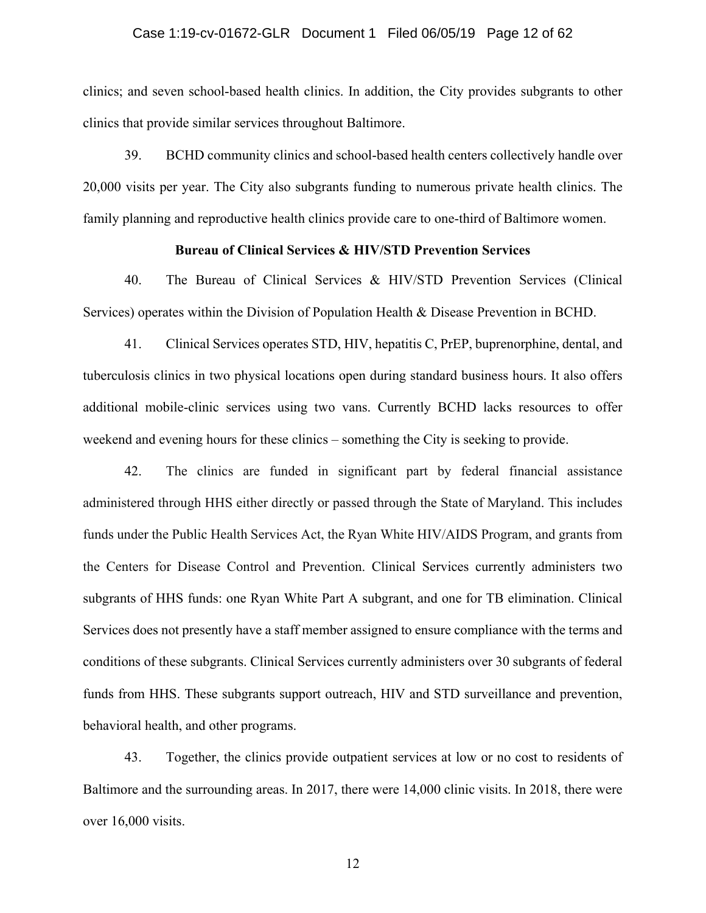### Case 1:19-cv-01672-GLR Document 1 Filed 06/05/19 Page 12 of 62

clinics; and seven school-based health clinics. In addition, the City provides subgrants to other clinics that provide similar services throughout Baltimore.

39. BCHD community clinics and school-based health centers collectively handle over 20,000 visits per year. The City also subgrants funding to numerous private health clinics. The family planning and reproductive health clinics provide care to one-third of Baltimore women.

### **Bureau of Clinical Services & HIV/STD Prevention Services**

40. The Bureau of Clinical Services & HIV/STD Prevention Services (Clinical Services) operates within the Division of Population Health & Disease Prevention in BCHD.

41. Clinical Services operates STD, HIV, hepatitis C, PrEP, buprenorphine, dental, and tuberculosis clinics in two physical locations open during standard business hours. It also offers additional mobile-clinic services using two vans. Currently BCHD lacks resources to offer weekend and evening hours for these clinics – something the City is seeking to provide.

42. The clinics are funded in significant part by federal financial assistance administered through HHS either directly or passed through the State of Maryland. This includes funds under the Public Health Services Act, the Ryan White HIV/AIDS Program, and grants from the Centers for Disease Control and Prevention. Clinical Services currently administers two subgrants of HHS funds: one Ryan White Part A subgrant, and one for TB elimination. Clinical Services does not presently have a staff member assigned to ensure compliance with the terms and conditions of these subgrants. Clinical Services currently administers over 30 subgrants of federal funds from HHS. These subgrants support outreach, HIV and STD surveillance and prevention, behavioral health, and other programs.

43. Together, the clinics provide outpatient services at low or no cost to residents of Baltimore and the surrounding areas. In 2017, there were 14,000 clinic visits. In 2018, there were over 16,000 visits.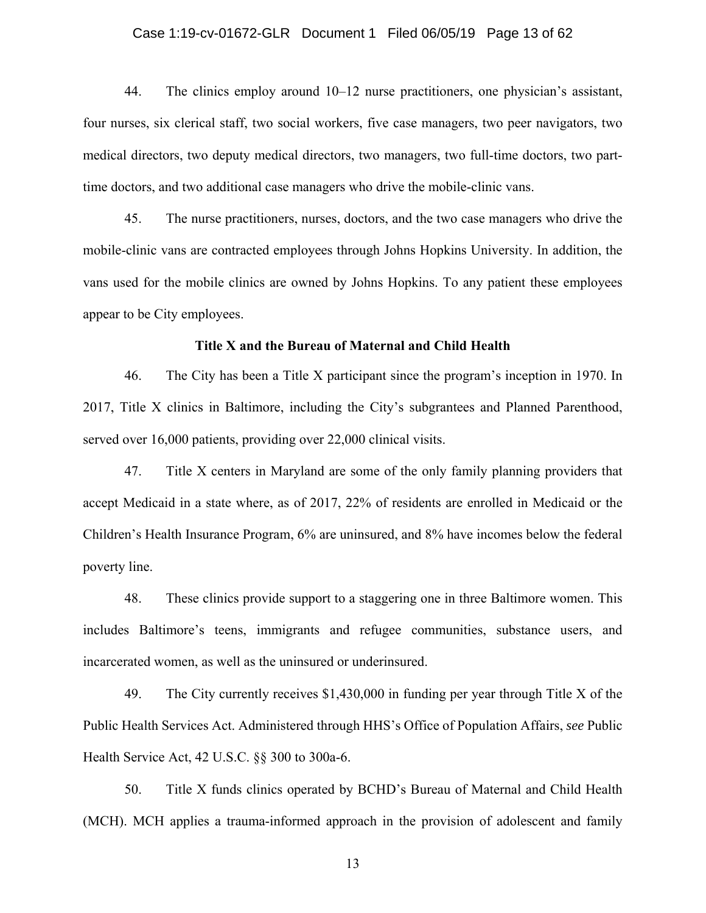### Case 1:19-cv-01672-GLR Document 1 Filed 06/05/19 Page 13 of 62

44. The clinics employ around 10–12 nurse practitioners, one physician's assistant, four nurses, six clerical staff, two social workers, five case managers, two peer navigators, two medical directors, two deputy medical directors, two managers, two full-time doctors, two parttime doctors, and two additional case managers who drive the mobile-clinic vans.

45. The nurse practitioners, nurses, doctors, and the two case managers who drive the mobile-clinic vans are contracted employees through Johns Hopkins University. In addition, the vans used for the mobile clinics are owned by Johns Hopkins. To any patient these employees appear to be City employees.

#### **Title X and the Bureau of Maternal and Child Health**

46. The City has been a Title X participant since the program's inception in 1970. In 2017, Title X clinics in Baltimore, including the City's subgrantees and Planned Parenthood, served over 16,000 patients, providing over 22,000 clinical visits.

47. Title X centers in Maryland are some of the only family planning providers that accept Medicaid in a state where, as of 2017, 22% of residents are enrolled in Medicaid or the Children's Health Insurance Program, 6% are uninsured, and 8% have incomes below the federal poverty line.

48. These clinics provide support to a staggering one in three Baltimore women. This includes Baltimore's teens, immigrants and refugee communities, substance users, and incarcerated women, as well as the uninsured or underinsured.

49. The City currently receives \$1,430,000 in funding per year through Title X of the Public Health Services Act. Administered through HHS's Office of Population Affairs, *see* Public Health Service Act, 42 U.S.C. §§ 300 to 300a-6.

50. Title X funds clinics operated by BCHD's Bureau of Maternal and Child Health (MCH). MCH applies a trauma-informed approach in the provision of adolescent and family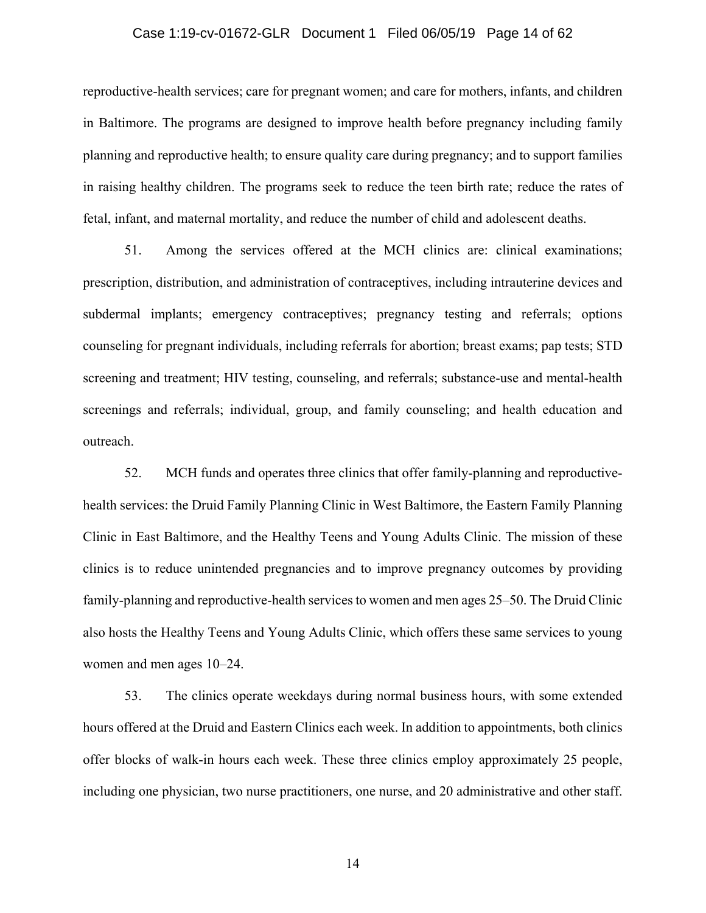### Case 1:19-cv-01672-GLR Document 1 Filed 06/05/19 Page 14 of 62

reproductive-health services; care for pregnant women; and care for mothers, infants, and children in Baltimore. The programs are designed to improve health before pregnancy including family planning and reproductive health; to ensure quality care during pregnancy; and to support families in raising healthy children. The programs seek to reduce the teen birth rate; reduce the rates of fetal, infant, and maternal mortality, and reduce the number of child and adolescent deaths.

51. Among the services offered at the MCH clinics are: clinical examinations; prescription, distribution, and administration of contraceptives, including intrauterine devices and subdermal implants; emergency contraceptives; pregnancy testing and referrals; options counseling for pregnant individuals, including referrals for abortion; breast exams; pap tests; STD screening and treatment; HIV testing, counseling, and referrals; substance-use and mental-health screenings and referrals; individual, group, and family counseling; and health education and outreach.

52. MCH funds and operates three clinics that offer family-planning and reproductivehealth services: the Druid Family Planning Clinic in West Baltimore, the Eastern Family Planning Clinic in East Baltimore, and the Healthy Teens and Young Adults Clinic. The mission of these clinics is to reduce unintended pregnancies and to improve pregnancy outcomes by providing family-planning and reproductive-health services to women and men ages 25–50. The Druid Clinic also hosts the Healthy Teens and Young Adults Clinic, which offers these same services to young women and men ages 10–24.

53. The clinics operate weekdays during normal business hours, with some extended hours offered at the Druid and Eastern Clinics each week. In addition to appointments, both clinics offer blocks of walk-in hours each week. These three clinics employ approximately 25 people, including one physician, two nurse practitioners, one nurse, and 20 administrative and other staff.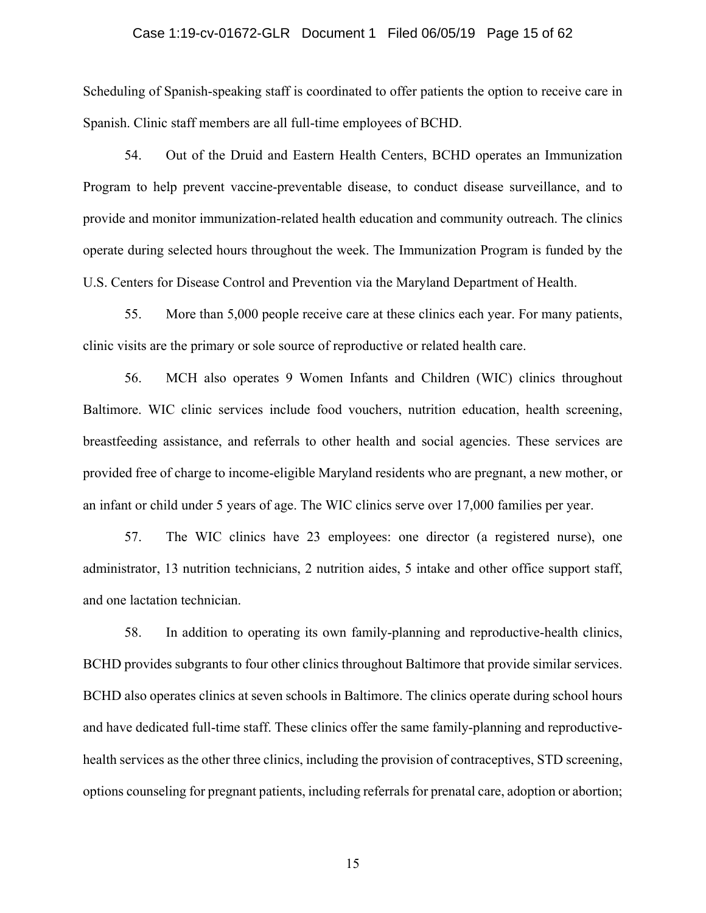#### Case 1:19-cv-01672-GLR Document 1 Filed 06/05/19 Page 15 of 62

Scheduling of Spanish-speaking staff is coordinated to offer patients the option to receive care in Spanish. Clinic staff members are all full-time employees of BCHD.

54. Out of the Druid and Eastern Health Centers, BCHD operates an Immunization Program to help prevent vaccine-preventable disease, to conduct disease surveillance, and to provide and monitor immunization-related health education and community outreach. The clinics operate during selected hours throughout the week. The Immunization Program is funded by the U.S. Centers for Disease Control and Prevention via the Maryland Department of Health.

55. More than 5,000 people receive care at these clinics each year. For many patients, clinic visits are the primary or sole source of reproductive or related health care.

56. MCH also operates 9 Women Infants and Children (WIC) clinics throughout Baltimore. WIC clinic services include food vouchers, nutrition education, health screening, breastfeeding assistance, and referrals to other health and social agencies. These services are provided free of charge to income-eligible Maryland residents who are pregnant, a new mother, or an infant or child under 5 years of age. The WIC clinics serve over 17,000 families per year.

57. The WIC clinics have 23 employees: one director (a registered nurse), one administrator, 13 nutrition technicians, 2 nutrition aides, 5 intake and other office support staff, and one lactation technician.

58. In addition to operating its own family-planning and reproductive-health clinics, BCHD provides subgrants to four other clinics throughout Baltimore that provide similar services. BCHD also operates clinics at seven schools in Baltimore. The clinics operate during school hours and have dedicated full-time staff. These clinics offer the same family-planning and reproductivehealth services as the other three clinics, including the provision of contraceptives, STD screening, options counseling for pregnant patients, including referrals for prenatal care, adoption or abortion;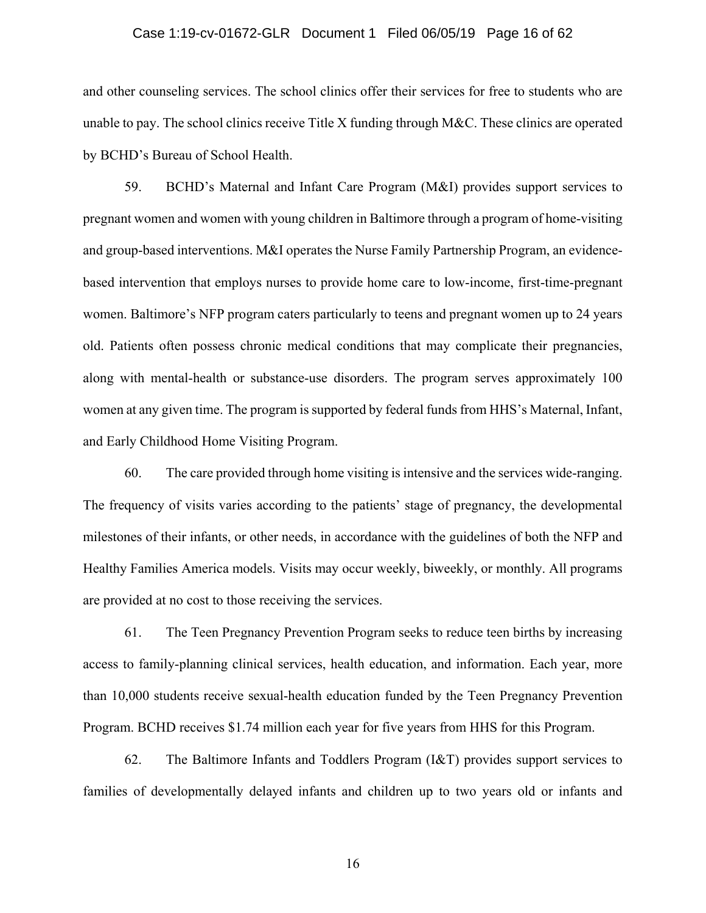#### Case 1:19-cv-01672-GLR Document 1 Filed 06/05/19 Page 16 of 62

and other counseling services. The school clinics offer their services for free to students who are unable to pay. The school clinics receive Title X funding through M&C. These clinics are operated by BCHD's Bureau of School Health.

59. BCHD's Maternal and Infant Care Program (M&I) provides support services to pregnant women and women with young children in Baltimore through a program of home-visiting and group-based interventions. M&I operates the Nurse Family Partnership Program, an evidencebased intervention that employs nurses to provide home care to low-income, first-time-pregnant women. Baltimore's NFP program caters particularly to teens and pregnant women up to 24 years old. Patients often possess chronic medical conditions that may complicate their pregnancies, along with mental-health or substance-use disorders. The program serves approximately 100 women at any given time. The program is supported by federal funds from HHS's Maternal, Infant, and Early Childhood Home Visiting Program.

60. The care provided through home visiting is intensive and the services wide-ranging. The frequency of visits varies according to the patients' stage of pregnancy, the developmental milestones of their infants, or other needs, in accordance with the guidelines of both the NFP and Healthy Families America models. Visits may occur weekly, biweekly, or monthly. All programs are provided at no cost to those receiving the services.

61. The Teen Pregnancy Prevention Program seeks to reduce teen births by increasing access to family-planning clinical services, health education, and information. Each year, more than 10,000 students receive sexual-health education funded by the Teen Pregnancy Prevention Program. BCHD receives \$1.74 million each year for five years from HHS for this Program.

62. The Baltimore Infants and Toddlers Program (I&T) provides support services to families of developmentally delayed infants and children up to two years old or infants and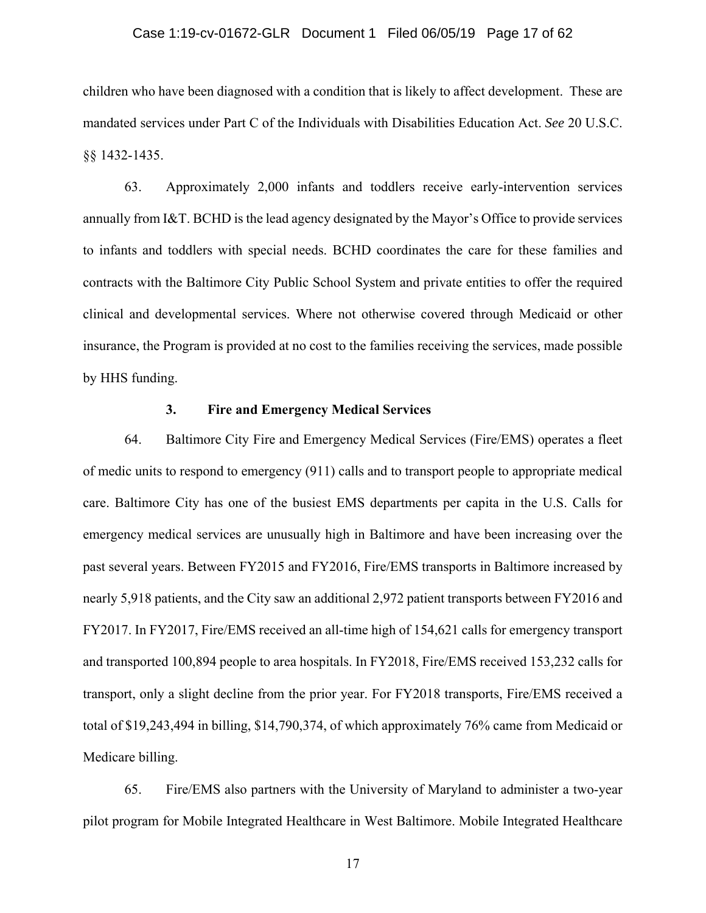#### Case 1:19-cv-01672-GLR Document 1 Filed 06/05/19 Page 17 of 62

children who have been diagnosed with a condition that is likely to affect development. These are mandated services under Part C of the Individuals with Disabilities Education Act. *See* 20 U.S.C. §§ 1432-1435.

63. Approximately 2,000 infants and toddlers receive early-intervention services annually from I&T. BCHD is the lead agency designated by the Mayor's Office to provide services to infants and toddlers with special needs. BCHD coordinates the care for these families and contracts with the Baltimore City Public School System and private entities to offer the required clinical and developmental services. Where not otherwise covered through Medicaid or other insurance, the Program is provided at no cost to the families receiving the services, made possible by HHS funding.

#### **3. Fire and Emergency Medical Services**

64. Baltimore City Fire and Emergency Medical Services (Fire/EMS) operates a fleet of medic units to respond to emergency (911) calls and to transport people to appropriate medical care. Baltimore City has one of the busiest EMS departments per capita in the U.S. Calls for emergency medical services are unusually high in Baltimore and have been increasing over the past several years. Between FY2015 and FY2016, Fire/EMS transports in Baltimore increased by nearly 5,918 patients, and the City saw an additional 2,972 patient transports between FY2016 and FY2017. In FY2017, Fire/EMS received an all-time high of 154,621 calls for emergency transport and transported 100,894 people to area hospitals. In FY2018, Fire/EMS received 153,232 calls for transport, only a slight decline from the prior year. For FY2018 transports, Fire/EMS received a total of \$19,243,494 in billing, \$14,790,374, of which approximately 76% came from Medicaid or Medicare billing.

65. Fire/EMS also partners with the University of Maryland to administer a two-year pilot program for Mobile Integrated Healthcare in West Baltimore. Mobile Integrated Healthcare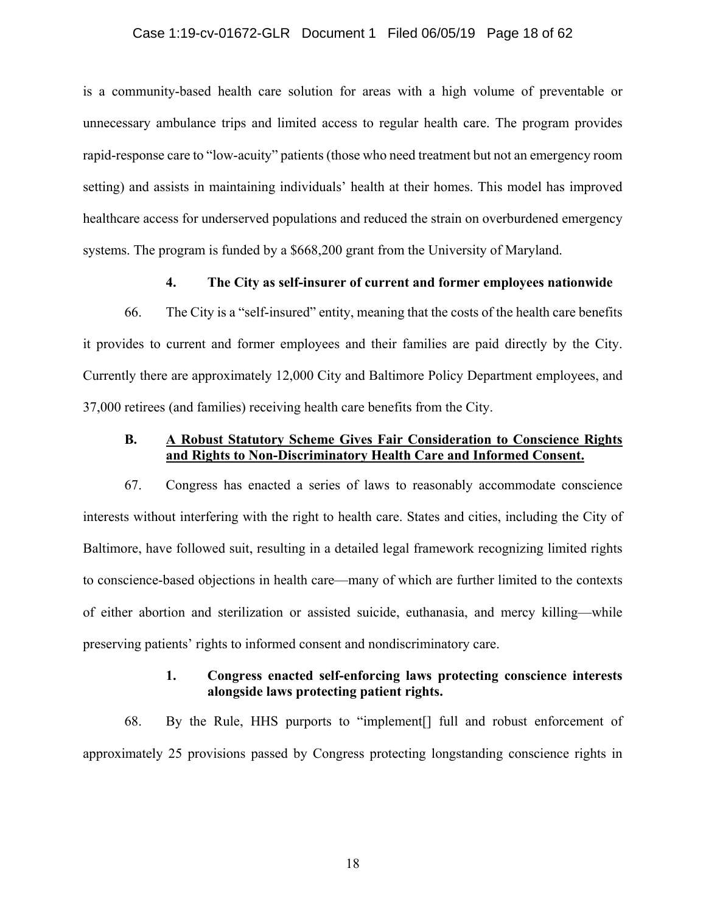### Case 1:19-cv-01672-GLR Document 1 Filed 06/05/19 Page 18 of 62

is a community-based health care solution for areas with a high volume of preventable or unnecessary ambulance trips and limited access to regular health care. The program provides rapid-response care to "low-acuity" patients (those who need treatment but not an emergency room setting) and assists in maintaining individuals' health at their homes. This model has improved healthcare access for underserved populations and reduced the strain on overburdened emergency systems. The program is funded by a \$668,200 grant from the University of Maryland.

### **4. The City as self-insurer of current and former employees nationwide**

66. The City is a "self-insured" entity, meaning that the costs of the health care benefits it provides to current and former employees and their families are paid directly by the City. Currently there are approximately 12,000 City and Baltimore Policy Department employees, and 37,000 retirees (and families) receiving health care benefits from the City.

# **B. A Robust Statutory Scheme Gives Fair Consideration to Conscience Rights and Rights to Non-Discriminatory Health Care and Informed Consent.**

67. Congress has enacted a series of laws to reasonably accommodate conscience interests without interfering with the right to health care. States and cities, including the City of Baltimore, have followed suit, resulting in a detailed legal framework recognizing limited rights to conscience-based objections in health care—many of which are further limited to the contexts of either abortion and sterilization or assisted suicide, euthanasia, and mercy killing—while preserving patients' rights to informed consent and nondiscriminatory care.

## **1. Congress enacted self-enforcing laws protecting conscience interests alongside laws protecting patient rights.**

68. By the Rule, HHS purports to "implement[] full and robust enforcement of approximately 25 provisions passed by Congress protecting longstanding conscience rights in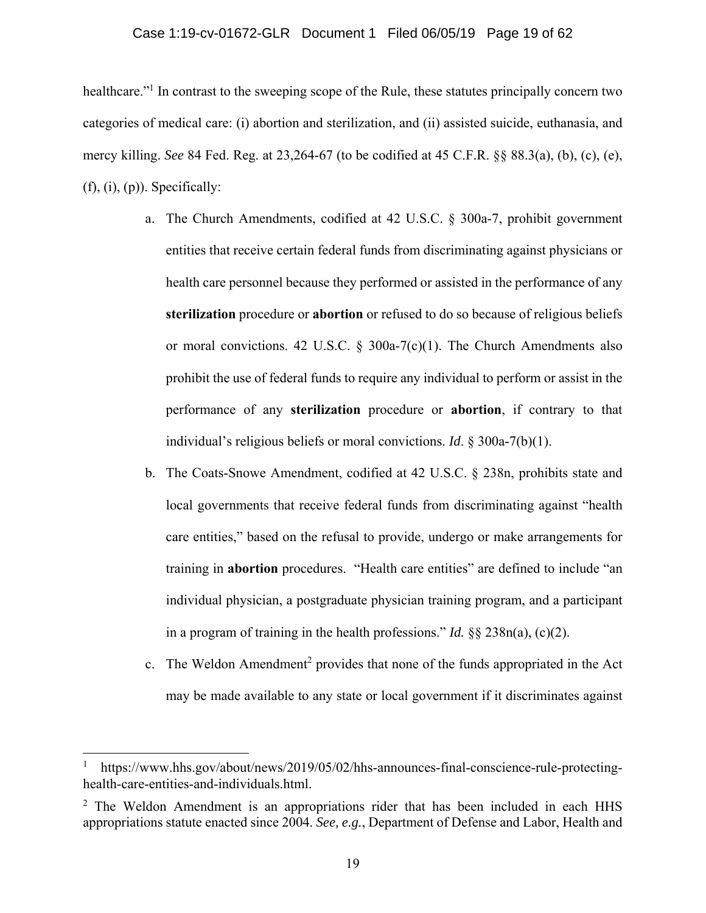#### Case 1:19-cv-01672-GLR Document 1 Filed 06/05/19 Page 19 of 62

healthcare."<sup>1</sup> In contrast to the sweeping scope of the Rule, these statutes principally concern two categories of medical care: (i) abortion and sterilization, and (ii) assisted suicide, euthanasia, and mercy killing. *See* 84 Fed. Reg. at 23,264-67 (to be codified at 45 C.F.R. §§ 88.3(a), (b), (c), (e),  $(f), (i), (p)$ ). Specifically:

- a. The Church Amendments, codified at 42 U.S.C. § 300a-7, prohibit government entities that receive certain federal funds from discriminating against physicians or health care personnel because they performed or assisted in the performance of any **sterilization** procedure or **abortion** or refused to do so because of religious beliefs or moral convictions. 42 U.S.C.  $\S$  300a-7(c)(1). The Church Amendments also prohibit the use of federal funds to require any individual to perform or assist in the performance of any **sterilization** procedure or **abortion**, if contrary to that individual's religious beliefs or moral convictions. *Id*. § 300a-7(b)(1).
- b. The Coats-Snowe Amendment, codified at 42 U.S.C. § 238n, prohibits state and local governments that receive federal funds from discriminating against "health care entities," based on the refusal to provide, undergo or make arrangements for training in **abortion** procedures. "Health care entities" are defined to include "an individual physician, a postgraduate physician training program, and a participant in a program of training in the health professions." *Id.* §§ 238n(a), (c)(2).
- c. The Weldon Amendment<sup>2</sup> provides that none of the funds appropriated in the Act may be made available to any state or local government if it discriminates against

<u>.</u>

<sup>1</sup> https://www.hhs.gov/about/news/2019/05/02/hhs-announces-final-conscience-rule-protectinghealth-care-entities-and-individuals.html.

<sup>&</sup>lt;sup>2</sup> The Weldon Amendment is an appropriations rider that has been included in each HHS appropriations statute enacted since 2004. *See, e.g.*, Department of Defense and Labor, Health and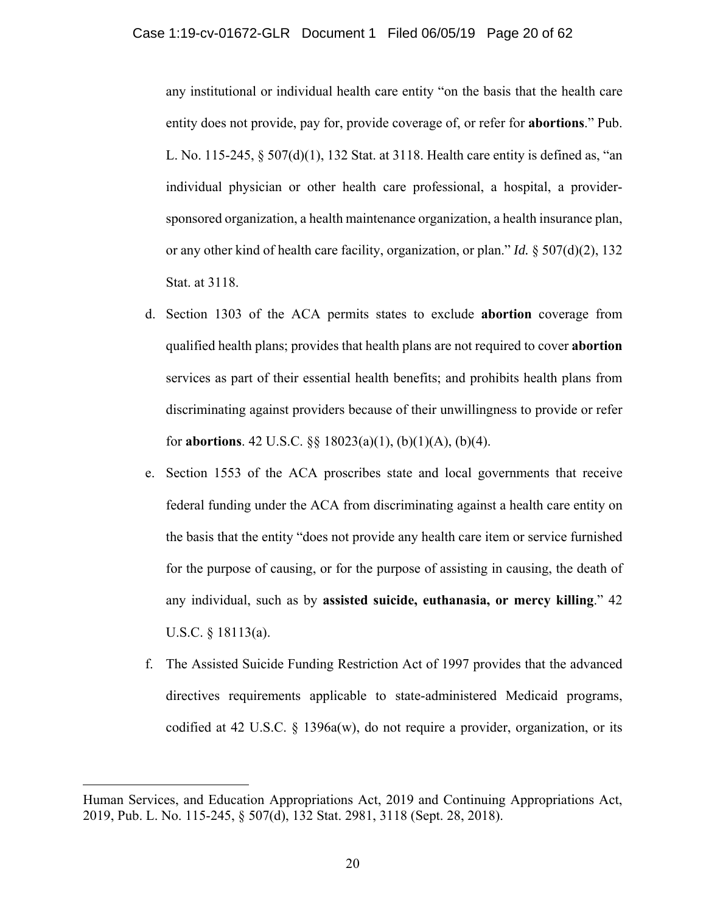any institutional or individual health care entity "on the basis that the health care entity does not provide, pay for, provide coverage of, or refer for **abortions**." Pub. L. No. 115-245, § 507(d)(1), 132 Stat. at 3118. Health care entity is defined as, "an individual physician or other health care professional, a hospital, a providersponsored organization, a health maintenance organization, a health insurance plan, or any other kind of health care facility, organization, or plan." *Id.* § 507(d)(2), 132 Stat. at 3118.

- d. Section 1303 of the ACA permits states to exclude **abortion** coverage from qualified health plans; provides that health plans are not required to cover **abortion** services as part of their essential health benefits; and prohibits health plans from discriminating against providers because of their unwillingness to provide or refer for **abortions**. 42 U.S.C. §§ 18023(a)(1), (b)(1)(A), (b)(4).
- e. Section 1553 of the ACA proscribes state and local governments that receive federal funding under the ACA from discriminating against a health care entity on the basis that the entity "does not provide any health care item or service furnished for the purpose of causing, or for the purpose of assisting in causing, the death of any individual, such as by **assisted suicide, euthanasia, or mercy killing**." 42 U.S.C. § 18113(a).
- f. The Assisted Suicide Funding Restriction Act of 1997 provides that the advanced directives requirements applicable to state-administered Medicaid programs, codified at 42 U.S.C. § 1396a(w), do not require a provider, organization, or its

 $\overline{a}$ 

Human Services, and Education Appropriations Act, 2019 and Continuing Appropriations Act, 2019, Pub. L. No. 115-245, § 507(d), 132 Stat. 2981, 3118 (Sept. 28, 2018).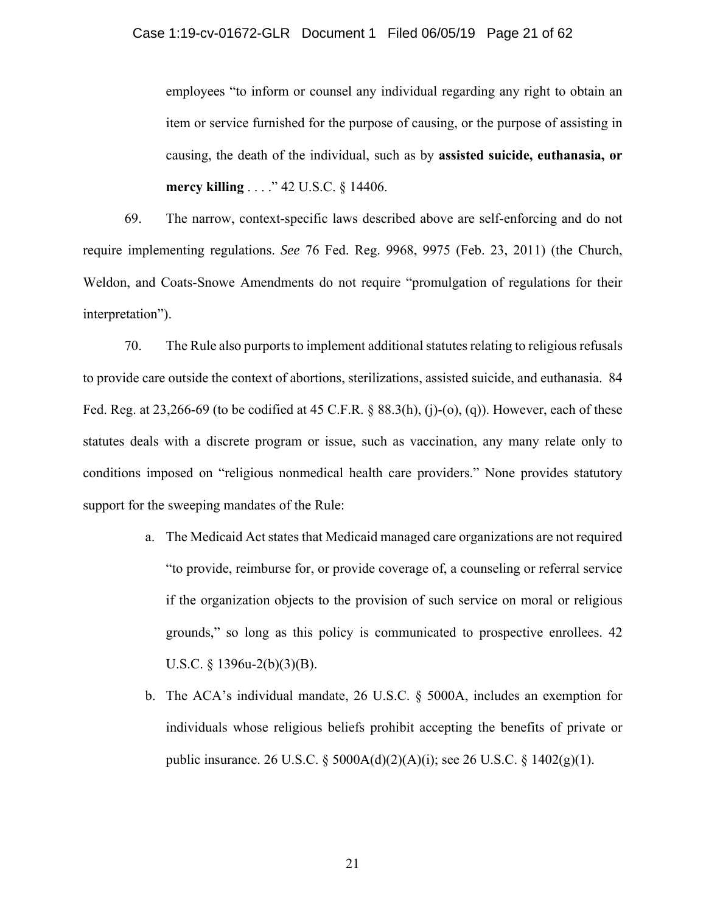employees "to inform or counsel any individual regarding any right to obtain an item or service furnished for the purpose of causing, or the purpose of assisting in causing, the death of the individual, such as by **assisted suicide, euthanasia, or mercy killing** . . . ." 42 U.S.C. § 14406.

69. The narrow, context-specific laws described above are self-enforcing and do not require implementing regulations. *See* 76 Fed. Reg. 9968, 9975 (Feb. 23, 2011) (the Church, Weldon, and Coats-Snowe Amendments do not require "promulgation of regulations for their interpretation").

70. The Rule also purports to implement additional statutes relating to religious refusals to provide care outside the context of abortions, sterilizations, assisted suicide, and euthanasia. 84 Fed. Reg. at 23,266-69 (to be codified at 45 C.F.R. § 88.3(h), (j)-(o), (q)). However, each of these statutes deals with a discrete program or issue, such as vaccination, any many relate only to conditions imposed on "religious nonmedical health care providers." None provides statutory support for the sweeping mandates of the Rule:

- a. The Medicaid Act states that Medicaid managed care organizations are not required "to provide, reimburse for, or provide coverage of, a counseling or referral service if the organization objects to the provision of such service on moral or religious grounds," so long as this policy is communicated to prospective enrollees. 42 U.S.C. § 1396u-2(b)(3)(B).
- b. The ACA's individual mandate, 26 U.S.C. § 5000A, includes an exemption for individuals whose religious beliefs prohibit accepting the benefits of private or public insurance. 26 U.S.C. § 5000A(d)(2)(A)(i); see 26 U.S.C. § 1402(g)(1).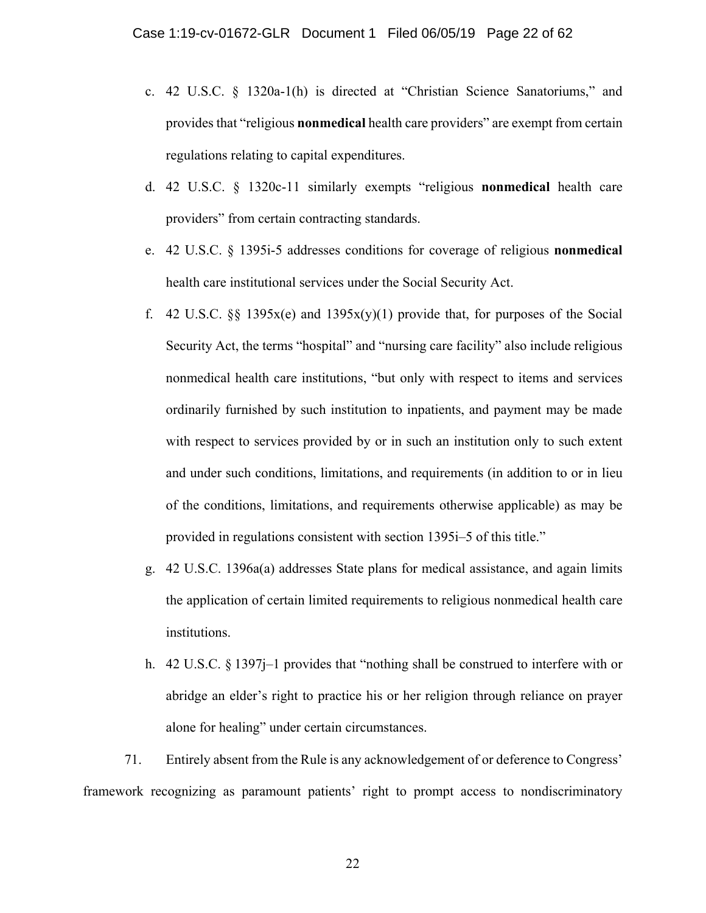- c. 42 U.S.C. § 1320a-1(h) is directed at "Christian Science Sanatoriums," and provides that "religious **nonmedical** health care providers" are exempt from certain regulations relating to capital expenditures.
- d. 42 U.S.C. § 1320c-11 similarly exempts "religious **nonmedical** health care providers" from certain contracting standards.
- e. 42 U.S.C. § 1395i-5 addresses conditions for coverage of religious **nonmedical** health care institutional services under the Social Security Act.
- f. 42 U.S.C. §§ 1395x(e) and 1395x(y)(1) provide that, for purposes of the Social Security Act, the terms "hospital" and "nursing care facility" also include religious nonmedical health care institutions, "but only with respect to items and services ordinarily furnished by such institution to inpatients, and payment may be made with respect to services provided by or in such an institution only to such extent and under such conditions, limitations, and requirements (in addition to or in lieu of the conditions, limitations, and requirements otherwise applicable) as may be provided in regulations consistent with section 1395i–5 of this title."
- g. 42 U.S.C. 1396a(a) addresses State plans for medical assistance, and again limits the application of certain limited requirements to religious nonmedical health care institutions.
- h. 42 U.S.C. § 1397j–1 provides that "nothing shall be construed to interfere with or abridge an elder's right to practice his or her religion through reliance on prayer alone for healing" under certain circumstances.

71. Entirely absent from the Rule is any acknowledgement of or deference to Congress' framework recognizing as paramount patients' right to prompt access to nondiscriminatory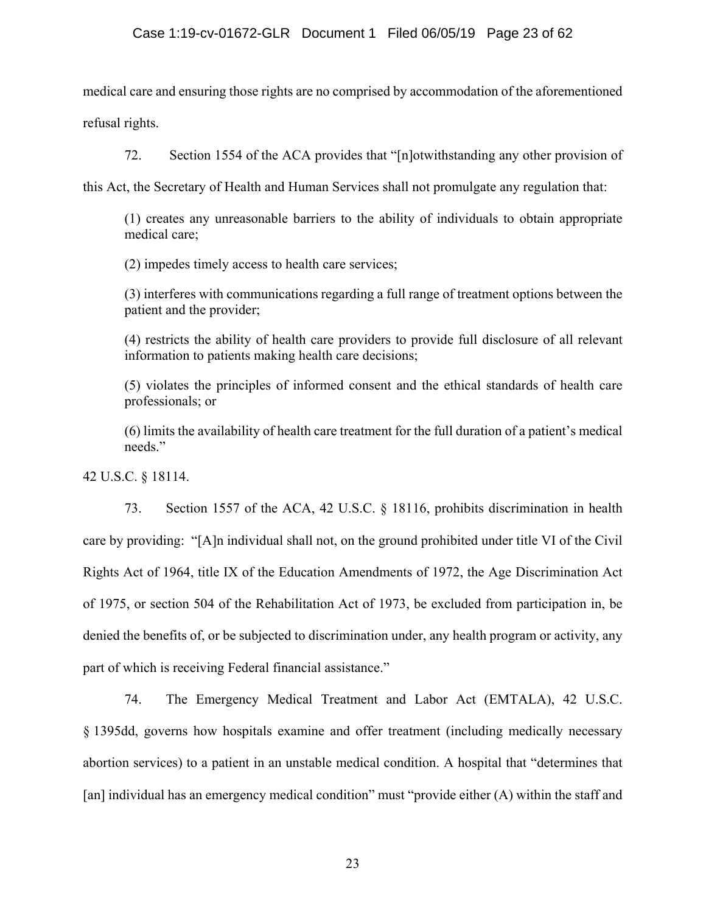medical care and ensuring those rights are no comprised by accommodation of the aforementioned refusal rights.

72. Section 1554 of the ACA provides that "[n]otwithstanding any other provision of

this Act, the Secretary of Health and Human Services shall not promulgate any regulation that:

(1) creates any unreasonable barriers to the ability of individuals to obtain appropriate medical care;

(2) impedes timely access to health care services;

(3) interferes with communications regarding a full range of treatment options between the patient and the provider;

(4) restricts the ability of health care providers to provide full disclosure of all relevant information to patients making health care decisions;

(5) violates the principles of informed consent and the ethical standards of health care professionals; or

(6) limits the availability of health care treatment for the full duration of a patient's medical needs."

42 U.S.C. § 18114.

73. Section 1557 of the ACA, 42 U.S.C. § 18116, prohibits discrimination in health care by providing: "[A]n individual shall not, on the ground prohibited under title VI of the Civil Rights Act of 1964, title IX of the Education Amendments of 1972, the Age Discrimination Act of 1975, or section 504 of the Rehabilitation Act of 1973, be excluded from participation in, be denied the benefits of, or be subjected to discrimination under, any health program or activity, any part of which is receiving Federal financial assistance."

74. The Emergency Medical Treatment and Labor Act (EMTALA), 42 U.S.C. § 1395dd, governs how hospitals examine and offer treatment (including medically necessary abortion services) to a patient in an unstable medical condition. A hospital that "determines that [an] individual has an emergency medical condition" must "provide either (A) within the staff and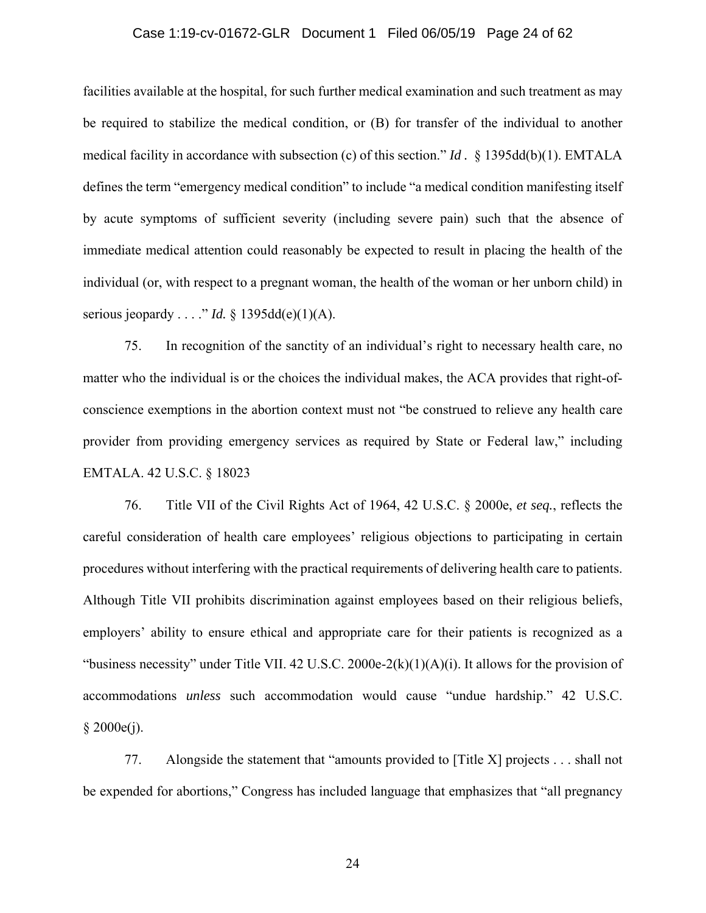### Case 1:19-cv-01672-GLR Document 1 Filed 06/05/19 Page 24 of 62

facilities available at the hospital, for such further medical examination and such treatment as may be required to stabilize the medical condition, or (B) for transfer of the individual to another medical facility in accordance with subsection (c) of this section." *Id .* § 1395dd(b)(1). EMTALA defines the term "emergency medical condition" to include "a medical condition manifesting itself by acute symptoms of sufficient severity (including severe pain) such that the absence of immediate medical attention could reasonably be expected to result in placing the health of the individual (or, with respect to a pregnant woman, the health of the woman or her unborn child) in serious jeopardy . . . ." *Id.* § 1395dd(e)(1)(A).

75. In recognition of the sanctity of an individual's right to necessary health care, no matter who the individual is or the choices the individual makes, the ACA provides that right-ofconscience exemptions in the abortion context must not "be construed to relieve any health care provider from providing emergency services as required by State or Federal law," including EMTALA. 42 U.S.C. § 18023

76. Title VII of the Civil Rights Act of 1964, 42 U.S.C. § 2000e, *et seq.*, reflects the careful consideration of health care employees' religious objections to participating in certain procedures without interfering with the practical requirements of delivering health care to patients. Although Title VII prohibits discrimination against employees based on their religious beliefs, employers' ability to ensure ethical and appropriate care for their patients is recognized as a "business necessity" under Title VII. 42 U.S.C. 2000e-2(k)(1)(A)(i). It allows for the provision of accommodations *unless* such accommodation would cause "undue hardship." 42 U.S.C.  $§ 2000e(j).$ 

77. Alongside the statement that "amounts provided to [Title X] projects . . . shall not be expended for abortions," Congress has included language that emphasizes that "all pregnancy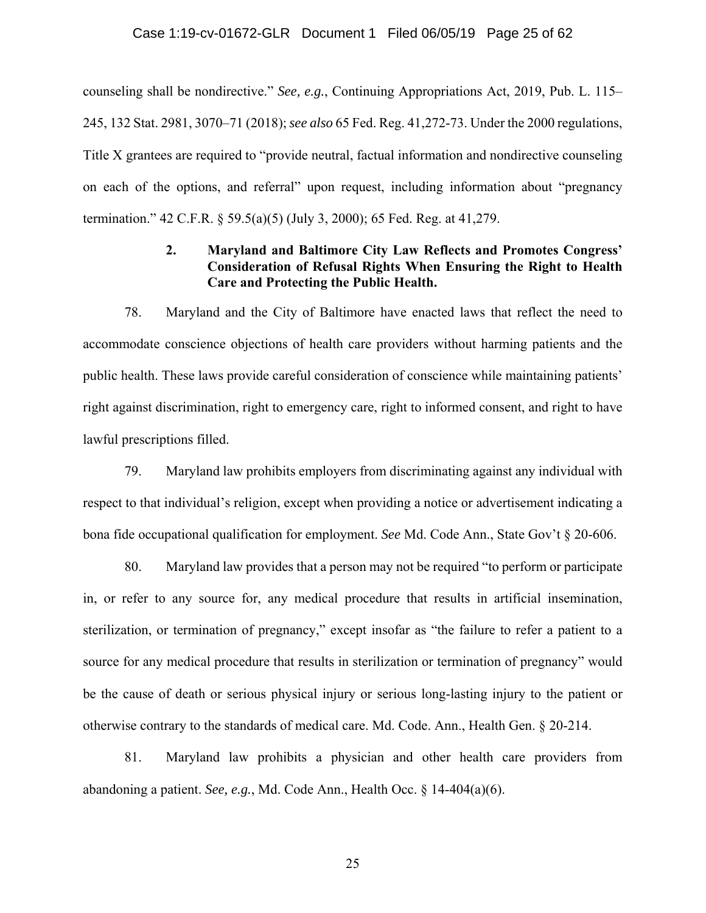### Case 1:19-cv-01672-GLR Document 1 Filed 06/05/19 Page 25 of 62

counseling shall be nondirective." *See, e.g.*, Continuing Appropriations Act, 2019, Pub. L. 115– 245, 132 Stat. 2981, 3070–71 (2018); *see also* 65 Fed. Reg. 41,272-73. Under the 2000 regulations, Title X grantees are required to "provide neutral, factual information and nondirective counseling on each of the options, and referral" upon request, including information about "pregnancy termination." 42 C.F.R. § 59.5(a)(5) (July 3, 2000); 65 Fed. Reg. at 41,279.

# **2. Maryland and Baltimore City Law Reflects and Promotes Congress' Consideration of Refusal Rights When Ensuring the Right to Health Care and Protecting the Public Health.**

78. Maryland and the City of Baltimore have enacted laws that reflect the need to accommodate conscience objections of health care providers without harming patients and the public health. These laws provide careful consideration of conscience while maintaining patients' right against discrimination, right to emergency care, right to informed consent, and right to have lawful prescriptions filled.

79. Maryland law prohibits employers from discriminating against any individual with respect to that individual's religion, except when providing a notice or advertisement indicating a bona fide occupational qualification for employment. *See* Md. Code Ann., State Gov't § 20-606.

80. Maryland law provides that a person may not be required "to perform or participate in, or refer to any source for, any medical procedure that results in artificial insemination, sterilization, or termination of pregnancy," except insofar as "the failure to refer a patient to a source for any medical procedure that results in sterilization or termination of pregnancy" would be the cause of death or serious physical injury or serious long-lasting injury to the patient or otherwise contrary to the standards of medical care. Md. Code. Ann., Health Gen. § 20-214.

81. Maryland law prohibits a physician and other health care providers from abandoning a patient. *See, e.g.*, Md. Code Ann., Health Occ. § 14-404(a)(6).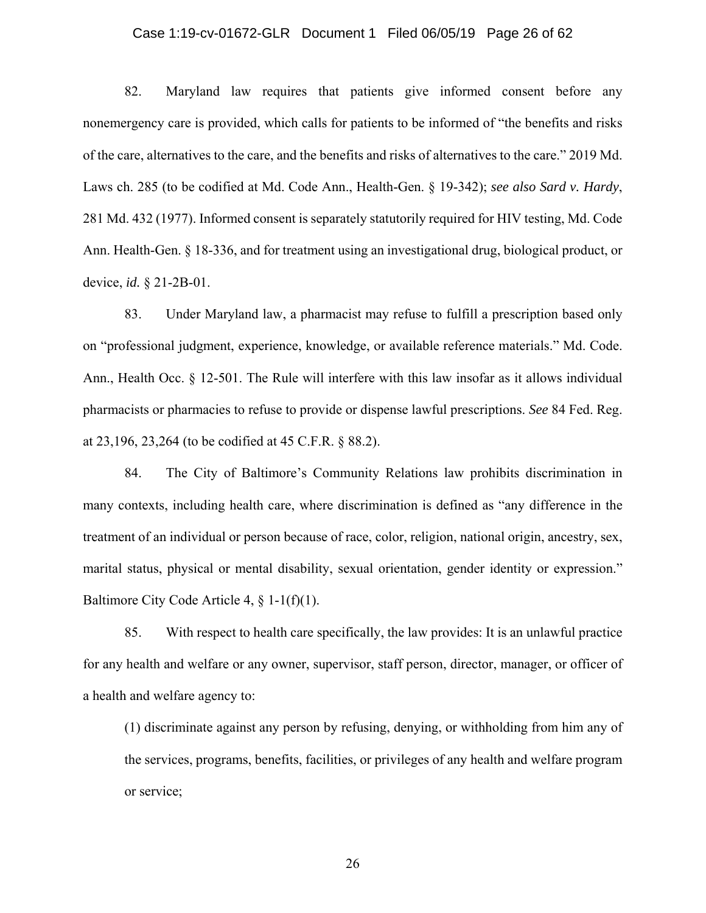#### Case 1:19-cv-01672-GLR Document 1 Filed 06/05/19 Page 26 of 62

82. Maryland law requires that patients give informed consent before any nonemergency care is provided, which calls for patients to be informed of "the benefits and risks of the care, alternatives to the care, and the benefits and risks of alternatives to the care." 2019 Md. Laws ch. 285 (to be codified at Md. Code Ann., Health-Gen. § 19-342); *see also Sard v. Hardy*, 281 Md. 432 (1977). Informed consent is separately statutorily required for HIV testing, Md. Code Ann. Health-Gen. § 18-336, and for treatment using an investigational drug, biological product, or device, *id.* § 21-2B-01.

83. Under Maryland law, a pharmacist may refuse to fulfill a prescription based only on "professional judgment, experience, knowledge, or available reference materials." Md. Code. Ann., Health Occ. § 12-501. The Rule will interfere with this law insofar as it allows individual pharmacists or pharmacies to refuse to provide or dispense lawful prescriptions. *See* 84 Fed. Reg. at 23,196, 23,264 (to be codified at 45 C.F.R. § 88.2).

84. The City of Baltimore's Community Relations law prohibits discrimination in many contexts, including health care, where discrimination is defined as "any difference in the treatment of an individual or person because of race, color, religion, national origin, ancestry, sex, marital status, physical or mental disability, sexual orientation, gender identity or expression." Baltimore City Code Article 4, § 1-1(f)(1).

85. With respect to health care specifically, the law provides: It is an unlawful practice for any health and welfare or any owner, supervisor, staff person, director, manager, or officer of a health and welfare agency to:

(1) discriminate against any person by refusing, denying, or withholding from him any of the services, programs, benefits, facilities, or privileges of any health and welfare program or service;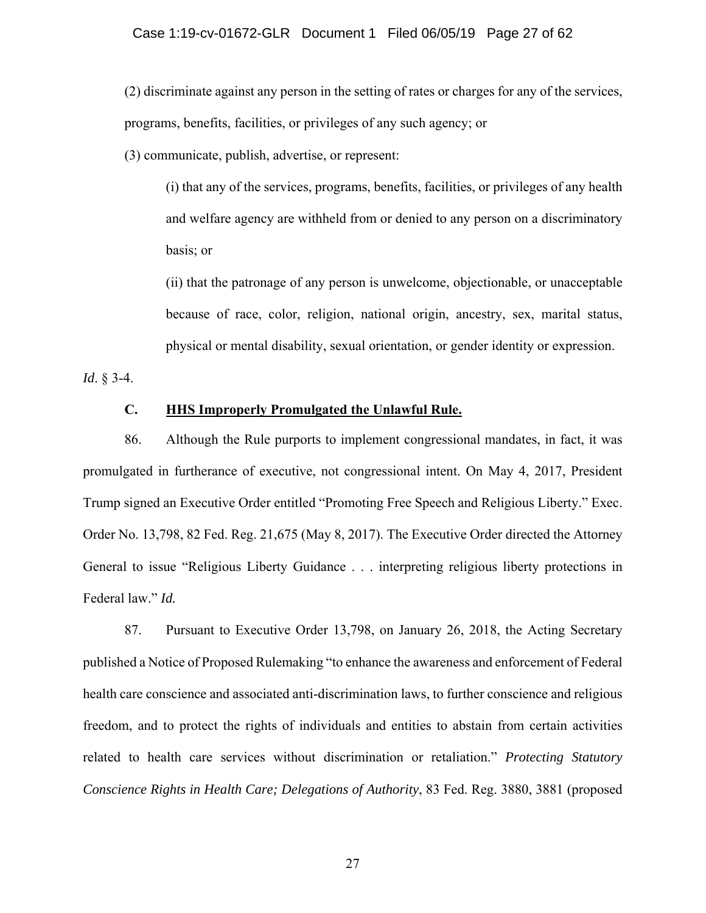(2) discriminate against any person in the setting of rates or charges for any of the services, programs, benefits, facilities, or privileges of any such agency; or

(3) communicate, publish, advertise, or represent:

(i) that any of the services, programs, benefits, facilities, or privileges of any health and welfare agency are withheld from or denied to any person on a discriminatory basis; or

(ii) that the patronage of any person is unwelcome, objectionable, or unacceptable because of race, color, religion, national origin, ancestry, sex, marital status, physical or mental disability, sexual orientation, or gender identity or expression.

*Id*. § 3-4.

## **C. HHS Improperly Promulgated the Unlawful Rule.**

86. Although the Rule purports to implement congressional mandates, in fact, it was promulgated in furtherance of executive, not congressional intent. On May 4, 2017, President Trump signed an Executive Order entitled "Promoting Free Speech and Religious Liberty." Exec. Order No. 13,798, 82 Fed. Reg. 21,675 (May 8, 2017). The Executive Order directed the Attorney General to issue "Religious Liberty Guidance . . . interpreting religious liberty protections in Federal law." *Id.*

87. Pursuant to Executive Order 13,798, on January 26, 2018, the Acting Secretary published a Notice of Proposed Rulemaking "to enhance the awareness and enforcement of Federal health care conscience and associated anti-discrimination laws, to further conscience and religious freedom, and to protect the rights of individuals and entities to abstain from certain activities related to health care services without discrimination or retaliation." *Protecting Statutory Conscience Rights in Health Care; Delegations of Authority*, 83 Fed. Reg. 3880, 3881 (proposed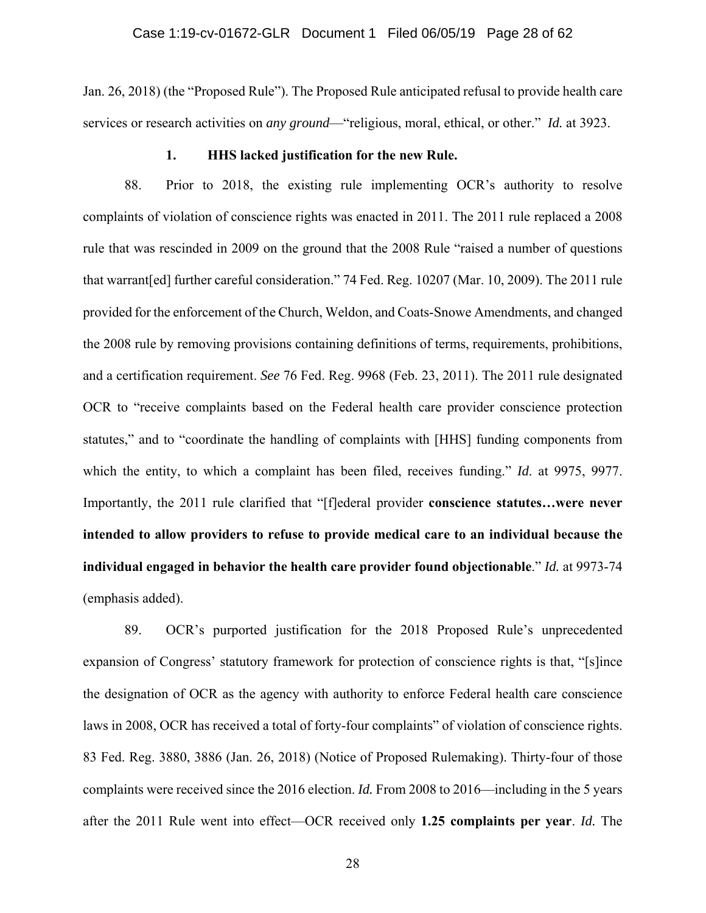Jan. 26, 2018) (the "Proposed Rule"). The Proposed Rule anticipated refusal to provide health care services or research activities on *any ground*—"religious, moral, ethical, or other." *Id.* at 3923.

#### **1. HHS lacked justification for the new Rule.**

88. Prior to 2018, the existing rule implementing OCR's authority to resolve complaints of violation of conscience rights was enacted in 2011. The 2011 rule replaced a 2008 rule that was rescinded in 2009 on the ground that the 2008 Rule "raised a number of questions that warrant[ed] further careful consideration." 74 Fed. Reg. 10207 (Mar. 10, 2009). The 2011 rule provided for the enforcement of the Church, Weldon, and Coats-Snowe Amendments, and changed the 2008 rule by removing provisions containing definitions of terms, requirements, prohibitions, and a certification requirement. *See* 76 Fed. Reg. 9968 (Feb. 23, 2011). The 2011 rule designated OCR to "receive complaints based on the Federal health care provider conscience protection statutes," and to "coordinate the handling of complaints with [HHS] funding components from which the entity, to which a complaint has been filed, receives funding." *Id*. at 9975, 9977. Importantly, the 2011 rule clarified that "[f]ederal provider **conscience statutes…were never intended to allow providers to refuse to provide medical care to an individual because the individual engaged in behavior the health care provider found objectionable**." *Id.* at 9973-74 (emphasis added).

89. OCR's purported justification for the 2018 Proposed Rule's unprecedented expansion of Congress' statutory framework for protection of conscience rights is that, "[s]ince the designation of OCR as the agency with authority to enforce Federal health care conscience laws in 2008, OCR has received a total of forty-four complaints" of violation of conscience rights. 83 Fed. Reg. 3880, 3886 (Jan. 26, 2018) (Notice of Proposed Rulemaking). Thirty-four of those complaints were received since the 2016 election. *Id.* From 2008 to 2016—including in the 5 years after the 2011 Rule went into effect—OCR received only **1.25 complaints per year**. *Id.* The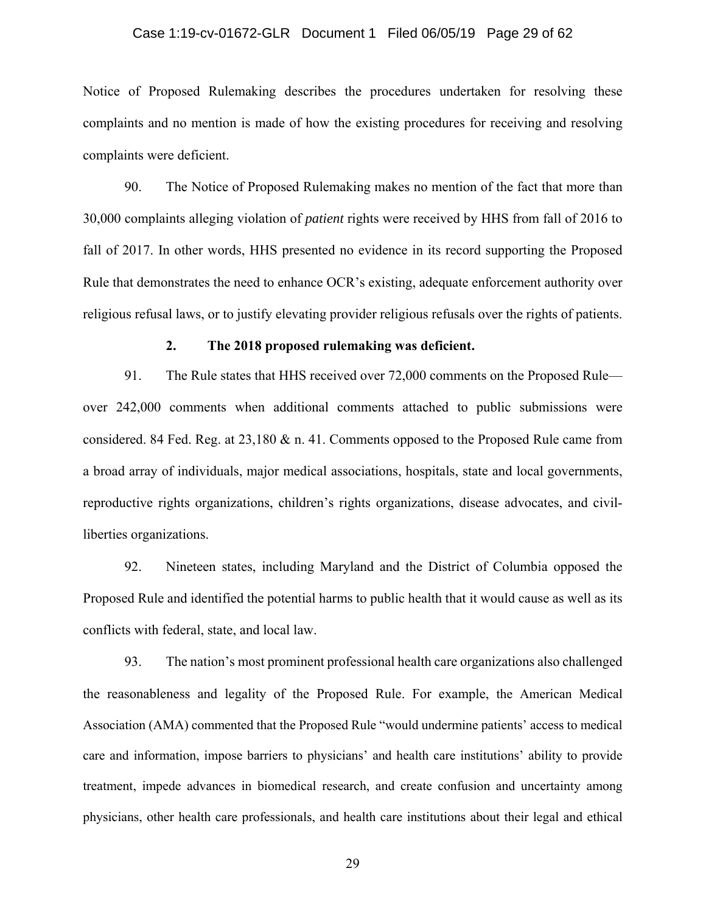#### Case 1:19-cv-01672-GLR Document 1 Filed 06/05/19 Page 29 of 62

Notice of Proposed Rulemaking describes the procedures undertaken for resolving these complaints and no mention is made of how the existing procedures for receiving and resolving complaints were deficient.

90. The Notice of Proposed Rulemaking makes no mention of the fact that more than 30,000 complaints alleging violation of *patient* rights were received by HHS from fall of 2016 to fall of 2017. In other words, HHS presented no evidence in its record supporting the Proposed Rule that demonstrates the need to enhance OCR's existing, adequate enforcement authority over religious refusal laws, or to justify elevating provider religious refusals over the rights of patients.

#### **2. The 2018 proposed rulemaking was deficient.**

91. The Rule states that HHS received over 72,000 comments on the Proposed Rule over 242,000 comments when additional comments attached to public submissions were considered. 84 Fed. Reg. at 23,180 & n. 41. Comments opposed to the Proposed Rule came from a broad array of individuals, major medical associations, hospitals, state and local governments, reproductive rights organizations, children's rights organizations, disease advocates, and civilliberties organizations.

92. Nineteen states, including Maryland and the District of Columbia opposed the Proposed Rule and identified the potential harms to public health that it would cause as well as its conflicts with federal, state, and local law.

93. The nation's most prominent professional health care organizations also challenged the reasonableness and legality of the Proposed Rule. For example, the American Medical Association (AMA) commented that the Proposed Rule "would undermine patients' access to medical care and information, impose barriers to physicians' and health care institutions' ability to provide treatment, impede advances in biomedical research, and create confusion and uncertainty among physicians, other health care professionals, and health care institutions about their legal and ethical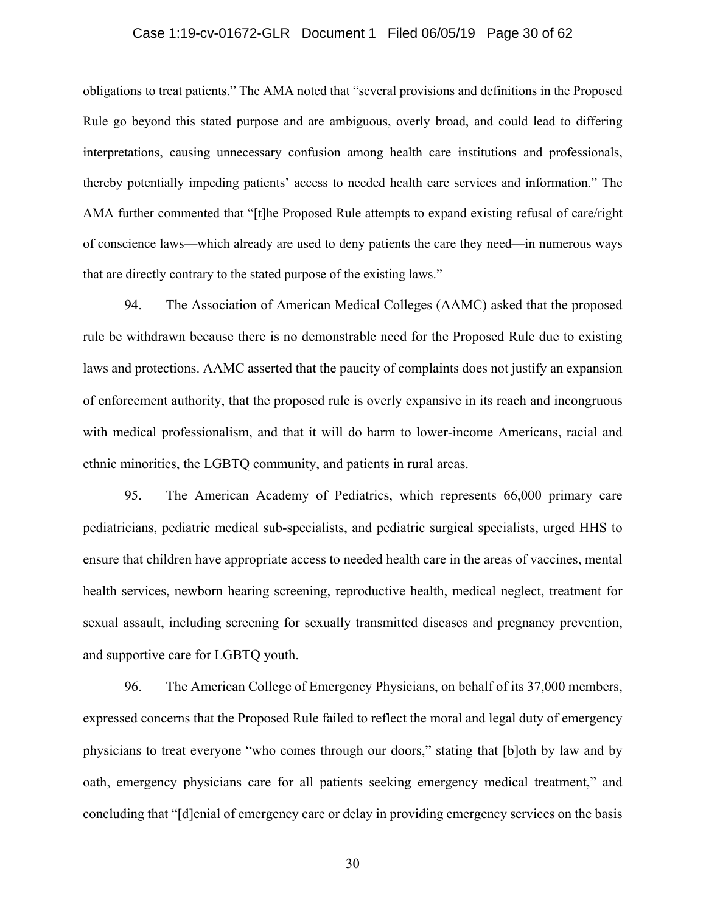### Case 1:19-cv-01672-GLR Document 1 Filed 06/05/19 Page 30 of 62

obligations to treat patients." The AMA noted that "several provisions and definitions in the Proposed Rule go beyond this stated purpose and are ambiguous, overly broad, and could lead to differing interpretations, causing unnecessary confusion among health care institutions and professionals, thereby potentially impeding patients' access to needed health care services and information." The AMA further commented that "[t]he Proposed Rule attempts to expand existing refusal of care/right of conscience laws—which already are used to deny patients the care they need—in numerous ways that are directly contrary to the stated purpose of the existing laws."

94. The Association of American Medical Colleges (AAMC) asked that the proposed rule be withdrawn because there is no demonstrable need for the Proposed Rule due to existing laws and protections. AAMC asserted that the paucity of complaints does not justify an expansion of enforcement authority, that the proposed rule is overly expansive in its reach and incongruous with medical professionalism, and that it will do harm to lower-income Americans, racial and ethnic minorities, the LGBTQ community, and patients in rural areas.

95. The American Academy of Pediatrics, which represents 66,000 primary care pediatricians, pediatric medical sub-specialists, and pediatric surgical specialists, urged HHS to ensure that children have appropriate access to needed health care in the areas of vaccines, mental health services, newborn hearing screening, reproductive health, medical neglect, treatment for sexual assault, including screening for sexually transmitted diseases and pregnancy prevention, and supportive care for LGBTQ youth.

96. The American College of Emergency Physicians, on behalf of its 37,000 members, expressed concerns that the Proposed Rule failed to reflect the moral and legal duty of emergency physicians to treat everyone "who comes through our doors," stating that [b]oth by law and by oath, emergency physicians care for all patients seeking emergency medical treatment," and concluding that "[d]enial of emergency care or delay in providing emergency services on the basis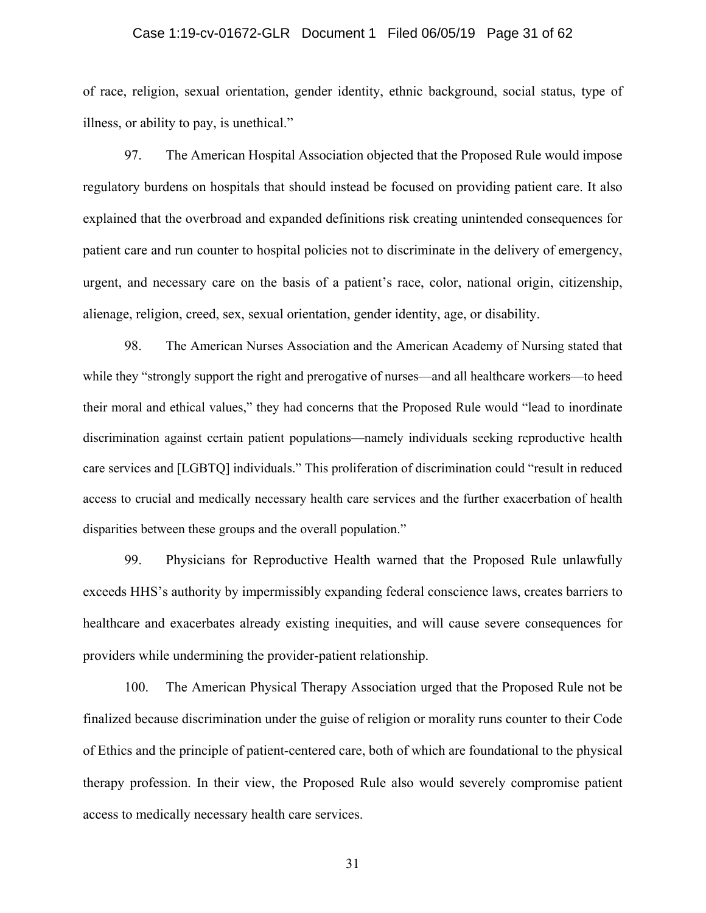#### Case 1:19-cv-01672-GLR Document 1 Filed 06/05/19 Page 31 of 62

of race, religion, sexual orientation, gender identity, ethnic background, social status, type of illness, or ability to pay, is unethical."

97. The American Hospital Association objected that the Proposed Rule would impose regulatory burdens on hospitals that should instead be focused on providing patient care. It also explained that the overbroad and expanded definitions risk creating unintended consequences for patient care and run counter to hospital policies not to discriminate in the delivery of emergency, urgent, and necessary care on the basis of a patient's race, color, national origin, citizenship, alienage, religion, creed, sex, sexual orientation, gender identity, age, or disability.

98. The American Nurses Association and the American Academy of Nursing stated that while they "strongly support the right and prerogative of nurses—and all healthcare workers—to heed their moral and ethical values," they had concerns that the Proposed Rule would "lead to inordinate discrimination against certain patient populations—namely individuals seeking reproductive health care services and [LGBTQ] individuals." This proliferation of discrimination could "result in reduced access to crucial and medically necessary health care services and the further exacerbation of health disparities between these groups and the overall population."

99. Physicians for Reproductive Health warned that the Proposed Rule unlawfully exceeds HHS's authority by impermissibly expanding federal conscience laws, creates barriers to healthcare and exacerbates already existing inequities, and will cause severe consequences for providers while undermining the provider-patient relationship.

100. The American Physical Therapy Association urged that the Proposed Rule not be finalized because discrimination under the guise of religion or morality runs counter to their Code of Ethics and the principle of patient-centered care, both of which are foundational to the physical therapy profession. In their view, the Proposed Rule also would severely compromise patient access to medically necessary health care services.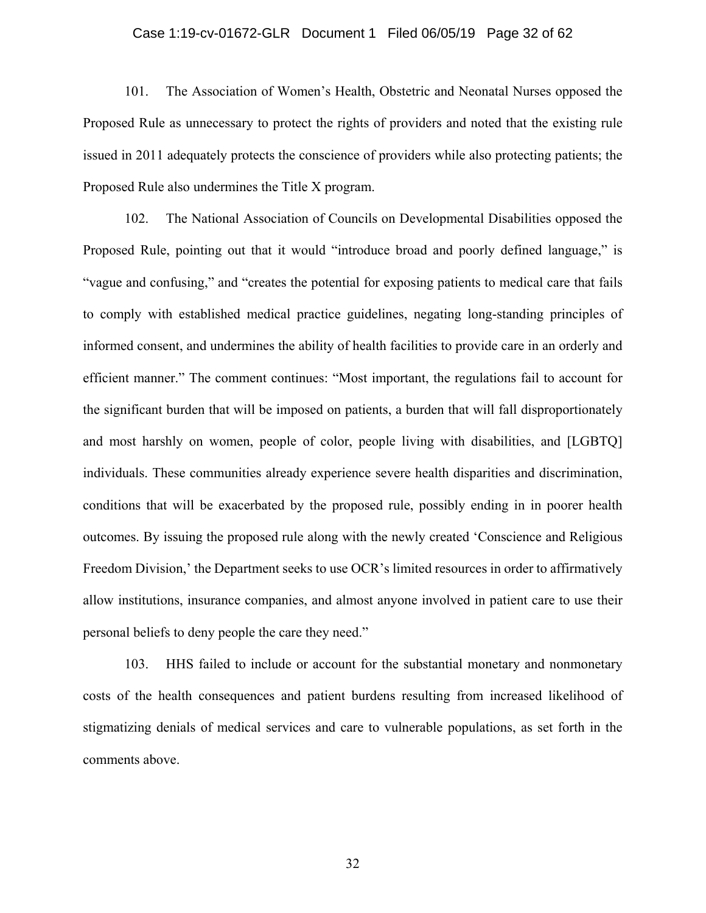#### Case 1:19-cv-01672-GLR Document 1 Filed 06/05/19 Page 32 of 62

101. The Association of Women's Health, Obstetric and Neonatal Nurses opposed the Proposed Rule as unnecessary to protect the rights of providers and noted that the existing rule issued in 2011 adequately protects the conscience of providers while also protecting patients; the Proposed Rule also undermines the Title X program.

102. The National Association of Councils on Developmental Disabilities opposed the Proposed Rule, pointing out that it would "introduce broad and poorly defined language," is "vague and confusing," and "creates the potential for exposing patients to medical care that fails to comply with established medical practice guidelines, negating long-standing principles of informed consent, and undermines the ability of health facilities to provide care in an orderly and efficient manner." The comment continues: "Most important, the regulations fail to account for the significant burden that will be imposed on patients, a burden that will fall disproportionately and most harshly on women, people of color, people living with disabilities, and [LGBTQ] individuals. These communities already experience severe health disparities and discrimination, conditions that will be exacerbated by the proposed rule, possibly ending in in poorer health outcomes. By issuing the proposed rule along with the newly created 'Conscience and Religious Freedom Division,' the Department seeks to use OCR's limited resources in order to affirmatively allow institutions, insurance companies, and almost anyone involved in patient care to use their personal beliefs to deny people the care they need."

103. HHS failed to include or account for the substantial monetary and nonmonetary costs of the health consequences and patient burdens resulting from increased likelihood of stigmatizing denials of medical services and care to vulnerable populations, as set forth in the comments above.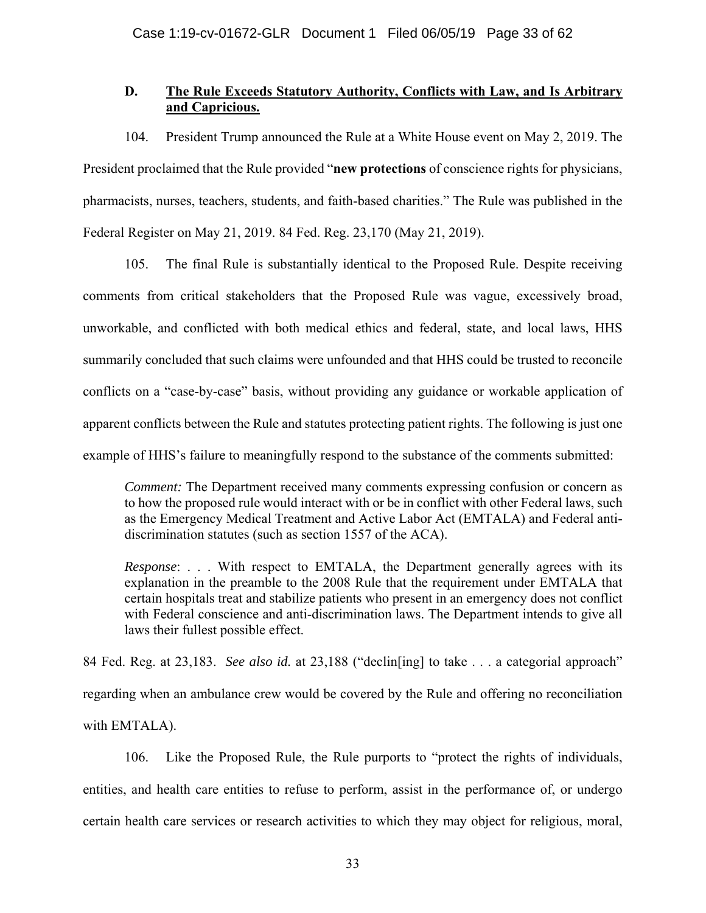# **D. The Rule Exceeds Statutory Authority, Conflicts with Law, and Is Arbitrary and Capricious.**

104. President Trump announced the Rule at a White House event on May 2, 2019. The President proclaimed that the Rule provided "**new protections** of conscience rights for physicians, pharmacists, nurses, teachers, students, and faith-based charities." The Rule was published in the Federal Register on May 21, 2019. 84 Fed. Reg. 23,170 (May 21, 2019).

105. The final Rule is substantially identical to the Proposed Rule. Despite receiving comments from critical stakeholders that the Proposed Rule was vague, excessively broad, unworkable, and conflicted with both medical ethics and federal, state, and local laws, HHS summarily concluded that such claims were unfounded and that HHS could be trusted to reconcile conflicts on a "case-by-case" basis, without providing any guidance or workable application of apparent conflicts between the Rule and statutes protecting patient rights. The following is just one example of HHS's failure to meaningfully respond to the substance of the comments submitted:

*Comment:* The Department received many comments expressing confusion or concern as to how the proposed rule would interact with or be in conflict with other Federal laws, such as the Emergency Medical Treatment and Active Labor Act (EMTALA) and Federal antidiscrimination statutes (such as section 1557 of the ACA).

*Response*: . . . With respect to EMTALA, the Department generally agrees with its explanation in the preamble to the 2008 Rule that the requirement under EMTALA that certain hospitals treat and stabilize patients who present in an emergency does not conflict with Federal conscience and anti-discrimination laws. The Department intends to give all laws their fullest possible effect.

84 Fed. Reg. at 23,183. *See also id.* at 23,188 ("declin[ing] to take . . . a categorial approach" regarding when an ambulance crew would be covered by the Rule and offering no reconciliation with EMTALA).

106. Like the Proposed Rule, the Rule purports to "protect the rights of individuals, entities, and health care entities to refuse to perform, assist in the performance of, or undergo certain health care services or research activities to which they may object for religious, moral,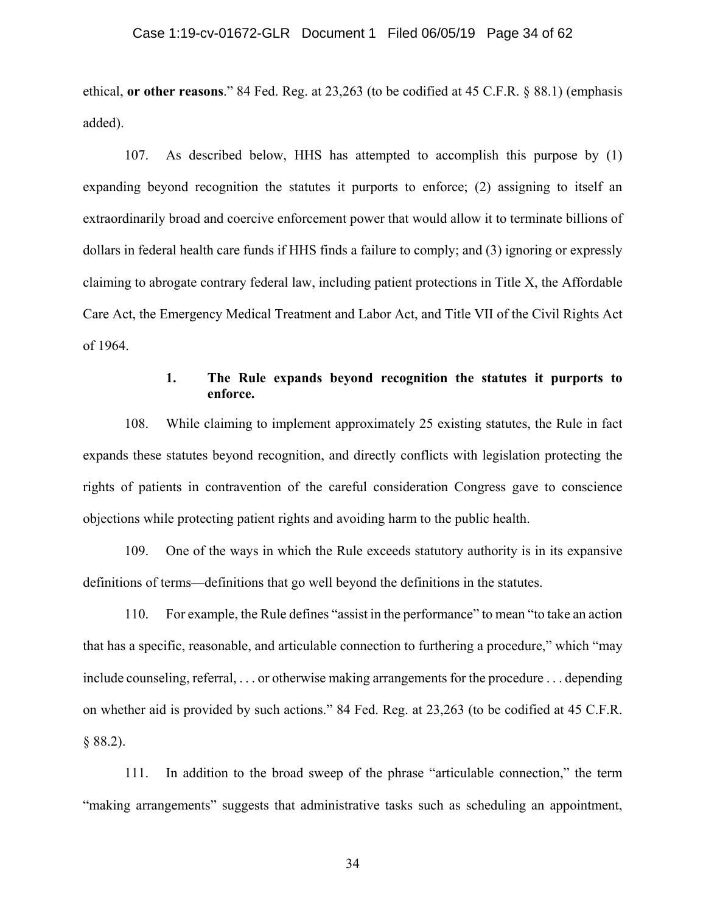### Case 1:19-cv-01672-GLR Document 1 Filed 06/05/19 Page 34 of 62

ethical, **or other reasons**." 84 Fed. Reg. at 23,263 (to be codified at 45 C.F.R. § 88.1) (emphasis added).

107. As described below, HHS has attempted to accomplish this purpose by (1) expanding beyond recognition the statutes it purports to enforce; (2) assigning to itself an extraordinarily broad and coercive enforcement power that would allow it to terminate billions of dollars in federal health care funds if HHS finds a failure to comply; and (3) ignoring or expressly claiming to abrogate contrary federal law, including patient protections in Title X, the Affordable Care Act, the Emergency Medical Treatment and Labor Act, and Title VII of the Civil Rights Act of 1964.

## **1. The Rule expands beyond recognition the statutes it purports to enforce.**

108. While claiming to implement approximately 25 existing statutes, the Rule in fact expands these statutes beyond recognition, and directly conflicts with legislation protecting the rights of patients in contravention of the careful consideration Congress gave to conscience objections while protecting patient rights and avoiding harm to the public health.

109. One of the ways in which the Rule exceeds statutory authority is in its expansive definitions of terms—definitions that go well beyond the definitions in the statutes.

110. For example, the Rule defines "assist in the performance" to mean "to take an action that has a specific, reasonable, and articulable connection to furthering a procedure," which "may include counseling, referral, . . . or otherwise making arrangements for the procedure . . . depending on whether aid is provided by such actions." 84 Fed. Reg. at 23,263 (to be codified at 45 C.F.R. § 88.2).

111. In addition to the broad sweep of the phrase "articulable connection," the term "making arrangements" suggests that administrative tasks such as scheduling an appointment,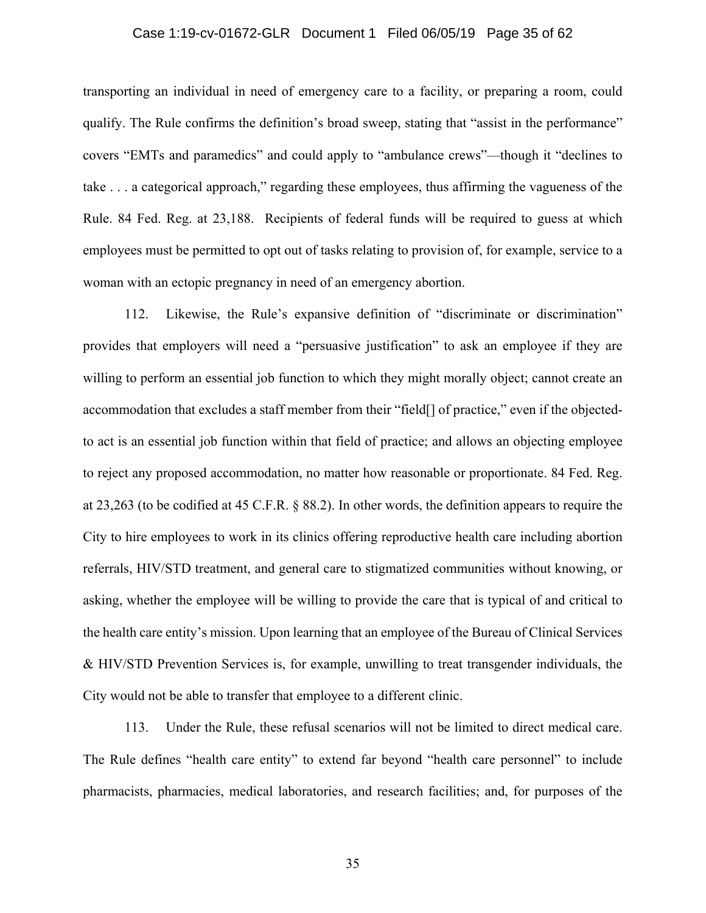### Case 1:19-cv-01672-GLR Document 1 Filed 06/05/19 Page 35 of 62

transporting an individual in need of emergency care to a facility, or preparing a room, could qualify. The Rule confirms the definition's broad sweep, stating that "assist in the performance" covers "EMTs and paramedics" and could apply to "ambulance crews"—though it "declines to take . . . a categorical approach," regarding these employees, thus affirming the vagueness of the Rule. 84 Fed. Reg. at 23,188. Recipients of federal funds will be required to guess at which employees must be permitted to opt out of tasks relating to provision of, for example, service to a woman with an ectopic pregnancy in need of an emergency abortion.

112. Likewise, the Rule's expansive definition of "discriminate or discrimination" provides that employers will need a "persuasive justification" to ask an employee if they are willing to perform an essential job function to which they might morally object; cannot create an accommodation that excludes a staff member from their "field[] of practice," even if the objectedto act is an essential job function within that field of practice; and allows an objecting employee to reject any proposed accommodation, no matter how reasonable or proportionate. 84 Fed. Reg. at 23,263 (to be codified at 45 C.F.R. § 88.2). In other words, the definition appears to require the City to hire employees to work in its clinics offering reproductive health care including abortion referrals, HIV/STD treatment, and general care to stigmatized communities without knowing, or asking, whether the employee will be willing to provide the care that is typical of and critical to the health care entity's mission. Upon learning that an employee of the Bureau of Clinical Services & HIV/STD Prevention Services is, for example, unwilling to treat transgender individuals, the City would not be able to transfer that employee to a different clinic.

113. Under the Rule, these refusal scenarios will not be limited to direct medical care. The Rule defines "health care entity" to extend far beyond "health care personnel" to include pharmacists, pharmacies, medical laboratories, and research facilities; and, for purposes of the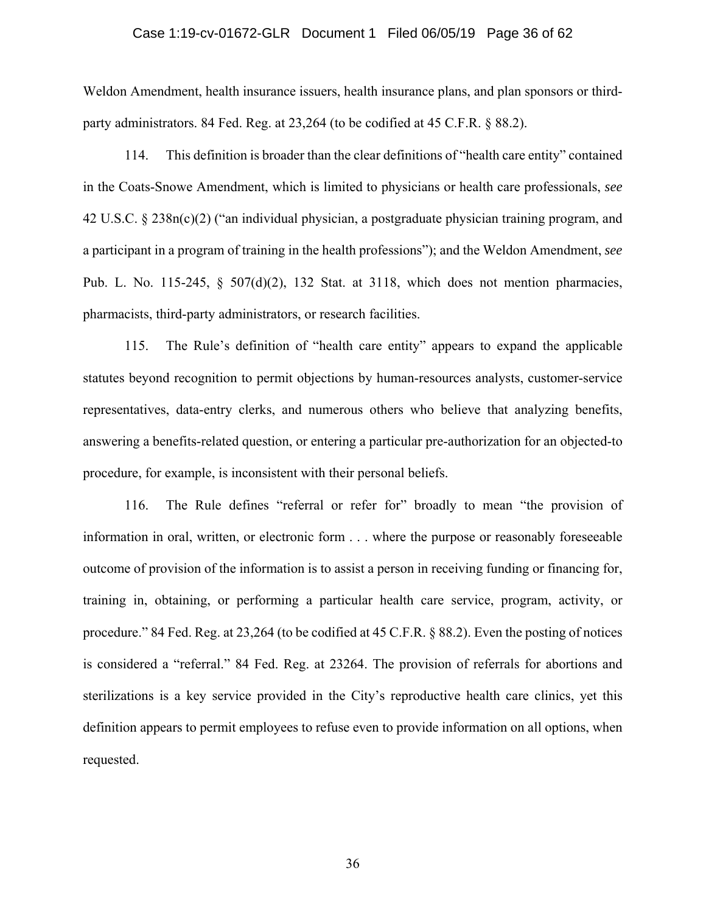### Case 1:19-cv-01672-GLR Document 1 Filed 06/05/19 Page 36 of 62

Weldon Amendment, health insurance issuers, health insurance plans, and plan sponsors or thirdparty administrators. 84 Fed. Reg. at 23,264 (to be codified at 45 C.F.R. § 88.2).

114. This definition is broader than the clear definitions of "health care entity" contained in the Coats-Snowe Amendment, which is limited to physicians or health care professionals, *see*  42 U.S.C. § 238n(c)(2) ("an individual physician, a postgraduate physician training program, and a participant in a program of training in the health professions"); and the Weldon Amendment, *see* Pub. L. No. 115-245, § 507(d)(2), 132 Stat. at 3118, which does not mention pharmacies, pharmacists, third-party administrators, or research facilities.

115. The Rule's definition of "health care entity" appears to expand the applicable statutes beyond recognition to permit objections by human-resources analysts, customer-service representatives, data-entry clerks, and numerous others who believe that analyzing benefits, answering a benefits-related question, or entering a particular pre-authorization for an objected-to procedure, for example, is inconsistent with their personal beliefs.

116. The Rule defines "referral or refer for" broadly to mean "the provision of information in oral, written, or electronic form . . . where the purpose or reasonably foreseeable outcome of provision of the information is to assist a person in receiving funding or financing for, training in, obtaining, or performing a particular health care service, program, activity, or procedure." 84 Fed. Reg. at 23,264 (to be codified at 45 C.F.R. § 88.2). Even the posting of notices is considered a "referral." 84 Fed. Reg. at 23264. The provision of referrals for abortions and sterilizations is a key service provided in the City's reproductive health care clinics, yet this definition appears to permit employees to refuse even to provide information on all options, when requested.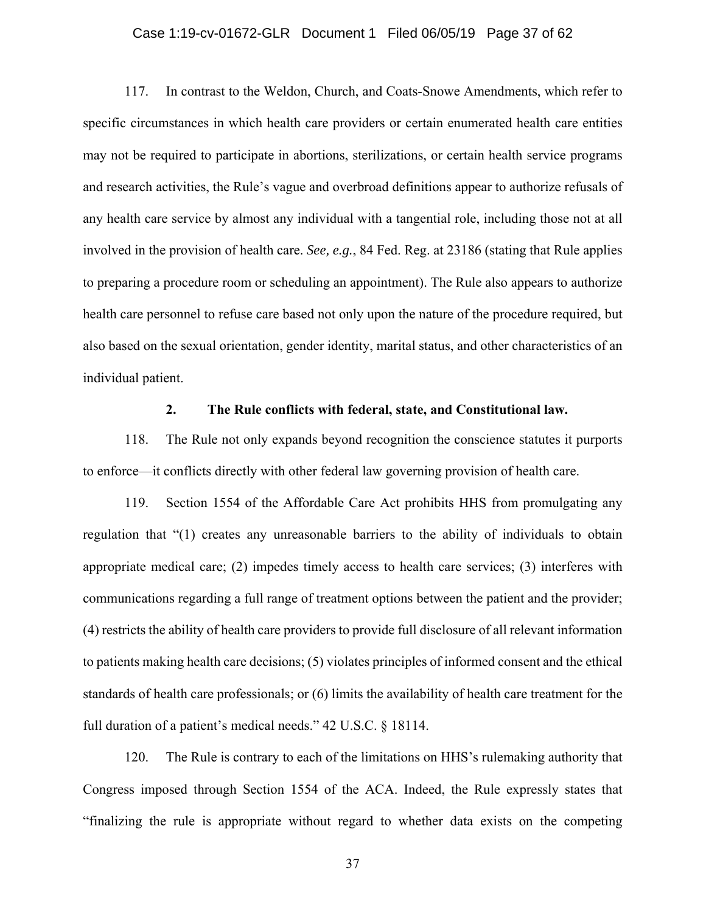### Case 1:19-cv-01672-GLR Document 1 Filed 06/05/19 Page 37 of 62

117. In contrast to the Weldon, Church, and Coats-Snowe Amendments, which refer to specific circumstances in which health care providers or certain enumerated health care entities may not be required to participate in abortions, sterilizations, or certain health service programs and research activities, the Rule's vague and overbroad definitions appear to authorize refusals of any health care service by almost any individual with a tangential role, including those not at all involved in the provision of health care. *See, e.g.*, 84 Fed. Reg. at 23186 (stating that Rule applies to preparing a procedure room or scheduling an appointment). The Rule also appears to authorize health care personnel to refuse care based not only upon the nature of the procedure required, but also based on the sexual orientation, gender identity, marital status, and other characteristics of an individual patient.

#### **2. The Rule conflicts with federal, state, and Constitutional law.**

118. The Rule not only expands beyond recognition the conscience statutes it purports to enforce—it conflicts directly with other federal law governing provision of health care.

119. Section 1554 of the Affordable Care Act prohibits HHS from promulgating any regulation that "(1) creates any unreasonable barriers to the ability of individuals to obtain appropriate medical care; (2) impedes timely access to health care services; (3) interferes with communications regarding a full range of treatment options between the patient and the provider; (4) restricts the ability of health care providers to provide full disclosure of all relevant information to patients making health care decisions; (5) violates principles of informed consent and the ethical standards of health care professionals; or (6) limits the availability of health care treatment for the full duration of a patient's medical needs." 42 U.S.C. § 18114.

120. The Rule is contrary to each of the limitations on HHS's rulemaking authority that Congress imposed through Section 1554 of the ACA. Indeed, the Rule expressly states that "finalizing the rule is appropriate without regard to whether data exists on the competing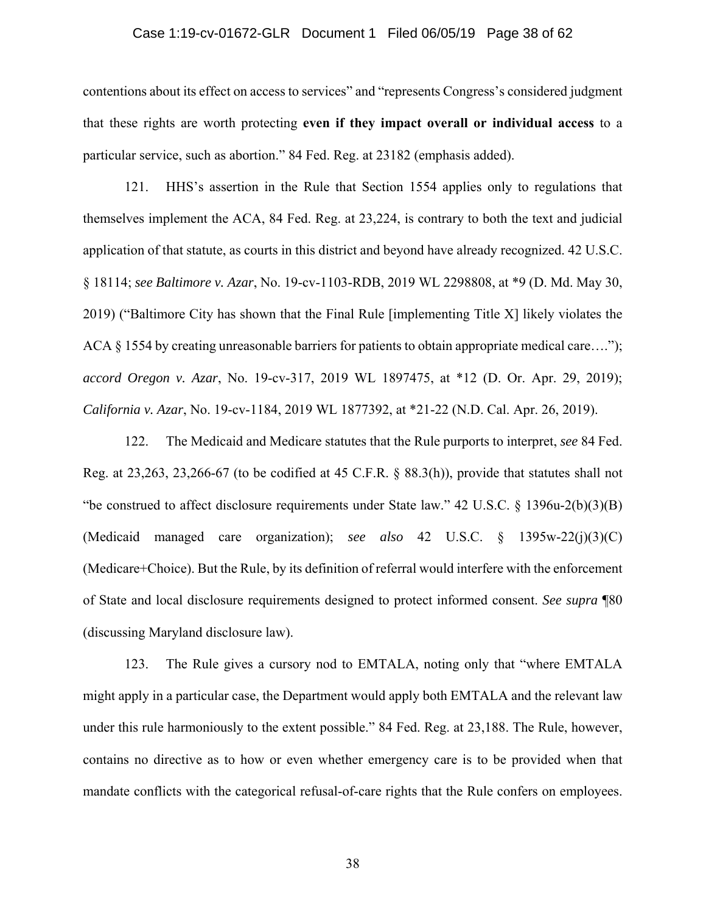### Case 1:19-cv-01672-GLR Document 1 Filed 06/05/19 Page 38 of 62

contentions about its effect on access to services" and "represents Congress's considered judgment that these rights are worth protecting **even if they impact overall or individual access** to a particular service, such as abortion." 84 Fed. Reg. at 23182 (emphasis added).

121. HHS's assertion in the Rule that Section 1554 applies only to regulations that themselves implement the ACA, 84 Fed. Reg. at 23,224, is contrary to both the text and judicial application of that statute, as courts in this district and beyond have already recognized. 42 U.S.C. § 18114; *see Baltimore v. Azar*, No. 19-cv-1103-RDB, 2019 WL 2298808, at \*9 (D. Md. May 30, 2019) ("Baltimore City has shown that the Final Rule [implementing Title X] likely violates the ACA § 1554 by creating unreasonable barriers for patients to obtain appropriate medical care...."); *accord Oregon v. Azar*, No. 19-cv-317, 2019 WL 1897475, at \*12 (D. Or. Apr. 29, 2019); *California v. Azar*, No. 19-cv-1184, 2019 WL 1877392, at \*21-22 (N.D. Cal. Apr. 26, 2019).

122. The Medicaid and Medicare statutes that the Rule purports to interpret, *see* 84 Fed. Reg. at 23,263, 23,266-67 (to be codified at 45 C.F.R. § 88.3(h)), provide that statutes shall not "be construed to affect disclosure requirements under State law." 42 U.S.C. § 1396u-2(b)(3)(B) (Medicaid managed care organization); *see also* 42 U.S.C. § 1395w-22(j)(3)(C) (Medicare+Choice). But the Rule, by its definition of referral would interfere with the enforcement of State and local disclosure requirements designed to protect informed consent. *See supra* ¶80 (discussing Maryland disclosure law).

123. The Rule gives a cursory nod to EMTALA, noting only that "where EMTALA might apply in a particular case, the Department would apply both EMTALA and the relevant law under this rule harmoniously to the extent possible." 84 Fed. Reg. at 23,188. The Rule, however, contains no directive as to how or even whether emergency care is to be provided when that mandate conflicts with the categorical refusal-of-care rights that the Rule confers on employees.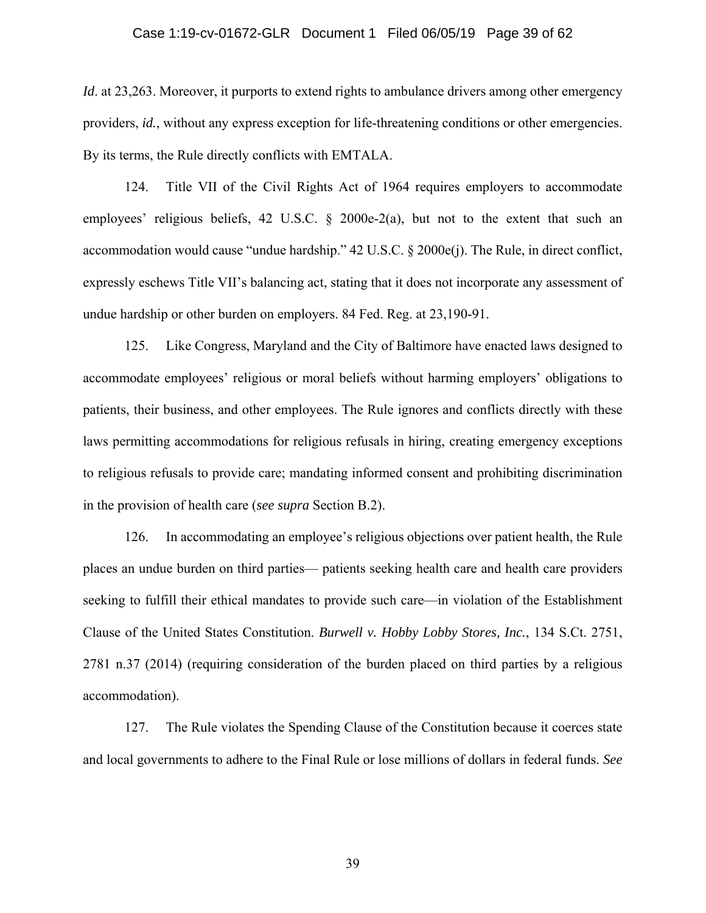#### Case 1:19-cv-01672-GLR Document 1 Filed 06/05/19 Page 39 of 62

*Id.* at 23,263. Moreover, it purports to extend rights to ambulance drivers among other emergency providers, *id.*, without any express exception for life-threatening conditions or other emergencies. By its terms, the Rule directly conflicts with EMTALA.

124. Title VII of the Civil Rights Act of 1964 requires employers to accommodate employees' religious beliefs, 42 U.S.C. § 2000e-2(a), but not to the extent that such an accommodation would cause "undue hardship." 42 U.S.C. § 2000e(j). The Rule, in direct conflict, expressly eschews Title VII's balancing act, stating that it does not incorporate any assessment of undue hardship or other burden on employers. 84 Fed. Reg. at 23,190-91.

125. Like Congress, Maryland and the City of Baltimore have enacted laws designed to accommodate employees' religious or moral beliefs without harming employers' obligations to patients, their business, and other employees. The Rule ignores and conflicts directly with these laws permitting accommodations for religious refusals in hiring, creating emergency exceptions to religious refusals to provide care; mandating informed consent and prohibiting discrimination in the provision of health care (*see supra* Section B.2).

126. In accommodating an employee's religious objections over patient health, the Rule places an undue burden on third parties— patients seeking health care and health care providers seeking to fulfill their ethical mandates to provide such care—in violation of the Establishment Clause of the United States Constitution. *Burwell v. Hobby Lobby Stores, Inc.*, 134 S.Ct. 2751, 2781 n.37 (2014) (requiring consideration of the burden placed on third parties by a religious accommodation).

127. The Rule violates the Spending Clause of the Constitution because it coerces state and local governments to adhere to the Final Rule or lose millions of dollars in federal funds. *See*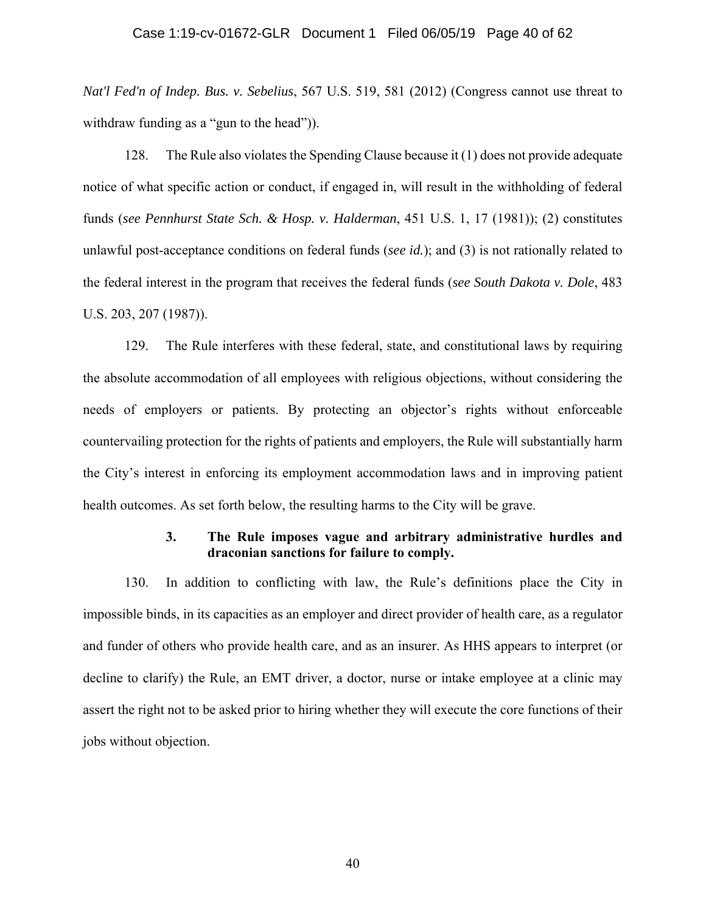### Case 1:19-cv-01672-GLR Document 1 Filed 06/05/19 Page 40 of 62

*Nat'l Fed'n of Indep. Bus. v. Sebelius*, 567 U.S. 519, 581 (2012) (Congress cannot use threat to withdraw funding as a "gun to the head").

128. The Rule also violates the Spending Clause because it (1) does not provide adequate notice of what specific action or conduct, if engaged in, will result in the withholding of federal funds (*see Pennhurst State Sch. & Hosp. v. Halderman*, 451 U.S. 1, 17 (1981)); (2) constitutes unlawful post-acceptance conditions on federal funds (*see id.*); and (3) is not rationally related to the federal interest in the program that receives the federal funds (*see South Dakota v. Dole*, 483 U.S. 203, 207 (1987)).

129. The Rule interferes with these federal, state, and constitutional laws by requiring the absolute accommodation of all employees with religious objections, without considering the needs of employers or patients. By protecting an objector's rights without enforceable countervailing protection for the rights of patients and employers, the Rule will substantially harm the City's interest in enforcing its employment accommodation laws and in improving patient health outcomes. As set forth below, the resulting harms to the City will be grave.

## **3. The Rule imposes vague and arbitrary administrative hurdles and draconian sanctions for failure to comply.**

130. In addition to conflicting with law, the Rule's definitions place the City in impossible binds, in its capacities as an employer and direct provider of health care, as a regulator and funder of others who provide health care, and as an insurer. As HHS appears to interpret (or decline to clarify) the Rule, an EMT driver, a doctor, nurse or intake employee at a clinic may assert the right not to be asked prior to hiring whether they will execute the core functions of their jobs without objection.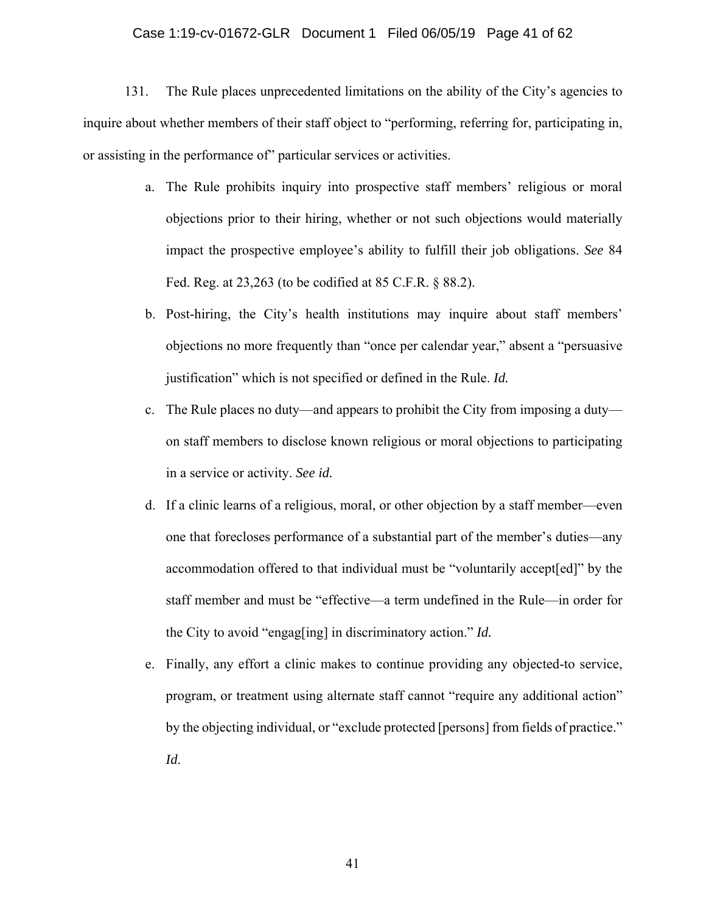#### Case 1:19-cv-01672-GLR Document 1 Filed 06/05/19 Page 41 of 62

131. The Rule places unprecedented limitations on the ability of the City's agencies to inquire about whether members of their staff object to "performing, referring for, participating in, or assisting in the performance of" particular services or activities.

- a. The Rule prohibits inquiry into prospective staff members' religious or moral objections prior to their hiring, whether or not such objections would materially impact the prospective employee's ability to fulfill their job obligations. *See* 84 Fed. Reg. at 23,263 (to be codified at 85 C.F.R. § 88.2).
- b. Post-hiring, the City's health institutions may inquire about staff members' objections no more frequently than "once per calendar year," absent a "persuasive justification" which is not specified or defined in the Rule. *Id.*
- c. The Rule places no duty—and appears to prohibit the City from imposing a duty on staff members to disclose known religious or moral objections to participating in a service or activity. *See id.*
- d. If a clinic learns of a religious, moral, or other objection by a staff member—even one that forecloses performance of a substantial part of the member's duties—any accommodation offered to that individual must be "voluntarily accept[ed]" by the staff member and must be "effective—a term undefined in the Rule—in order for the City to avoid "engag[ing] in discriminatory action." *Id.*
- e. Finally, any effort a clinic makes to continue providing any objected-to service, program, or treatment using alternate staff cannot "require any additional action" by the objecting individual, or "exclude protected [persons] from fields of practice." *Id*.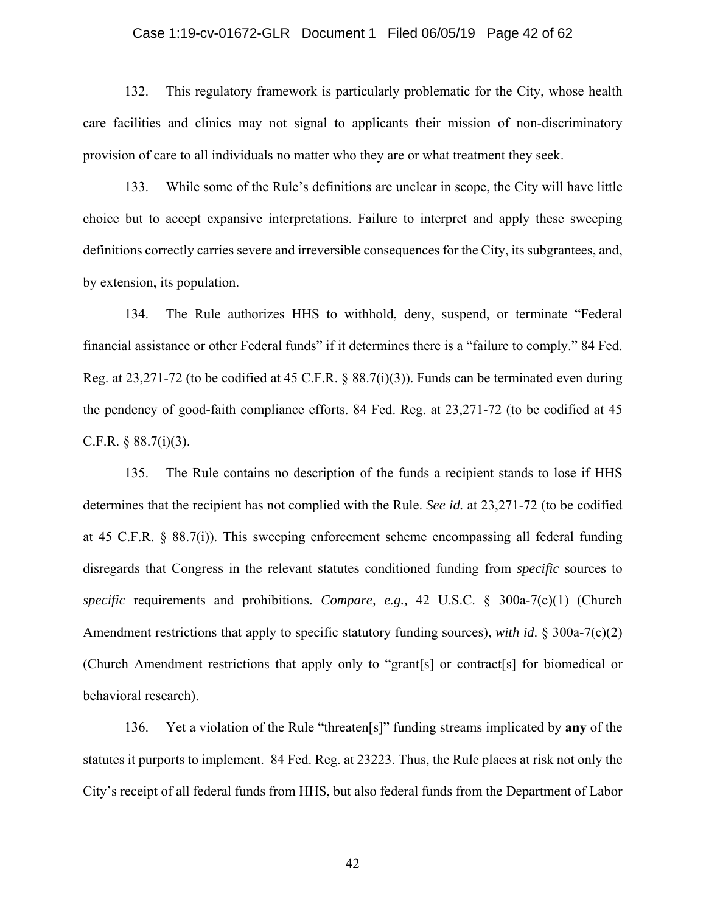### Case 1:19-cv-01672-GLR Document 1 Filed 06/05/19 Page 42 of 62

132. This regulatory framework is particularly problematic for the City, whose health care facilities and clinics may not signal to applicants their mission of non-discriminatory provision of care to all individuals no matter who they are or what treatment they seek.

133. While some of the Rule's definitions are unclear in scope, the City will have little choice but to accept expansive interpretations. Failure to interpret and apply these sweeping definitions correctly carries severe and irreversible consequences for the City, its subgrantees, and, by extension, its population.

134. The Rule authorizes HHS to withhold, deny, suspend, or terminate "Federal financial assistance or other Federal funds" if it determines there is a "failure to comply." 84 Fed. Reg. at 23,271-72 (to be codified at 45 C.F.R. § 88.7(i)(3)). Funds can be terminated even during the pendency of good-faith compliance efforts. 84 Fed. Reg. at 23,271-72 (to be codified at 45 C.F.R.  $§ 88.7(i)(3)$ .

135. The Rule contains no description of the funds a recipient stands to lose if HHS determines that the recipient has not complied with the Rule. *See id.* at 23,271-72 (to be codified at 45 C.F.R. § 88.7(i)). This sweeping enforcement scheme encompassing all federal funding disregards that Congress in the relevant statutes conditioned funding from *specific* sources to *specific* requirements and prohibitions. *Compare, e.g.,* 42 U.S.C. § 300a-7(c)(1) (Church Amendment restrictions that apply to specific statutory funding sources), *with id*. § 300a-7(c)(2) (Church Amendment restrictions that apply only to "grant[s] or contract[s] for biomedical or behavioral research).

136. Yet a violation of the Rule "threaten[s]" funding streams implicated by **any** of the statutes it purports to implement. 84 Fed. Reg. at 23223. Thus, the Rule places at risk not only the City's receipt of all federal funds from HHS, but also federal funds from the Department of Labor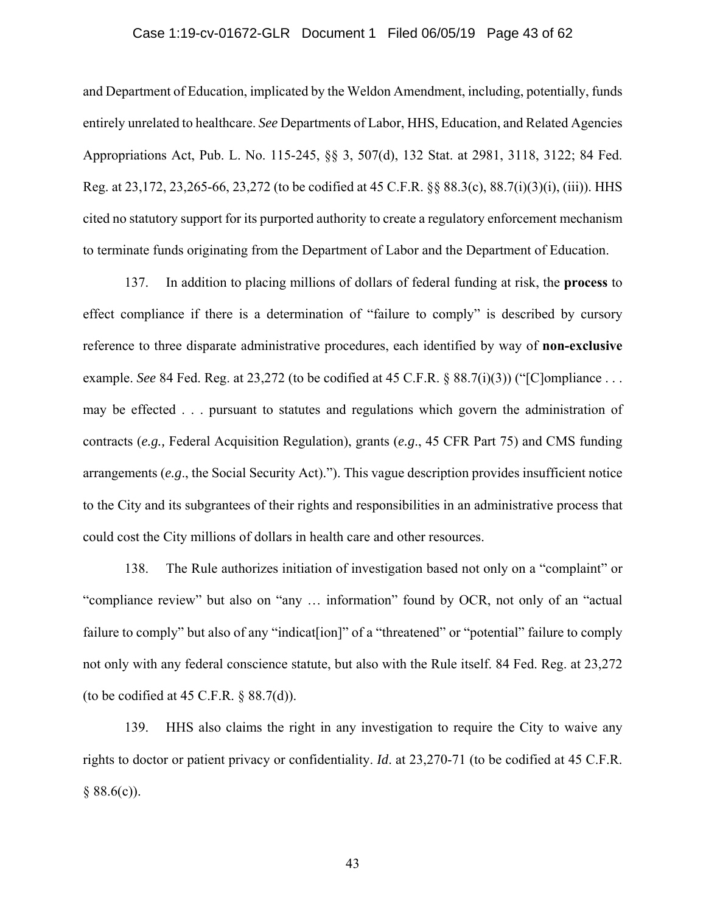### Case 1:19-cv-01672-GLR Document 1 Filed 06/05/19 Page 43 of 62

and Department of Education, implicated by the Weldon Amendment, including, potentially, funds entirely unrelated to healthcare. *See* Departments of Labor, HHS, Education, and Related Agencies Appropriations Act, Pub. L. No. 115-245, §§ 3, 507(d), 132 Stat. at 2981, 3118, 3122; 84 Fed. Reg. at 23,172, 23,265-66, 23,272 (to be codified at 45 C.F.R. §§ 88.3(c), 88.7(i)(3)(i), (iii)). HHS cited no statutory support for its purported authority to create a regulatory enforcement mechanism to terminate funds originating from the Department of Labor and the Department of Education.

137. In addition to placing millions of dollars of federal funding at risk, the **process** to effect compliance if there is a determination of "failure to comply" is described by cursory reference to three disparate administrative procedures, each identified by way of **non-exclusive** example. *See* 84 Fed. Reg. at 23,272 (to be codified at 45 C.F.R. § 88.7(i)(3)) ("[C]ompliance . . . may be effected . . . pursuant to statutes and regulations which govern the administration of contracts (*e.g.,* Federal Acquisition Regulation), grants (*e.g*., 45 CFR Part 75) and CMS funding arrangements (*e.g*., the Social Security Act)."). This vague description provides insufficient notice to the City and its subgrantees of their rights and responsibilities in an administrative process that could cost the City millions of dollars in health care and other resources.

138. The Rule authorizes initiation of investigation based not only on a "complaint" or "compliance review" but also on "any … information" found by OCR, not only of an "actual failure to comply" but also of any "indicat [ion]" of a "threatened" or "potential" failure to comply not only with any federal conscience statute, but also with the Rule itself. 84 Fed. Reg. at 23,272 (to be codified at 45 C.F.R.  $\S$  88.7(d)).

139. HHS also claims the right in any investigation to require the City to waive any rights to doctor or patient privacy or confidentiality. *Id*. at 23,270-71 (to be codified at 45 C.F.R.  $§ 88.6(c)$ .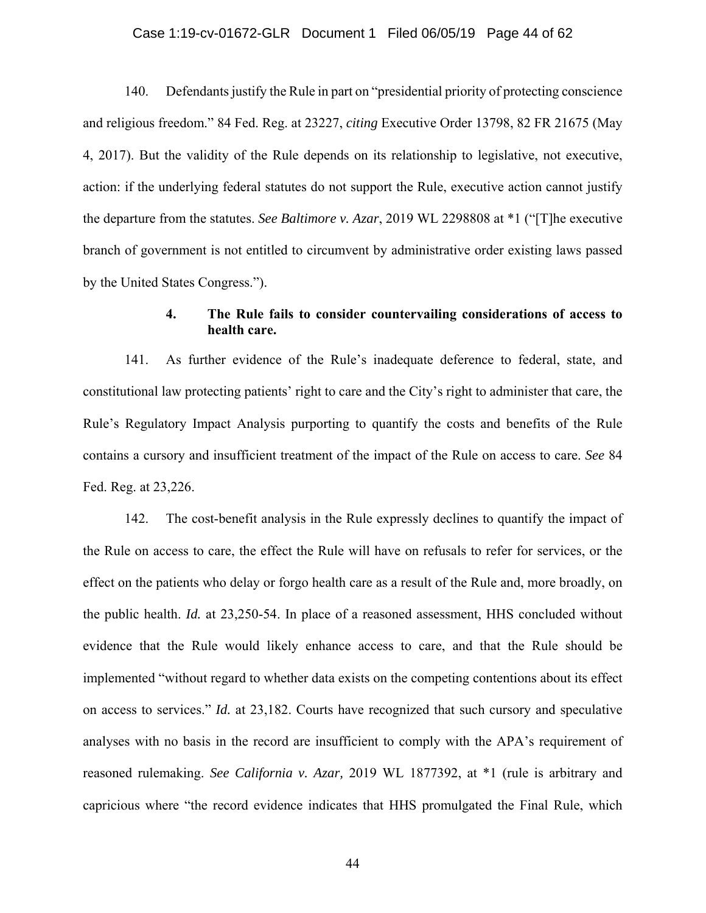### Case 1:19-cv-01672-GLR Document 1 Filed 06/05/19 Page 44 of 62

140. Defendants justify the Rule in part on "presidential priority of protecting conscience and religious freedom." 84 Fed. Reg. at 23227, *citing* Executive Order 13798, 82 FR 21675 (May 4, 2017). But the validity of the Rule depends on its relationship to legislative, not executive, action: if the underlying federal statutes do not support the Rule, executive action cannot justify the departure from the statutes. *See Baltimore v. Azar*, 2019 WL 2298808 at \*1 ("[T]he executive branch of government is not entitled to circumvent by administrative order existing laws passed by the United States Congress.").

## **4. The Rule fails to consider countervailing considerations of access to health care.**

141. As further evidence of the Rule's inadequate deference to federal, state, and constitutional law protecting patients' right to care and the City's right to administer that care, the Rule's Regulatory Impact Analysis purporting to quantify the costs and benefits of the Rule contains a cursory and insufficient treatment of the impact of the Rule on access to care. *See* 84 Fed. Reg. at 23,226.

142. The cost-benefit analysis in the Rule expressly declines to quantify the impact of the Rule on access to care, the effect the Rule will have on refusals to refer for services, or the effect on the patients who delay or forgo health care as a result of the Rule and, more broadly, on the public health. *Id.* at 23,250-54. In place of a reasoned assessment, HHS concluded without evidence that the Rule would likely enhance access to care, and that the Rule should be implemented "without regard to whether data exists on the competing contentions about its effect on access to services." *Id.* at 23,182. Courts have recognized that such cursory and speculative analyses with no basis in the record are insufficient to comply with the APA's requirement of reasoned rulemaking. *See California v. Azar,* 2019 WL 1877392, at \*1 (rule is arbitrary and capricious where "the record evidence indicates that HHS promulgated the Final Rule, which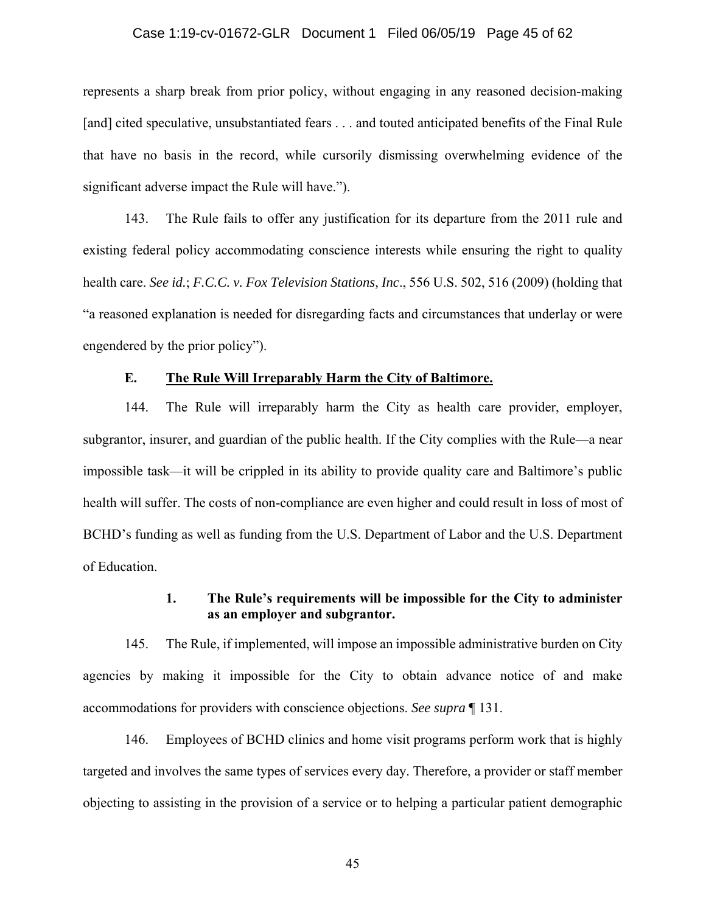#### Case 1:19-cv-01672-GLR Document 1 Filed 06/05/19 Page 45 of 62

represents a sharp break from prior policy, without engaging in any reasoned decision-making [and] cited speculative, unsubstantiated fears . . . and touted anticipated benefits of the Final Rule that have no basis in the record, while cursorily dismissing overwhelming evidence of the significant adverse impact the Rule will have.").

143. The Rule fails to offer any justification for its departure from the 2011 rule and existing federal policy accommodating conscience interests while ensuring the right to quality health care. *See id.*; *F.C.C. v. Fox Television Stations, Inc*., 556 U.S. 502, 516 (2009) (holding that "a reasoned explanation is needed for disregarding facts and circumstances that underlay or were engendered by the prior policy").

## **E. The Rule Will Irreparably Harm the City of Baltimore.**

144. The Rule will irreparably harm the City as health care provider, employer, subgrantor, insurer, and guardian of the public health. If the City complies with the Rule—a near impossible task—it will be crippled in its ability to provide quality care and Baltimore's public health will suffer. The costs of non-compliance are even higher and could result in loss of most of BCHD's funding as well as funding from the U.S. Department of Labor and the U.S. Department of Education.

# **1. The Rule's requirements will be impossible for the City to administer as an employer and subgrantor.**

145. The Rule, if implemented, will impose an impossible administrative burden on City agencies by making it impossible for the City to obtain advance notice of and make accommodations for providers with conscience objections. *See supra* ¶ 131.

146. Employees of BCHD clinics and home visit programs perform work that is highly targeted and involves the same types of services every day. Therefore, a provider or staff member objecting to assisting in the provision of a service or to helping a particular patient demographic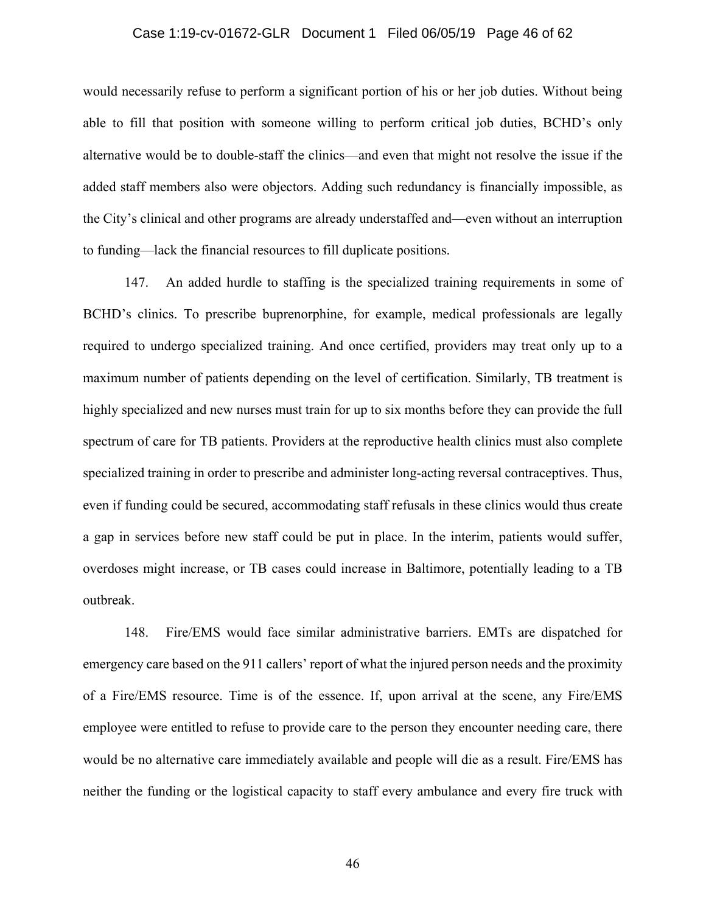### Case 1:19-cv-01672-GLR Document 1 Filed 06/05/19 Page 46 of 62

would necessarily refuse to perform a significant portion of his or her job duties. Without being able to fill that position with someone willing to perform critical job duties, BCHD's only alternative would be to double-staff the clinics—and even that might not resolve the issue if the added staff members also were objectors. Adding such redundancy is financially impossible, as the City's clinical and other programs are already understaffed and—even without an interruption to funding—lack the financial resources to fill duplicate positions.

147. An added hurdle to staffing is the specialized training requirements in some of BCHD's clinics. To prescribe buprenorphine, for example, medical professionals are legally required to undergo specialized training. And once certified, providers may treat only up to a maximum number of patients depending on the level of certification. Similarly, TB treatment is highly specialized and new nurses must train for up to six months before they can provide the full spectrum of care for TB patients. Providers at the reproductive health clinics must also complete specialized training in order to prescribe and administer long-acting reversal contraceptives. Thus, even if funding could be secured, accommodating staff refusals in these clinics would thus create a gap in services before new staff could be put in place. In the interim, patients would suffer, overdoses might increase, or TB cases could increase in Baltimore, potentially leading to a TB outbreak.

148. Fire/EMS would face similar administrative barriers. EMTs are dispatched for emergency care based on the 911 callers' report of what the injured person needs and the proximity of a Fire/EMS resource. Time is of the essence. If, upon arrival at the scene, any Fire/EMS employee were entitled to refuse to provide care to the person they encounter needing care, there would be no alternative care immediately available and people will die as a result. Fire/EMS has neither the funding or the logistical capacity to staff every ambulance and every fire truck with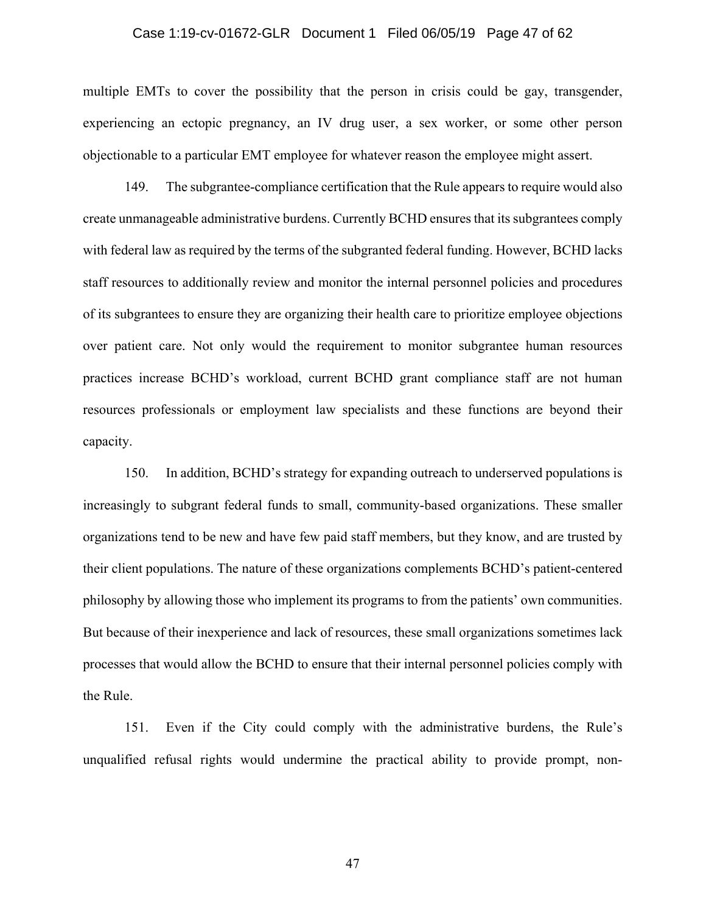#### Case 1:19-cv-01672-GLR Document 1 Filed 06/05/19 Page 47 of 62

multiple EMTs to cover the possibility that the person in crisis could be gay, transgender, experiencing an ectopic pregnancy, an IV drug user, a sex worker, or some other person objectionable to a particular EMT employee for whatever reason the employee might assert.

149. The subgrantee-compliance certification that the Rule appears to require would also create unmanageable administrative burdens. Currently BCHD ensures that its subgrantees comply with federal law as required by the terms of the subgranted federal funding. However, BCHD lacks staff resources to additionally review and monitor the internal personnel policies and procedures of its subgrantees to ensure they are organizing their health care to prioritize employee objections over patient care. Not only would the requirement to monitor subgrantee human resources practices increase BCHD's workload, current BCHD grant compliance staff are not human resources professionals or employment law specialists and these functions are beyond their capacity.

150. In addition, BCHD's strategy for expanding outreach to underserved populations is increasingly to subgrant federal funds to small, community-based organizations. These smaller organizations tend to be new and have few paid staff members, but they know, and are trusted by their client populations. The nature of these organizations complements BCHD's patient-centered philosophy by allowing those who implement its programs to from the patients' own communities. But because of their inexperience and lack of resources, these small organizations sometimes lack processes that would allow the BCHD to ensure that their internal personnel policies comply with the Rule.

151. Even if the City could comply with the administrative burdens, the Rule's unqualified refusal rights would undermine the practical ability to provide prompt, non-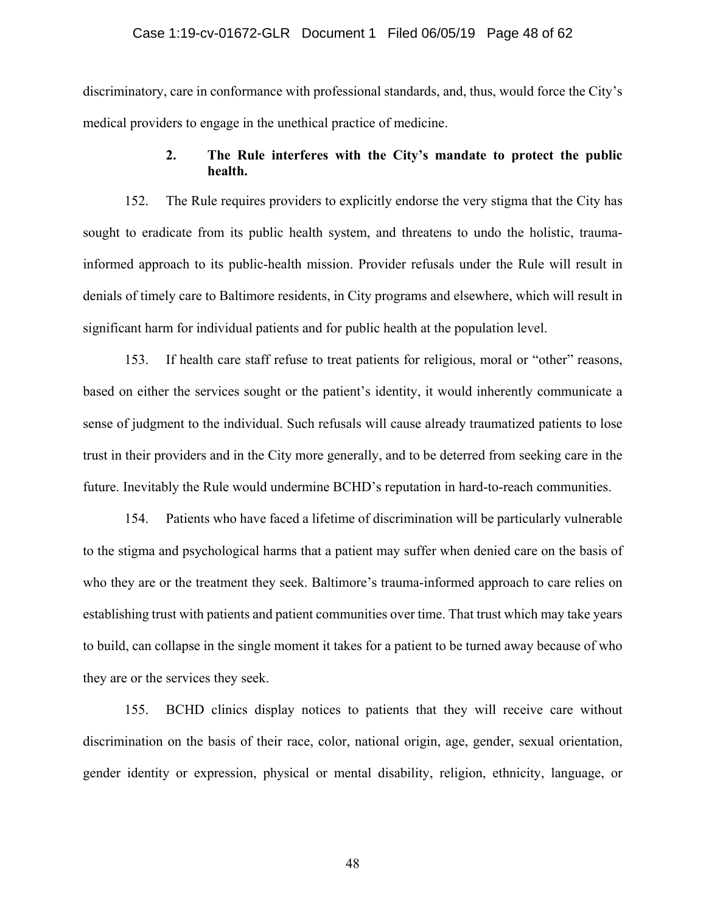#### Case 1:19-cv-01672-GLR Document 1 Filed 06/05/19 Page 48 of 62

discriminatory, care in conformance with professional standards, and, thus, would force the City's medical providers to engage in the unethical practice of medicine.

## **2. The Rule interferes with the City's mandate to protect the public health.**

152. The Rule requires providers to explicitly endorse the very stigma that the City has sought to eradicate from its public health system, and threatens to undo the holistic, traumainformed approach to its public-health mission. Provider refusals under the Rule will result in denials of timely care to Baltimore residents, in City programs and elsewhere, which will result in significant harm for individual patients and for public health at the population level.

153. If health care staff refuse to treat patients for religious, moral or "other" reasons, based on either the services sought or the patient's identity, it would inherently communicate a sense of judgment to the individual. Such refusals will cause already traumatized patients to lose trust in their providers and in the City more generally, and to be deterred from seeking care in the future. Inevitably the Rule would undermine BCHD's reputation in hard-to-reach communities.

154. Patients who have faced a lifetime of discrimination will be particularly vulnerable to the stigma and psychological harms that a patient may suffer when denied care on the basis of who they are or the treatment they seek. Baltimore's trauma-informed approach to care relies on establishing trust with patients and patient communities over time. That trust which may take years to build, can collapse in the single moment it takes for a patient to be turned away because of who they are or the services they seek.

155. BCHD clinics display notices to patients that they will receive care without discrimination on the basis of their race, color, national origin, age, gender, sexual orientation, gender identity or expression, physical or mental disability, religion, ethnicity, language, or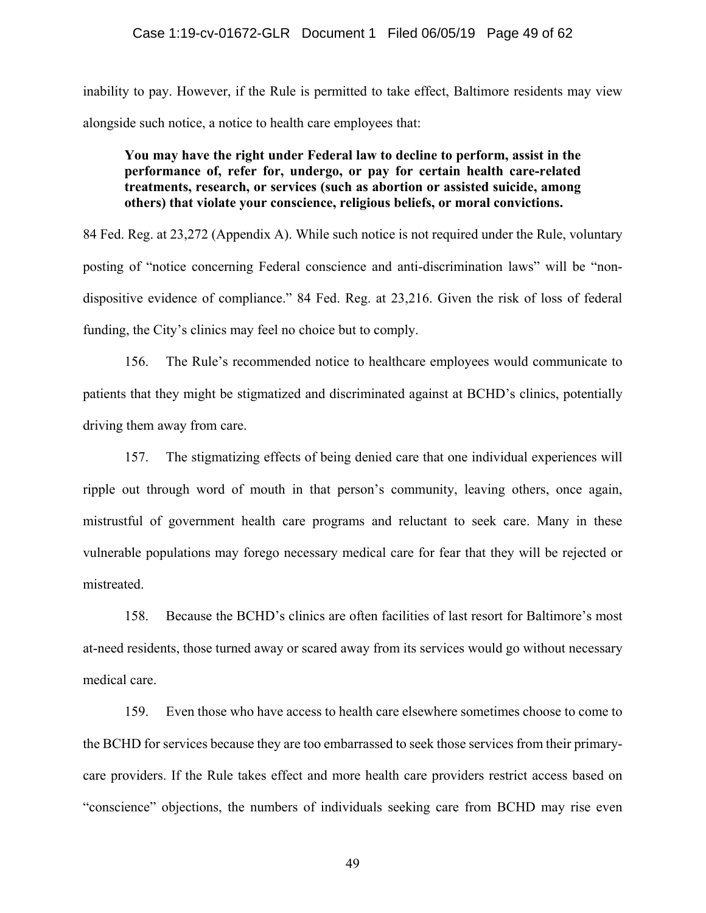inability to pay. However, if the Rule is permitted to take effect, Baltimore residents may view alongside such notice, a notice to health care employees that:

## **You may have the right under Federal law to decline to perform, assist in the performance of, refer for, undergo, or pay for certain health care-related treatments, research, or services (such as abortion or assisted suicide, among others) that violate your conscience, religious beliefs, or moral convictions.**

84 Fed. Reg. at 23,272 (Appendix A). While such notice is not required under the Rule, voluntary posting of "notice concerning Federal conscience and anti-discrimination laws" will be "nondispositive evidence of compliance." 84 Fed. Reg. at 23,216. Given the risk of loss of federal funding, the City's clinics may feel no choice but to comply.

156. The Rule's recommended notice to healthcare employees would communicate to patients that they might be stigmatized and discriminated against at BCHD's clinics, potentially driving them away from care.

157. The stigmatizing effects of being denied care that one individual experiences will ripple out through word of mouth in that person's community, leaving others, once again, mistrustful of government health care programs and reluctant to seek care. Many in these vulnerable populations may forego necessary medical care for fear that they will be rejected or mistreated.

158. Because the BCHD's clinics are often facilities of last resort for Baltimore's most at-need residents, those turned away or scared away from its services would go without necessary medical care.

159. Even those who have access to health care elsewhere sometimes choose to come to the BCHD for services because they are too embarrassed to seek those services from their primarycare providers. If the Rule takes effect and more health care providers restrict access based on "conscience" objections, the numbers of individuals seeking care from BCHD may rise even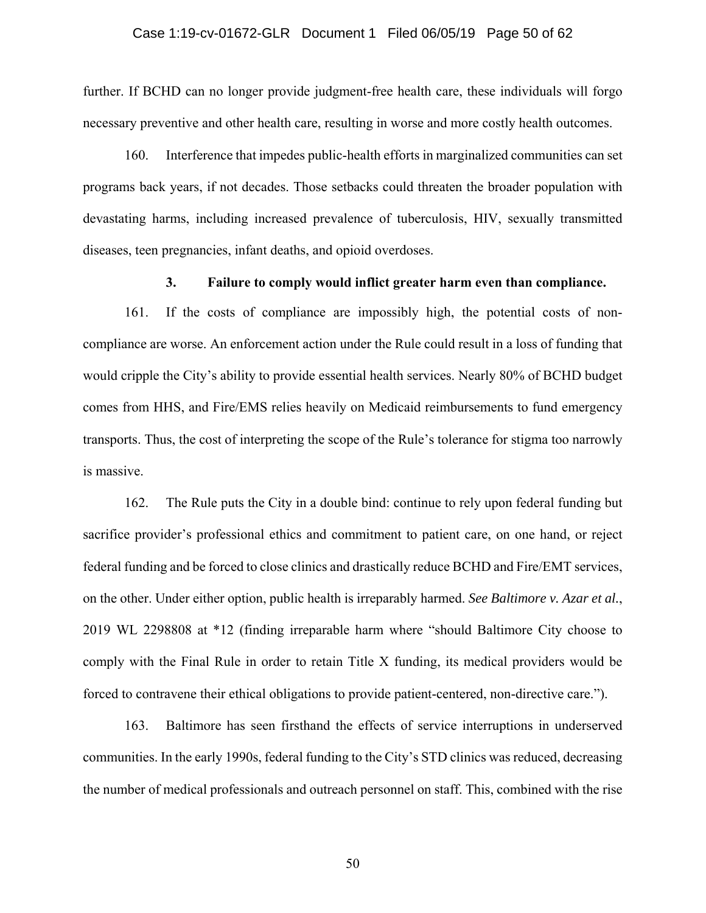### Case 1:19-cv-01672-GLR Document 1 Filed 06/05/19 Page 50 of 62

further. If BCHD can no longer provide judgment-free health care, these individuals will forgo necessary preventive and other health care, resulting in worse and more costly health outcomes.

160. Interference that impedes public-health efforts in marginalized communities can set programs back years, if not decades. Those setbacks could threaten the broader population with devastating harms, including increased prevalence of tuberculosis, HIV, sexually transmitted diseases, teen pregnancies, infant deaths, and opioid overdoses.

### **3. Failure to comply would inflict greater harm even than compliance.**

161. If the costs of compliance are impossibly high, the potential costs of noncompliance are worse. An enforcement action under the Rule could result in a loss of funding that would cripple the City's ability to provide essential health services. Nearly 80% of BCHD budget comes from HHS, and Fire/EMS relies heavily on Medicaid reimbursements to fund emergency transports. Thus, the cost of interpreting the scope of the Rule's tolerance for stigma too narrowly is massive.

162. The Rule puts the City in a double bind: continue to rely upon federal funding but sacrifice provider's professional ethics and commitment to patient care, on one hand, or reject federal funding and be forced to close clinics and drastically reduce BCHD and Fire/EMT services, on the other. Under either option, public health is irreparably harmed. *See Baltimore v. Azar et al.*, 2019 WL 2298808 at \*12 (finding irreparable harm where "should Baltimore City choose to comply with the Final Rule in order to retain Title X funding, its medical providers would be forced to contravene their ethical obligations to provide patient-centered, non-directive care.").

163. Baltimore has seen firsthand the effects of service interruptions in underserved communities. In the early 1990s, federal funding to the City's STD clinics was reduced, decreasing the number of medical professionals and outreach personnel on staff. This, combined with the rise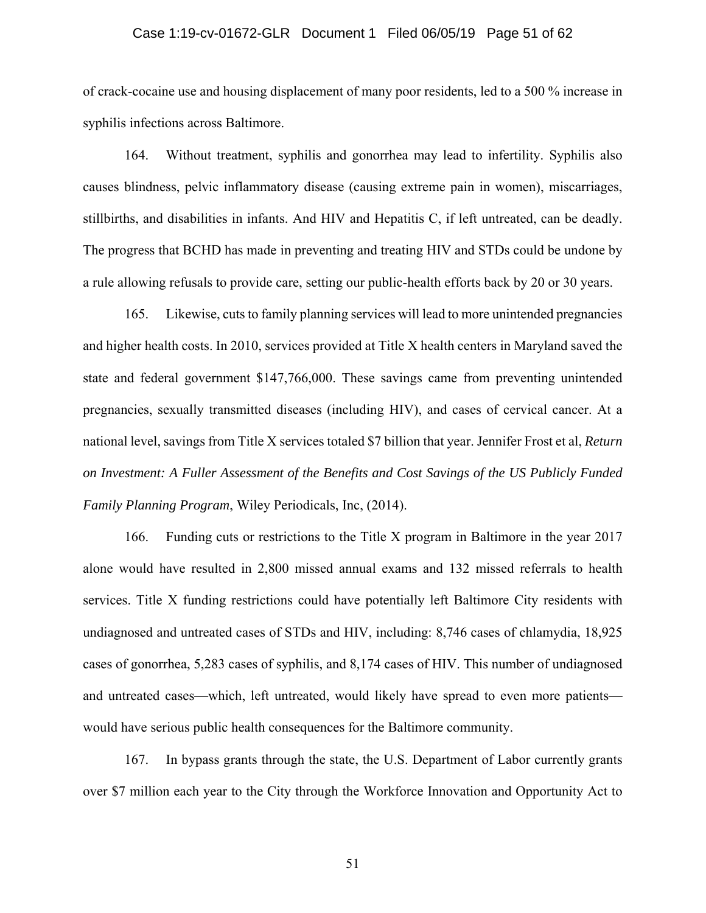### Case 1:19-cv-01672-GLR Document 1 Filed 06/05/19 Page 51 of 62

of crack-cocaine use and housing displacement of many poor residents, led to a 500 % increase in syphilis infections across Baltimore.

164. Without treatment, syphilis and gonorrhea may lead to infertility. Syphilis also causes blindness, pelvic inflammatory disease (causing extreme pain in women), miscarriages, stillbirths, and disabilities in infants. And HIV and Hepatitis C, if left untreated, can be deadly. The progress that BCHD has made in preventing and treating HIV and STDs could be undone by a rule allowing refusals to provide care, setting our public-health efforts back by 20 or 30 years.

165. Likewise, cuts to family planning services will lead to more unintended pregnancies and higher health costs. In 2010, services provided at Title X health centers in Maryland saved the state and federal government \$147,766,000. These savings came from preventing unintended pregnancies, sexually transmitted diseases (including HIV), and cases of cervical cancer. At a national level, savings from Title X services totaled \$7 billion that year. Jennifer Frost et al, *Return on Investment: A Fuller Assessment of the Benefits and Cost Savings of the US Publicly Funded Family Planning Program*, Wiley Periodicals, Inc, (2014).

166. Funding cuts or restrictions to the Title X program in Baltimore in the year 2017 alone would have resulted in 2,800 missed annual exams and 132 missed referrals to health services. Title X funding restrictions could have potentially left Baltimore City residents with undiagnosed and untreated cases of STDs and HIV, including: 8,746 cases of chlamydia, 18,925 cases of gonorrhea, 5,283 cases of syphilis, and 8,174 cases of HIV. This number of undiagnosed and untreated cases—which, left untreated, would likely have spread to even more patients would have serious public health consequences for the Baltimore community.

167. In bypass grants through the state, the U.S. Department of Labor currently grants over \$7 million each year to the City through the Workforce Innovation and Opportunity Act to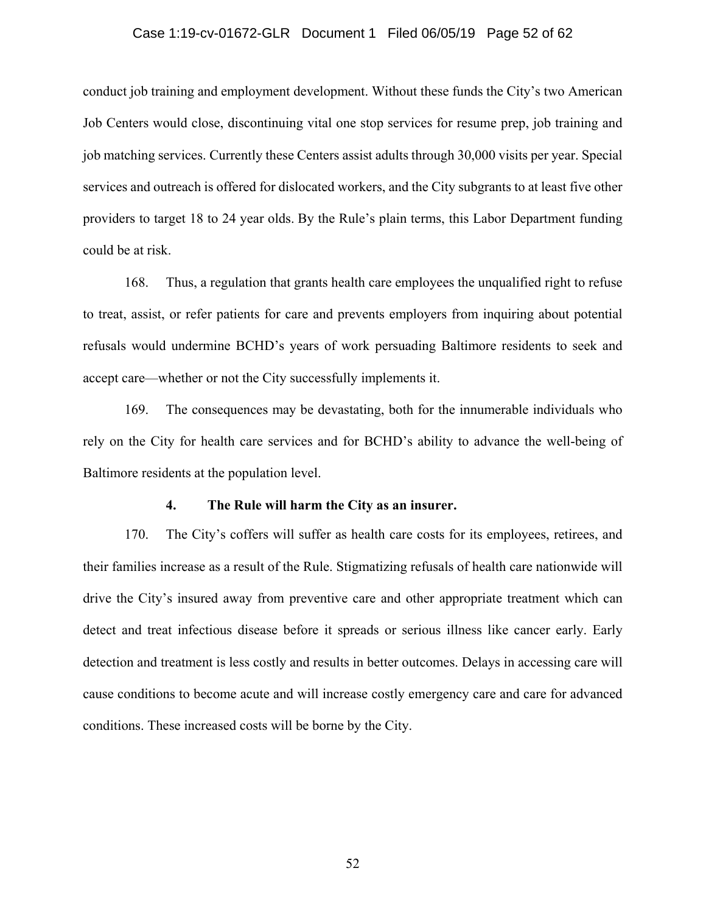#### Case 1:19-cv-01672-GLR Document 1 Filed 06/05/19 Page 52 of 62

conduct job training and employment development. Without these funds the City's two American Job Centers would close, discontinuing vital one stop services for resume prep, job training and job matching services. Currently these Centers assist adults through 30,000 visits per year. Special services and outreach is offered for dislocated workers, and the City subgrants to at least five other providers to target 18 to 24 year olds. By the Rule's plain terms, this Labor Department funding could be at risk.

168. Thus, a regulation that grants health care employees the unqualified right to refuse to treat, assist, or refer patients for care and prevents employers from inquiring about potential refusals would undermine BCHD's years of work persuading Baltimore residents to seek and accept care—whether or not the City successfully implements it.

169. The consequences may be devastating, both for the innumerable individuals who rely on the City for health care services and for BCHD's ability to advance the well-being of Baltimore residents at the population level.

### **4. The Rule will harm the City as an insurer.**

170. The City's coffers will suffer as health care costs for its employees, retirees, and their families increase as a result of the Rule. Stigmatizing refusals of health care nationwide will drive the City's insured away from preventive care and other appropriate treatment which can detect and treat infectious disease before it spreads or serious illness like cancer early. Early detection and treatment is less costly and results in better outcomes. Delays in accessing care will cause conditions to become acute and will increase costly emergency care and care for advanced conditions. These increased costs will be borne by the City.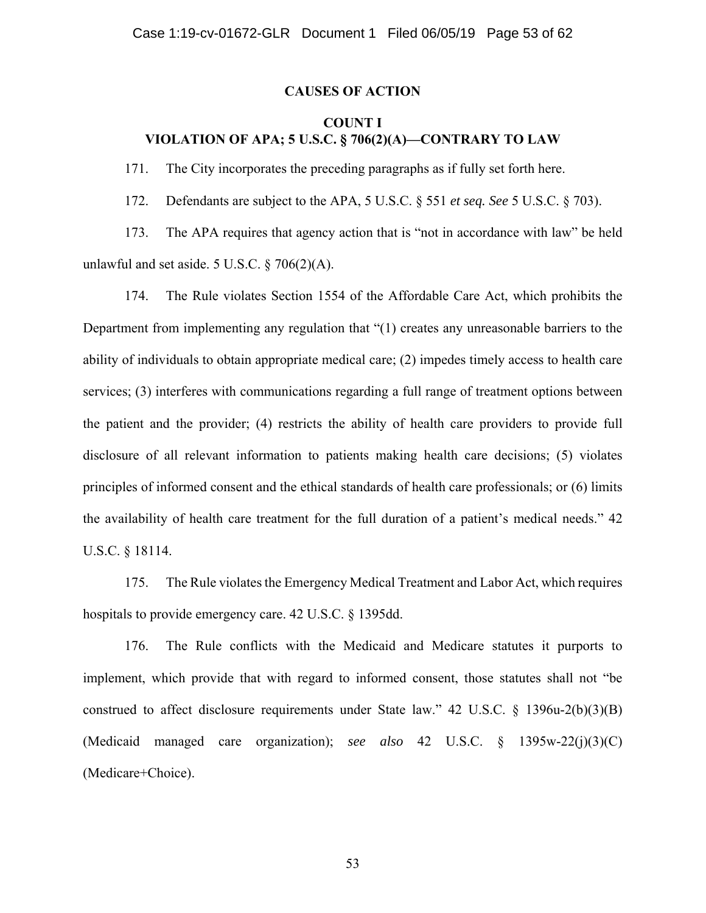### **CAUSES OF ACTION**

# **COUNT I VIOLATION OF APA; 5 U.S.C. § 706(2)(A)—CONTRARY TO LAW**

171. The City incorporates the preceding paragraphs as if fully set forth here.

172. Defendants are subject to the APA, 5 U.S.C. § 551 *et seq. See* 5 U.S.C. § 703).

173. The APA requires that agency action that is "not in accordance with law" be held unlawful and set aside. 5 U.S.C.  $\S$  706(2)(A).

174. The Rule violates Section 1554 of the Affordable Care Act, which prohibits the Department from implementing any regulation that "(1) creates any unreasonable barriers to the ability of individuals to obtain appropriate medical care; (2) impedes timely access to health care services; (3) interferes with communications regarding a full range of treatment options between the patient and the provider; (4) restricts the ability of health care providers to provide full disclosure of all relevant information to patients making health care decisions; (5) violates principles of informed consent and the ethical standards of health care professionals; or (6) limits the availability of health care treatment for the full duration of a patient's medical needs." 42 U.S.C. § 18114.

175. The Rule violates the Emergency Medical Treatment and Labor Act, which requires hospitals to provide emergency care. 42 U.S.C. § 1395dd.

176. The Rule conflicts with the Medicaid and Medicare statutes it purports to implement, which provide that with regard to informed consent, those statutes shall not "be construed to affect disclosure requirements under State law." 42 U.S.C. § 1396u-2(b)(3)(B) (Medicaid managed care organization); *see also* 42 U.S.C. § 1395w-22(j)(3)(C) (Medicare+Choice).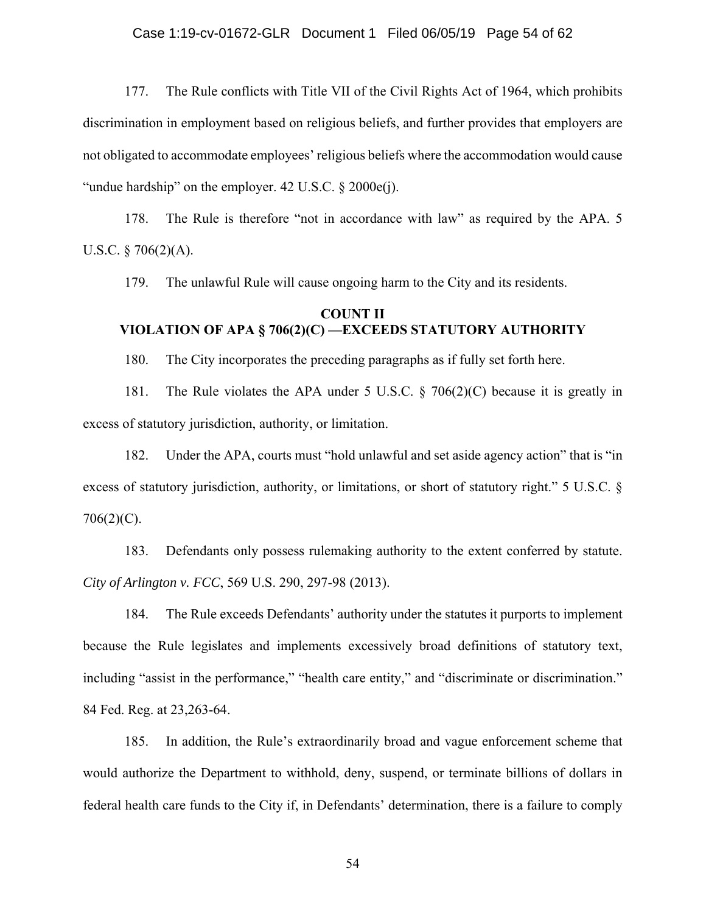177. The Rule conflicts with Title VII of the Civil Rights Act of 1964, which prohibits discrimination in employment based on religious beliefs, and further provides that employers are not obligated to accommodate employees' religious beliefs where the accommodation would cause "undue hardship" on the employer. 42 U.S.C. § 2000e(j).

178. The Rule is therefore "not in accordance with law" as required by the APA. 5 U.S.C.  $\S 706(2)(A)$ .

179. The unlawful Rule will cause ongoing harm to the City and its residents.

# **COUNT II VIOLATION OF APA § 706(2)(C) —EXCEEDS STATUTORY AUTHORITY**

180. The City incorporates the preceding paragraphs as if fully set forth here.

181. The Rule violates the APA under 5 U.S.C.  $\S$  706(2)(C) because it is greatly in excess of statutory jurisdiction, authority, or limitation.

182. Under the APA, courts must "hold unlawful and set aside agency action" that is "in excess of statutory jurisdiction, authority, or limitations, or short of statutory right." 5 U.S.C. § 706(2)(C).

183. Defendants only possess rulemaking authority to the extent conferred by statute. *City of Arlington v. FCC*, 569 U.S. 290, 297-98 (2013).

184. The Rule exceeds Defendants' authority under the statutes it purports to implement because the Rule legislates and implements excessively broad definitions of statutory text, including "assist in the performance," "health care entity," and "discriminate or discrimination." 84 Fed. Reg. at 23,263-64.

185. In addition, the Rule's extraordinarily broad and vague enforcement scheme that would authorize the Department to withhold, deny, suspend, or terminate billions of dollars in federal health care funds to the City if, in Defendants' determination, there is a failure to comply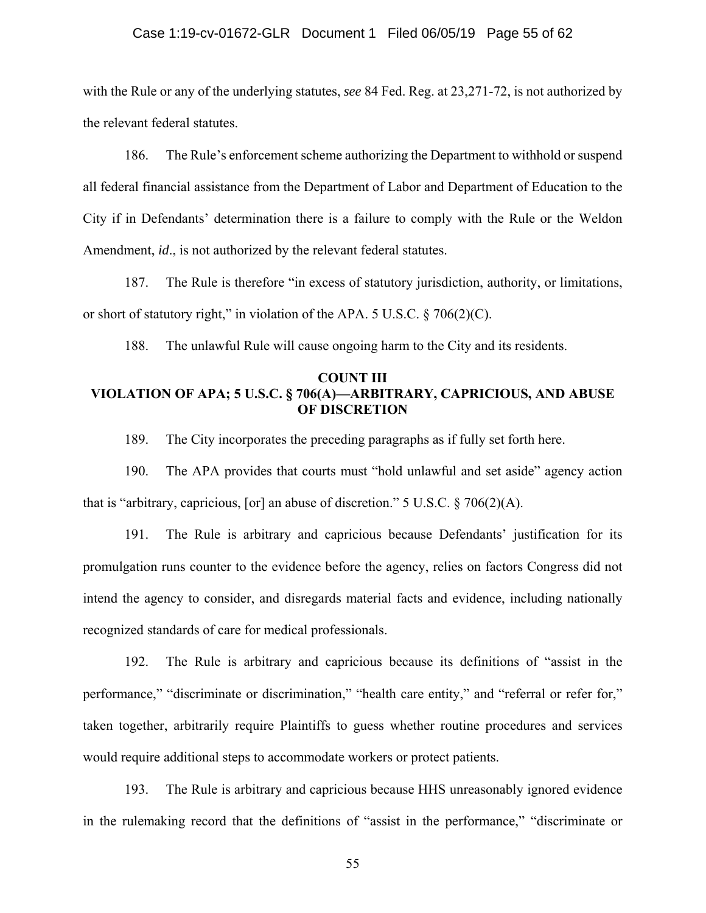#### Case 1:19-cv-01672-GLR Document 1 Filed 06/05/19 Page 55 of 62

with the Rule or any of the underlying statutes, *see* 84 Fed. Reg. at 23,271-72, is not authorized by the relevant federal statutes.

186. The Rule's enforcement scheme authorizing the Department to withhold or suspend all federal financial assistance from the Department of Labor and Department of Education to the City if in Defendants' determination there is a failure to comply with the Rule or the Weldon Amendment, *id*., is not authorized by the relevant federal statutes.

187. The Rule is therefore "in excess of statutory jurisdiction, authority, or limitations, or short of statutory right," in violation of the APA. 5 U.S.C. § 706(2)(C).

188. The unlawful Rule will cause ongoing harm to the City and its residents.

## **COUNT III VIOLATION OF APA; 5 U.S.C. § 706(A)—ARBITRARY, CAPRICIOUS, AND ABUSE OF DISCRETION**

189. The City incorporates the preceding paragraphs as if fully set forth here.

190. The APA provides that courts must "hold unlawful and set aside" agency action that is "arbitrary, capricious, [or] an abuse of discretion." 5 U.S.C.  $\S$  706(2)(A).

191. The Rule is arbitrary and capricious because Defendants' justification for its promulgation runs counter to the evidence before the agency, relies on factors Congress did not intend the agency to consider, and disregards material facts and evidence, including nationally recognized standards of care for medical professionals.

192. The Rule is arbitrary and capricious because its definitions of "assist in the performance," "discriminate or discrimination," "health care entity," and "referral or refer for," taken together, arbitrarily require Plaintiffs to guess whether routine procedures and services would require additional steps to accommodate workers or protect patients.

193. The Rule is arbitrary and capricious because HHS unreasonably ignored evidence in the rulemaking record that the definitions of "assist in the performance," "discriminate or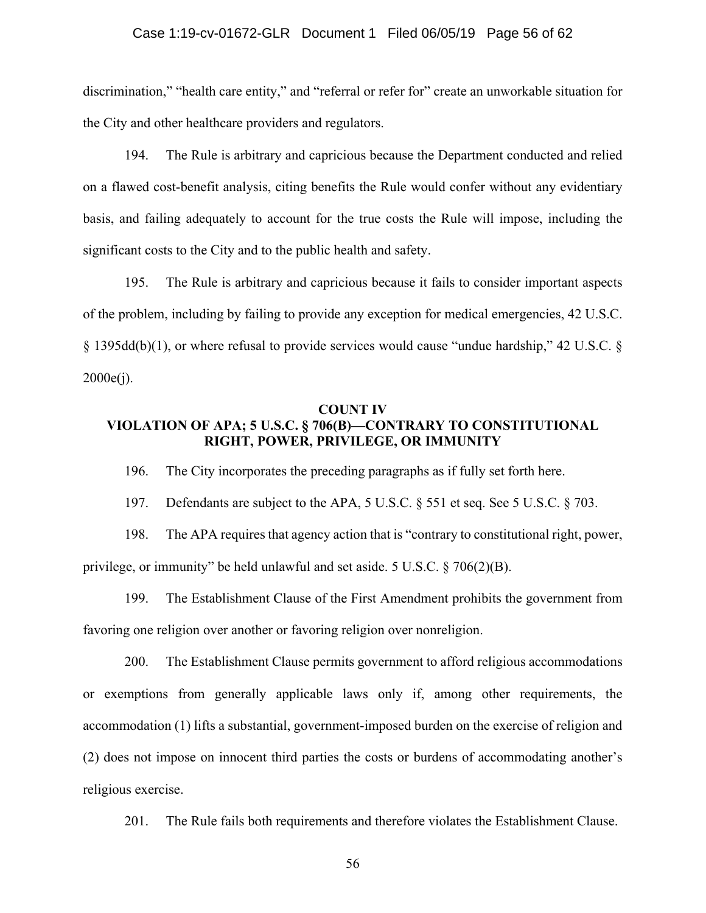#### Case 1:19-cv-01672-GLR Document 1 Filed 06/05/19 Page 56 of 62

discrimination," "health care entity," and "referral or refer for" create an unworkable situation for the City and other healthcare providers and regulators.

194. The Rule is arbitrary and capricious because the Department conducted and relied on a flawed cost-benefit analysis, citing benefits the Rule would confer without any evidentiary basis, and failing adequately to account for the true costs the Rule will impose, including the significant costs to the City and to the public health and safety.

195. The Rule is arbitrary and capricious because it fails to consider important aspects of the problem, including by failing to provide any exception for medical emergencies, 42 U.S.C. § 1395dd(b)(1), or where refusal to provide services would cause "undue hardship," 42 U.S.C. §  $2000e(i)$ .

## **COUNT IV VIOLATION OF APA; 5 U.S.C. § 706(B)—CONTRARY TO CONSTITUTIONAL RIGHT, POWER, PRIVILEGE, OR IMMUNITY**

196. The City incorporates the preceding paragraphs as if fully set forth here.

197. Defendants are subject to the APA, 5 U.S.C. § 551 et seq. See 5 U.S.C. § 703.

198. The APA requires that agency action that is "contrary to constitutional right, power, privilege, or immunity" be held unlawful and set aside. 5 U.S.C. § 706(2)(B).

199. The Establishment Clause of the First Amendment prohibits the government from favoring one religion over another or favoring religion over nonreligion.

200. The Establishment Clause permits government to afford religious accommodations or exemptions from generally applicable laws only if, among other requirements, the accommodation (1) lifts a substantial, government-imposed burden on the exercise of religion and (2) does not impose on innocent third parties the costs or burdens of accommodating another's religious exercise.

201. The Rule fails both requirements and therefore violates the Establishment Clause.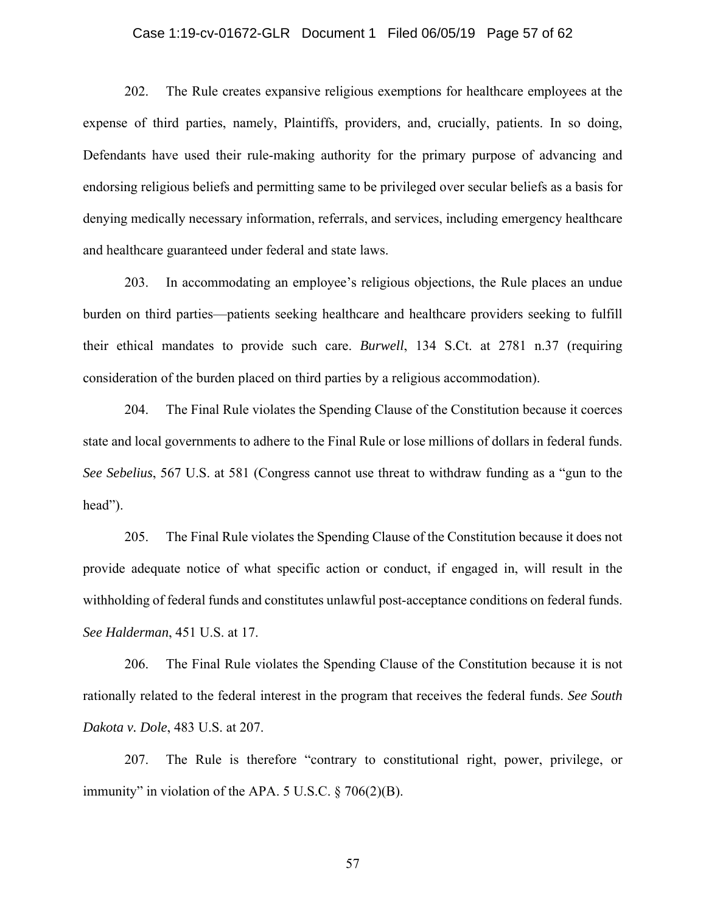### Case 1:19-cv-01672-GLR Document 1 Filed 06/05/19 Page 57 of 62

202. The Rule creates expansive religious exemptions for healthcare employees at the expense of third parties, namely, Plaintiffs, providers, and, crucially, patients. In so doing, Defendants have used their rule-making authority for the primary purpose of advancing and endorsing religious beliefs and permitting same to be privileged over secular beliefs as a basis for denying medically necessary information, referrals, and services, including emergency healthcare and healthcare guaranteed under federal and state laws.

203. In accommodating an employee's religious objections, the Rule places an undue burden on third parties—patients seeking healthcare and healthcare providers seeking to fulfill their ethical mandates to provide such care. *Burwell*, 134 S.Ct. at 2781 n.37 (requiring consideration of the burden placed on third parties by a religious accommodation).

204. The Final Rule violates the Spending Clause of the Constitution because it coerces state and local governments to adhere to the Final Rule or lose millions of dollars in federal funds. *See Sebelius*, 567 U.S. at 581 (Congress cannot use threat to withdraw funding as a "gun to the head").

205. The Final Rule violates the Spending Clause of the Constitution because it does not provide adequate notice of what specific action or conduct, if engaged in, will result in the withholding of federal funds and constitutes unlawful post-acceptance conditions on federal funds. *See Halderman*, 451 U.S. at 17.

206. The Final Rule violates the Spending Clause of the Constitution because it is not rationally related to the federal interest in the program that receives the federal funds. *See South Dakota v. Dole*, 483 U.S. at 207.

207. The Rule is therefore "contrary to constitutional right, power, privilege, or immunity" in violation of the APA.  $5$  U.S.C.  $\frac{6}{9}$  706(2)(B).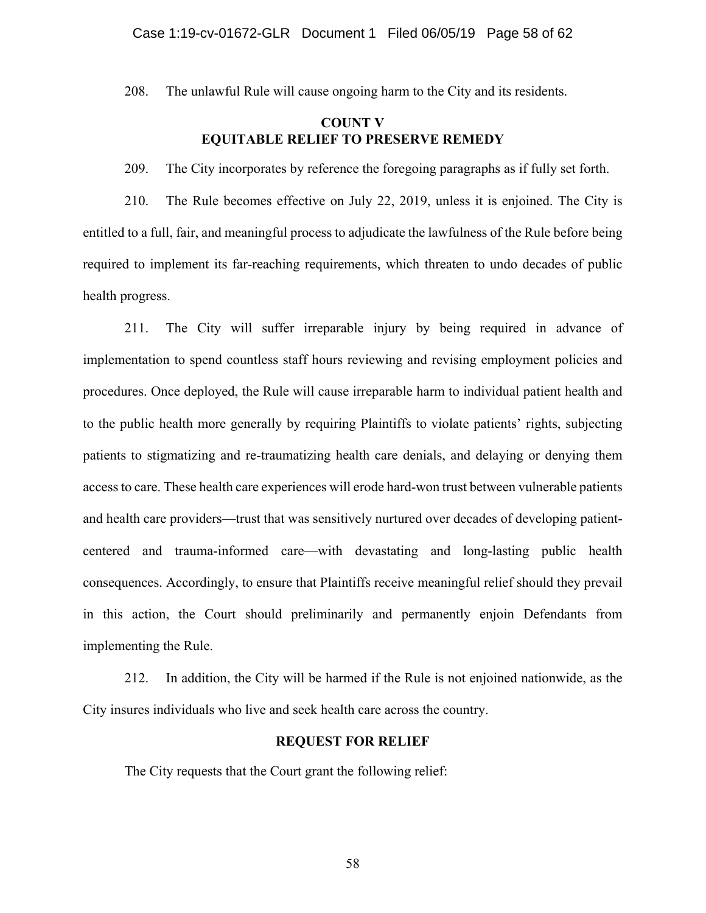208. The unlawful Rule will cause ongoing harm to the City and its residents.

## **COUNT V EQUITABLE RELIEF TO PRESERVE REMEDY**

209. The City incorporates by reference the foregoing paragraphs as if fully set forth.

210. The Rule becomes effective on July 22, 2019, unless it is enjoined. The City is entitled to a full, fair, and meaningful process to adjudicate the lawfulness of the Rule before being required to implement its far-reaching requirements, which threaten to undo decades of public health progress.

211. The City will suffer irreparable injury by being required in advance of implementation to spend countless staff hours reviewing and revising employment policies and procedures. Once deployed, the Rule will cause irreparable harm to individual patient health and to the public health more generally by requiring Plaintiffs to violate patients' rights, subjecting patients to stigmatizing and re-traumatizing health care denials, and delaying or denying them access to care. These health care experiences will erode hard-won trust between vulnerable patients and health care providers—trust that was sensitively nurtured over decades of developing patientcentered and trauma-informed care—with devastating and long-lasting public health consequences. Accordingly, to ensure that Plaintiffs receive meaningful relief should they prevail in this action, the Court should preliminarily and permanently enjoin Defendants from implementing the Rule.

212. In addition, the City will be harmed if the Rule is not enjoined nationwide, as the City insures individuals who live and seek health care across the country.

## **REQUEST FOR RELIEF**

The City requests that the Court grant the following relief: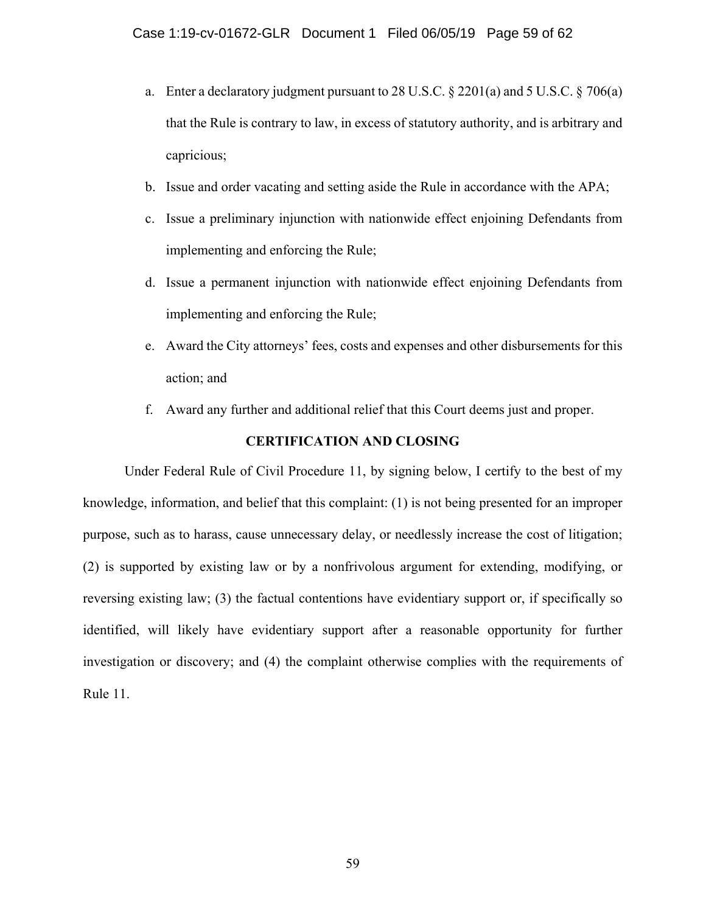- a. Enter a declaratory judgment pursuant to 28 U.S.C. § 2201(a) and 5 U.S.C. § 706(a) that the Rule is contrary to law, in excess of statutory authority, and is arbitrary and capricious;
- b. Issue and order vacating and setting aside the Rule in accordance with the APA;
- c. Issue a preliminary injunction with nationwide effect enjoining Defendants from implementing and enforcing the Rule;
- d. Issue a permanent injunction with nationwide effect enjoining Defendants from implementing and enforcing the Rule;
- e. Award the City attorneys' fees, costs and expenses and other disbursements for this action; and
- f. Award any further and additional relief that this Court deems just and proper.

### **CERTIFICATION AND CLOSING**

Under Federal Rule of Civil Procedure 11, by signing below, I certify to the best of my knowledge, information, and belief that this complaint: (1) is not being presented for an improper purpose, such as to harass, cause unnecessary delay, or needlessly increase the cost of litigation; (2) is supported by existing law or by a nonfrivolous argument for extending, modifying, or reversing existing law; (3) the factual contentions have evidentiary support or, if specifically so identified, will likely have evidentiary support after a reasonable opportunity for further investigation or discovery; and (4) the complaint otherwise complies with the requirements of Rule 11.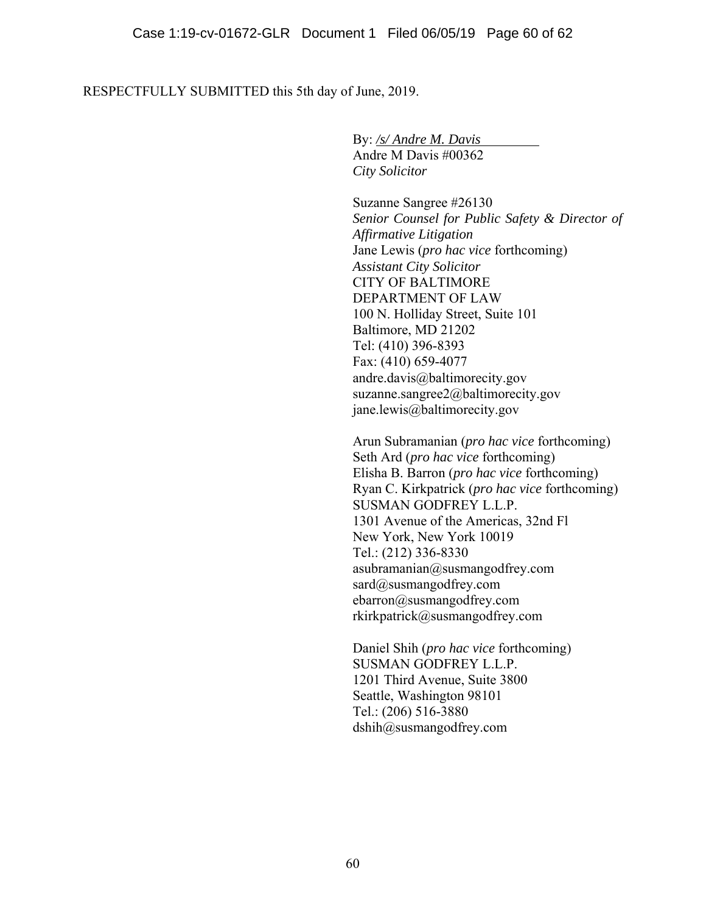RESPECTFULLY SUBMITTED this 5th day of June, 2019.

 By: */s/ Andre M. Davis*  Andre M Davis #00362 *City Solicitor* 

Suzanne Sangree #26130 *Senior Counsel for Public Safety & Director of Affirmative Litigation*  Jane Lewis (*pro hac vice* forthcoming) *Assistant City Solicitor*  CITY OF BALTIMORE DEPARTMENT OF LAW 100 N. Holliday Street, Suite 101 Baltimore, MD 21202 Tel: (410) 396-8393 Fax: (410) 659-4077 andre.davis@baltimorecity.gov suzanne.sangree2@baltimorecity.gov jane.lewis@baltimorecity.gov

Arun Subramanian (*pro hac vice* forthcoming) Seth Ard (*pro hac vice* forthcoming) Elisha B. Barron (*pro hac vice* forthcoming) Ryan C. Kirkpatrick (*pro hac vice* forthcoming) SUSMAN GODFREY L.L.P. 1301 Avenue of the Americas, 32nd Fl New York, New York 10019 Tel.: (212) 336-8330 asubramanian@susmangodfrey.com sard@susmangodfrey.com ebarron@susmangodfrey.com rkirkpatrick@susmangodfrey.com

Daniel Shih (*pro hac vice* forthcoming) SUSMAN GODFREY L.L.P. 1201 Third Avenue, Suite 3800 Seattle, Washington 98101 Tel.: (206) 516-3880 dshih@susmangodfrey.com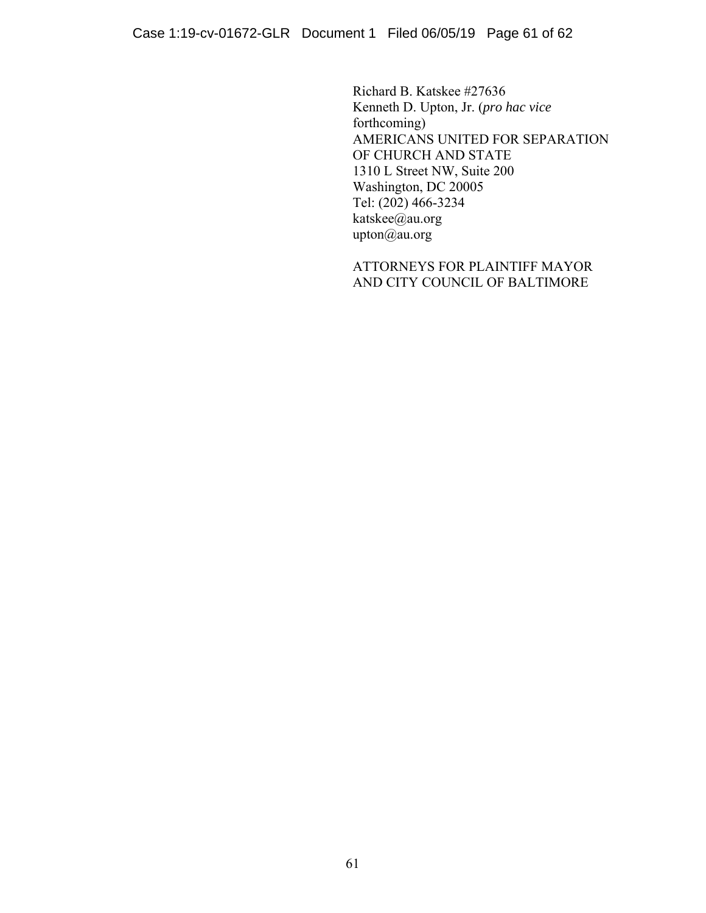Richard B. Katskee #27636 Kenneth D. Upton, Jr. (*pro hac vice*  forthcoming) AMERICANS UNITED FOR SEPARATION OF CHURCH AND STATE 1310 L Street NW, Suite 200 Washington, DC 20005 Tel: (202) 466-3234 katskee@au.org upton@au.org

ATTORNEYS FOR PLAINTIFF MAYOR AND CITY COUNCIL OF BALTIMORE